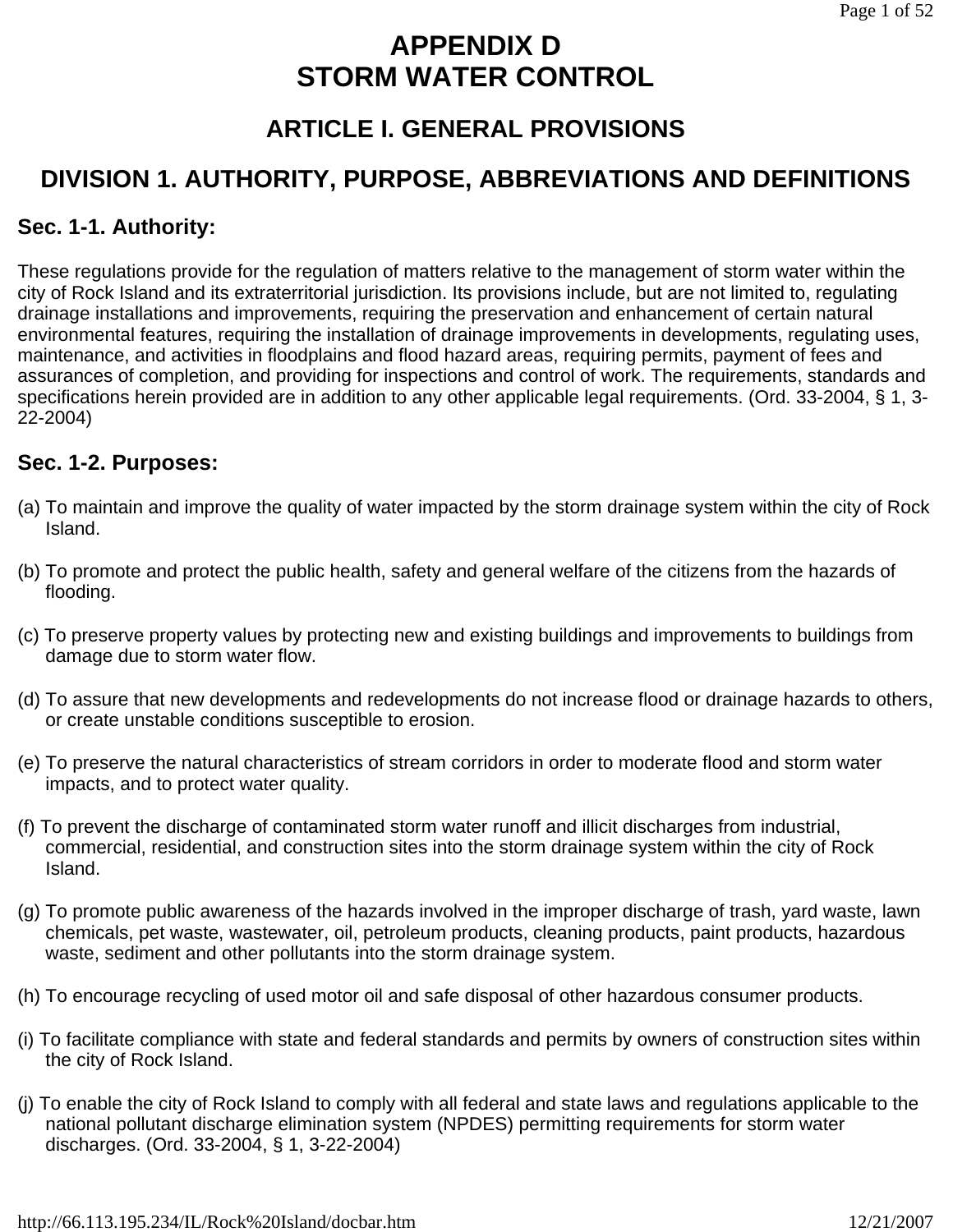# **APPENDIX D STORM WATER CONTROL**

# **ARTICLE I. GENERAL PROVISIONS**

# **DIVISION 1. AUTHORITY, PURPOSE, ABBREVIATIONS AND DEFINITIONS**

## **Sec. 1-1. Authority:**

These regulations provide for the regulation of matters relative to the management of storm water within the city of Rock Island and its extraterritorial jurisdiction. Its provisions include, but are not limited to, regulating drainage installations and improvements, requiring the preservation and enhancement of certain natural environmental features, requiring the installation of drainage improvements in developments, regulating uses, maintenance, and activities in floodplains and flood hazard areas, requiring permits, payment of fees and assurances of completion, and providing for inspections and control of work. The requirements, standards and specifications herein provided are in addition to any other applicable legal requirements. (Ord. 33-2004, § 1, 3- 22-2004)

## **Sec. 1-2. Purposes:**

- (a) To maintain and improve the quality of water impacted by the storm drainage system within the city of Rock Island.
- (b) To promote and protect the public health, safety and general welfare of the citizens from the hazards of flooding.
- (c) To preserve property values by protecting new and existing buildings and improvements to buildings from damage due to storm water flow.
- (d) To assure that new developments and redevelopments do not increase flood or drainage hazards to others, or create unstable conditions susceptible to erosion.
- (e) To preserve the natural characteristics of stream corridors in order to moderate flood and storm water impacts, and to protect water quality.
- (f) To prevent the discharge of contaminated storm water runoff and illicit discharges from industrial, commercial, residential, and construction sites into the storm drainage system within the city of Rock Island.
- (g) To promote public awareness of the hazards involved in the improper discharge of trash, yard waste, lawn chemicals, pet waste, wastewater, oil, petroleum products, cleaning products, paint products, hazardous waste, sediment and other pollutants into the storm drainage system.
- (h) To encourage recycling of used motor oil and safe disposal of other hazardous consumer products.
- (i) To facilitate compliance with state and federal standards and permits by owners of construction sites within the city of Rock Island.
- (j) To enable the city of Rock Island to comply with all federal and state laws and regulations applicable to the national pollutant discharge elimination system (NPDES) permitting requirements for storm water discharges. (Ord. 33-2004, § 1, 3-22-2004)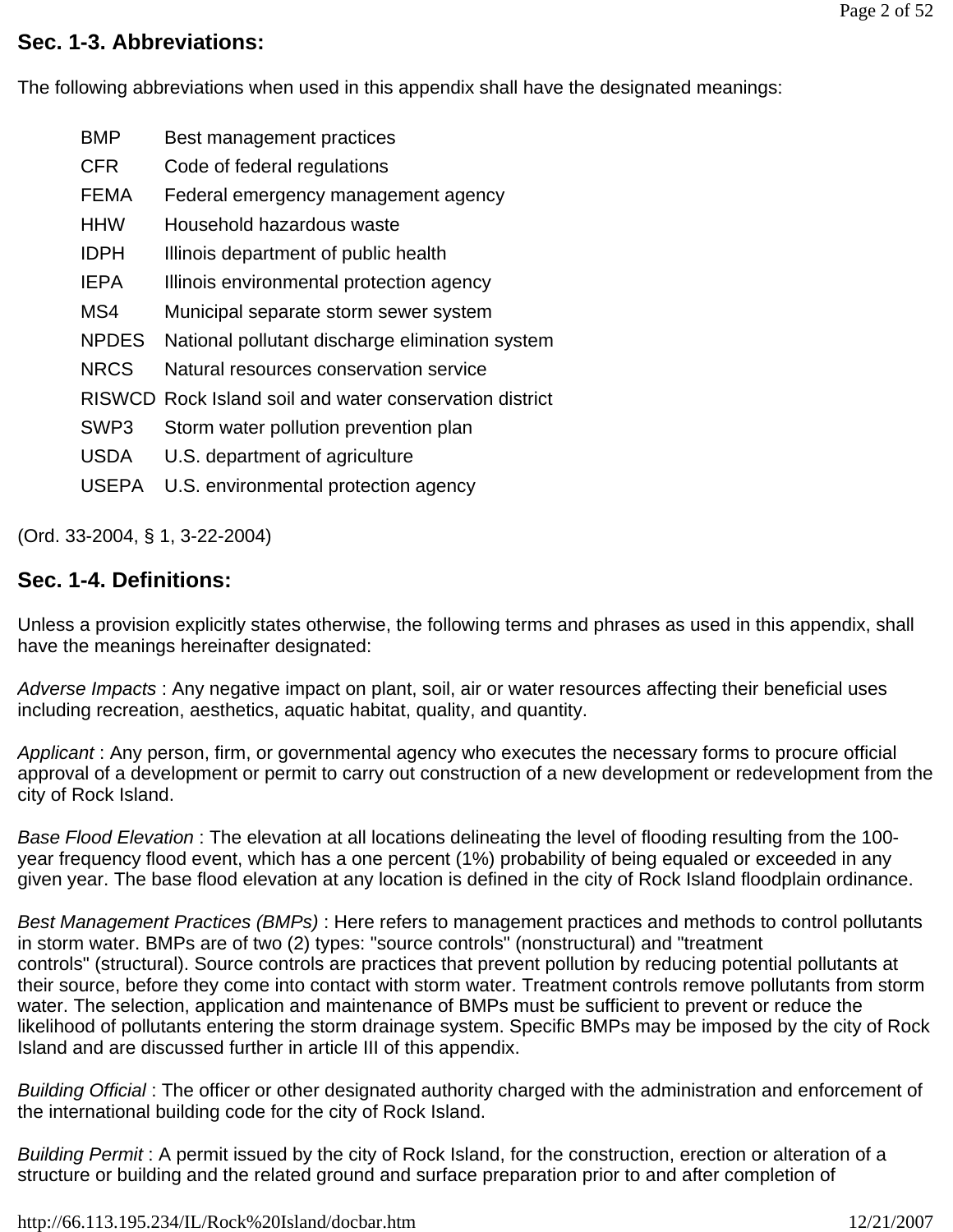### **Sec. 1-3. Abbreviations:**

The following abbreviations when used in this appendix shall have the designated meanings:

- BMP Best management practices
- CFR Code of federal regulations
- FEMA Federal emergency management agency
- HHW Household hazardous waste
- IDPH Illinois department of public health
- IEPA Illinois environmental protection agency
- MS4 Municipal separate storm sewer system
- NPDES National pollutant discharge elimination system
- NRCS Natural resources conservation service
- RISWCD Rock Island soil and water conservation district
- SWP3 Storm water pollution prevention plan
- USDA U.S. department of agriculture
- USEPA U.S. environmental protection agency

(Ord. 33-2004, § 1, 3-22-2004)

# **Sec. 1-4. Definitions:**

Unless a provision explicitly states otherwise, the following terms and phrases as used in this appendix, shall have the meanings hereinafter designated:

*Adverse Impacts* : Any negative impact on plant, soil, air or water resources affecting their beneficial uses including recreation, aesthetics, aquatic habitat, quality, and quantity.

*Applicant* : Any person, firm, or governmental agency who executes the necessary forms to procure official approval of a development or permit to carry out construction of a new development or redevelopment from the city of Rock Island.

*Base Flood Elevation* : The elevation at all locations delineating the level of flooding resulting from the 100 year frequency flood event, which has a one percent (1%) probability of being equaled or exceeded in any given year. The base flood elevation at any location is defined in the city of Rock Island floodplain ordinance.

*Best Management Practices (BMPs)* : Here refers to management practices and methods to control pollutants in storm water. BMPs are of two (2) types: "source controls" (nonstructural) and "treatment controls" (structural). Source controls are practices that prevent pollution by reducing potential pollutants at their source, before they come into contact with storm water. Treatment controls remove pollutants from storm water. The selection, application and maintenance of BMPs must be sufficient to prevent or reduce the likelihood of pollutants entering the storm drainage system. Specific BMPs may be imposed by the city of Rock Island and are discussed further in article III of this appendix.

*Building Official* : The officer or other designated authority charged with the administration and enforcement of the international building code for the city of Rock Island.

*Building Permit* : A permit issued by the city of Rock Island, for the construction, erection or alteration of a structure or building and the related ground and surface preparation prior to and after completion of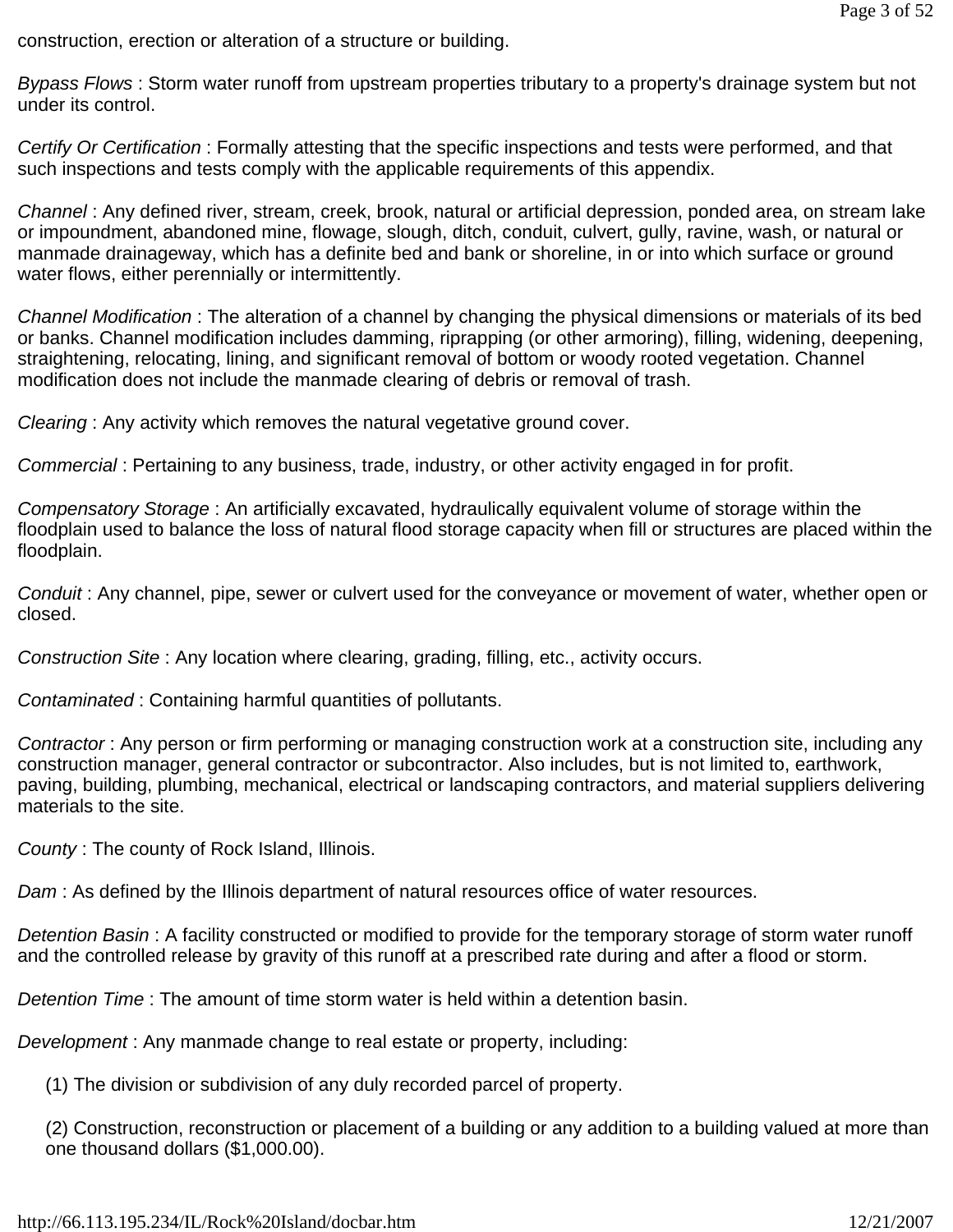construction, erection or alteration of a structure or building.

*Bypass Flows* : Storm water runoff from upstream properties tributary to a property's drainage system but not under its control.

*Certify Or Certification* : Formally attesting that the specific inspections and tests were performed, and that such inspections and tests comply with the applicable requirements of this appendix.

*Channel* : Any defined river, stream, creek, brook, natural or artificial depression, ponded area, on stream lake or impoundment, abandoned mine, flowage, slough, ditch, conduit, culvert, gully, ravine, wash, or natural or manmade drainageway, which has a definite bed and bank or shoreline, in or into which surface or ground water flows, either perennially or intermittently.

*Channel Modification* : The alteration of a channel by changing the physical dimensions or materials of its bed or banks. Channel modification includes damming, riprapping (or other armoring), filling, widening, deepening, straightening, relocating, lining, and significant removal of bottom or woody rooted vegetation. Channel modification does not include the manmade clearing of debris or removal of trash.

*Clearing* : Any activity which removes the natural vegetative ground cover.

*Commercial* : Pertaining to any business, trade, industry, or other activity engaged in for profit.

*Compensatory Storage* : An artificially excavated, hydraulically equivalent volume of storage within the floodplain used to balance the loss of natural flood storage capacity when fill or structures are placed within the floodplain.

*Conduit* : Any channel, pipe, sewer or culvert used for the conveyance or movement of water, whether open or closed.

*Construction Site* : Any location where clearing, grading, filling, etc., activity occurs.

*Contaminated* : Containing harmful quantities of pollutants.

*Contractor* : Any person or firm performing or managing construction work at a construction site, including any construction manager, general contractor or subcontractor. Also includes, but is not limited to, earthwork, paving, building, plumbing, mechanical, electrical or landscaping contractors, and material suppliers delivering materials to the site.

*County* : The county of Rock Island, Illinois.

*Dam* : As defined by the Illinois department of natural resources office of water resources.

*Detention Basin* : A facility constructed or modified to provide for the temporary storage of storm water runoff and the controlled release by gravity of this runoff at a prescribed rate during and after a flood or storm.

*Detention Time* : The amount of time storm water is held within a detention basin.

*Development* : Any manmade change to real estate or property, including:

(1) The division or subdivision of any duly recorded parcel of property.

(2) Construction, reconstruction or placement of a building or any addition to a building valued at more than one thousand dollars (\$1,000.00).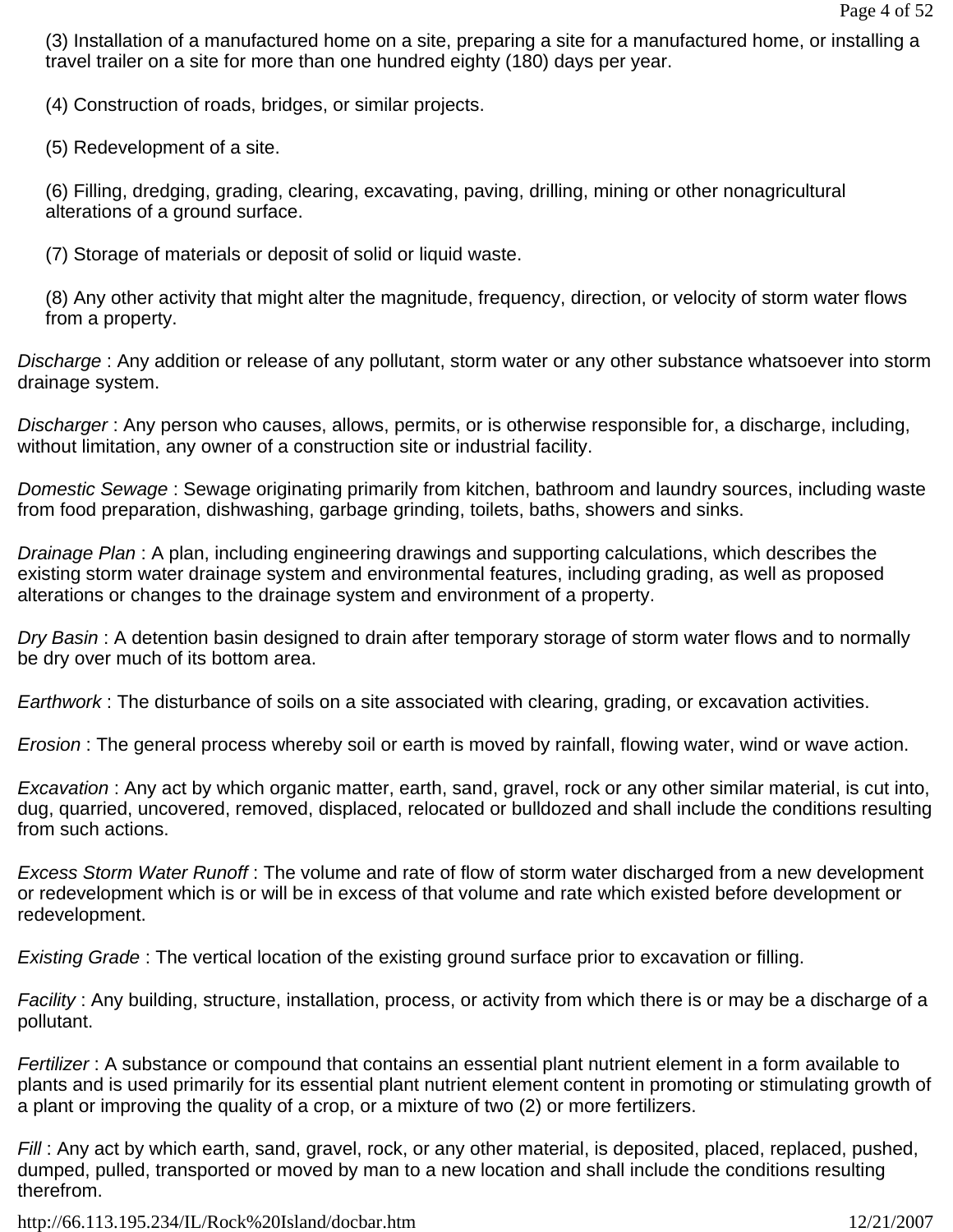(3) Installation of a manufactured home on a site, preparing a site for a manufactured home, or installing a travel trailer on a site for more than one hundred eighty (180) days per year.

(4) Construction of roads, bridges, or similar projects.

(5) Redevelopment of a site.

(6) Filling, dredging, grading, clearing, excavating, paving, drilling, mining or other nonagricultural alterations of a ground surface.

(7) Storage of materials or deposit of solid or liquid waste.

(8) Any other activity that might alter the magnitude, frequency, direction, or velocity of storm water flows from a property.

*Discharge* : Any addition or release of any pollutant, storm water or any other substance whatsoever into storm drainage system.

*Discharger* : Any person who causes, allows, permits, or is otherwise responsible for, a discharge, including, without limitation, any owner of a construction site or industrial facility.

*Domestic Sewage* : Sewage originating primarily from kitchen, bathroom and laundry sources, including waste from food preparation, dishwashing, garbage grinding, toilets, baths, showers and sinks.

*Drainage Plan* : A plan, including engineering drawings and supporting calculations, which describes the existing storm water drainage system and environmental features, including grading, as well as proposed alterations or changes to the drainage system and environment of a property.

*Dry Basin* : A detention basin designed to drain after temporary storage of storm water flows and to normally be dry over much of its bottom area.

*Earthwork* : The disturbance of soils on a site associated with clearing, grading, or excavation activities.

*Erosion* : The general process whereby soil or earth is moved by rainfall, flowing water, wind or wave action.

*Excavation* : Any act by which organic matter, earth, sand, gravel, rock or any other similar material, is cut into, dug, quarried, uncovered, removed, displaced, relocated or bulldozed and shall include the conditions resulting from such actions.

*Excess Storm Water Runoff* : The volume and rate of flow of storm water discharged from a new development or redevelopment which is or will be in excess of that volume and rate which existed before development or redevelopment.

*Existing Grade* : The vertical location of the existing ground surface prior to excavation or filling.

*Facility* : Any building, structure, installation, process, or activity from which there is or may be a discharge of a pollutant.

*Fertilizer* : A substance or compound that contains an essential plant nutrient element in a form available to plants and is used primarily for its essential plant nutrient element content in promoting or stimulating growth of a plant or improving the quality of a crop, or a mixture of two (2) or more fertilizers.

*Fill* : Any act by which earth, sand, gravel, rock, or any other material, is deposited, placed, replaced, pushed, dumped, pulled, transported or moved by man to a new location and shall include the conditions resulting therefrom.

http://66.113.195.234/IL/Rock%20Island/docbar.htm 12/21/2007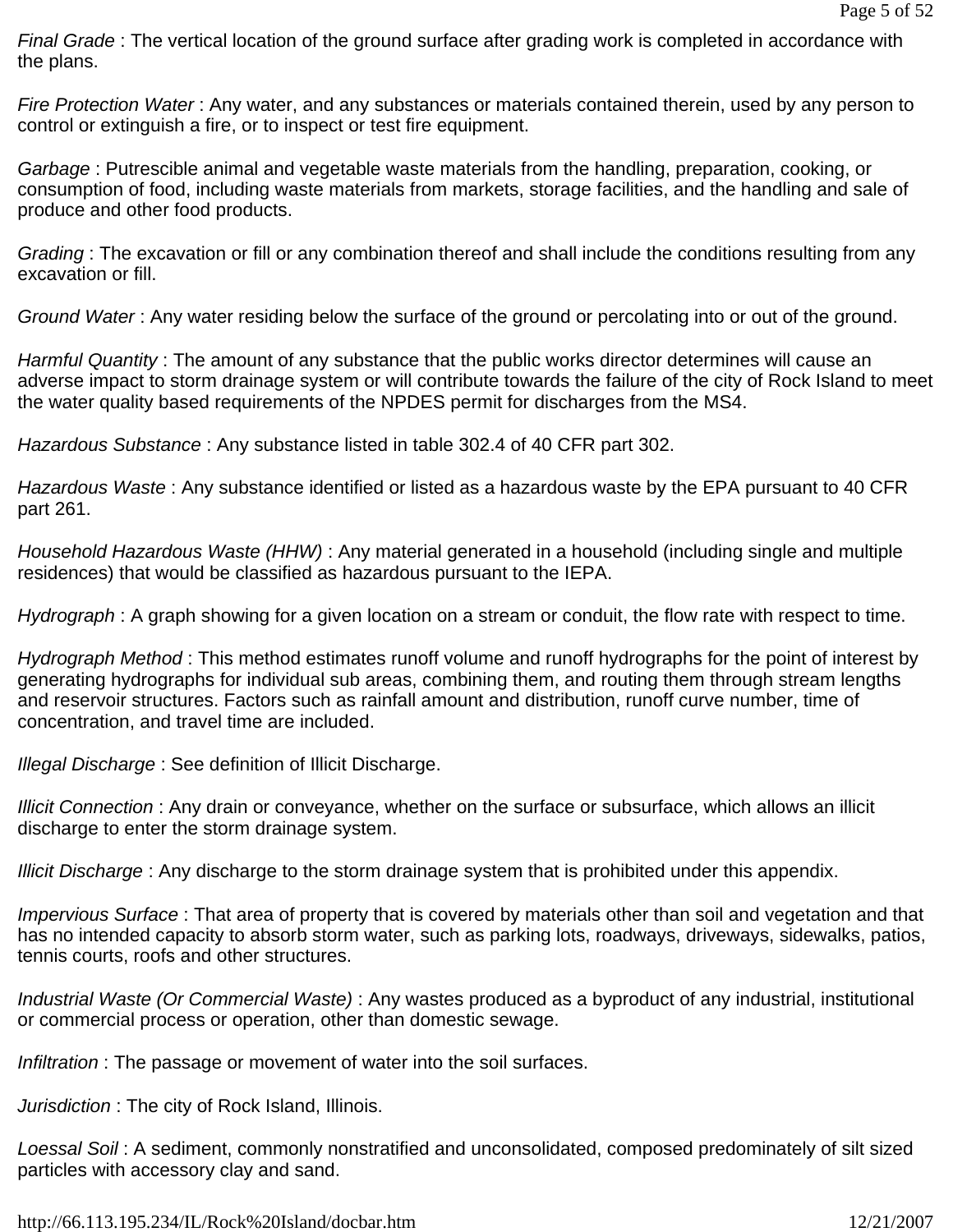*Final Grade* : The vertical location of the ground surface after grading work is completed in accordance with the plans.

*Fire Protection Water* : Any water, and any substances or materials contained therein, used by any person to control or extinguish a fire, or to inspect or test fire equipment.

*Garbage* : Putrescible animal and vegetable waste materials from the handling, preparation, cooking, or consumption of food, including waste materials from markets, storage facilities, and the handling and sale of produce and other food products.

*Grading* : The excavation or fill or any combination thereof and shall include the conditions resulting from any excavation or fill.

*Ground Water* : Any water residing below the surface of the ground or percolating into or out of the ground.

*Harmful Quantity* : The amount of any substance that the public works director determines will cause an adverse impact to storm drainage system or will contribute towards the failure of the city of Rock Island to meet the water quality based requirements of the NPDES permit for discharges from the MS4.

*Hazardous Substance* : Any substance listed in table 302.4 of 40 CFR part 302.

*Hazardous Waste* : Any substance identified or listed as a hazardous waste by the EPA pursuant to 40 CFR part 261.

*Household Hazardous Waste (HHW)* : Any material generated in a household (including single and multiple residences) that would be classified as hazardous pursuant to the IEPA.

*Hydrograph* : A graph showing for a given location on a stream or conduit, the flow rate with respect to time.

*Hydrograph Method* : This method estimates runoff volume and runoff hydrographs for the point of interest by generating hydrographs for individual sub areas, combining them, and routing them through stream lengths and reservoir structures. Factors such as rainfall amount and distribution, runoff curve number, time of concentration, and travel time are included.

*Illegal Discharge* : See definition of Illicit Discharge.

*Illicit Connection* : Any drain or conveyance, whether on the surface or subsurface, which allows an illicit discharge to enter the storm drainage system.

*Illicit Discharge* : Any discharge to the storm drainage system that is prohibited under this appendix.

*Impervious Surface* : That area of property that is covered by materials other than soil and vegetation and that has no intended capacity to absorb storm water, such as parking lots, roadways, driveways, sidewalks, patios, tennis courts, roofs and other structures.

*Industrial Waste (Or Commercial Waste)* : Any wastes produced as a byproduct of any industrial, institutional or commercial process or operation, other than domestic sewage.

*Infiltration* : The passage or movement of water into the soil surfaces.

*Jurisdiction* : The city of Rock Island, Illinois.

*Loessal Soil* : A sediment, commonly nonstratified and unconsolidated, composed predominately of silt sized particles with accessory clay and sand.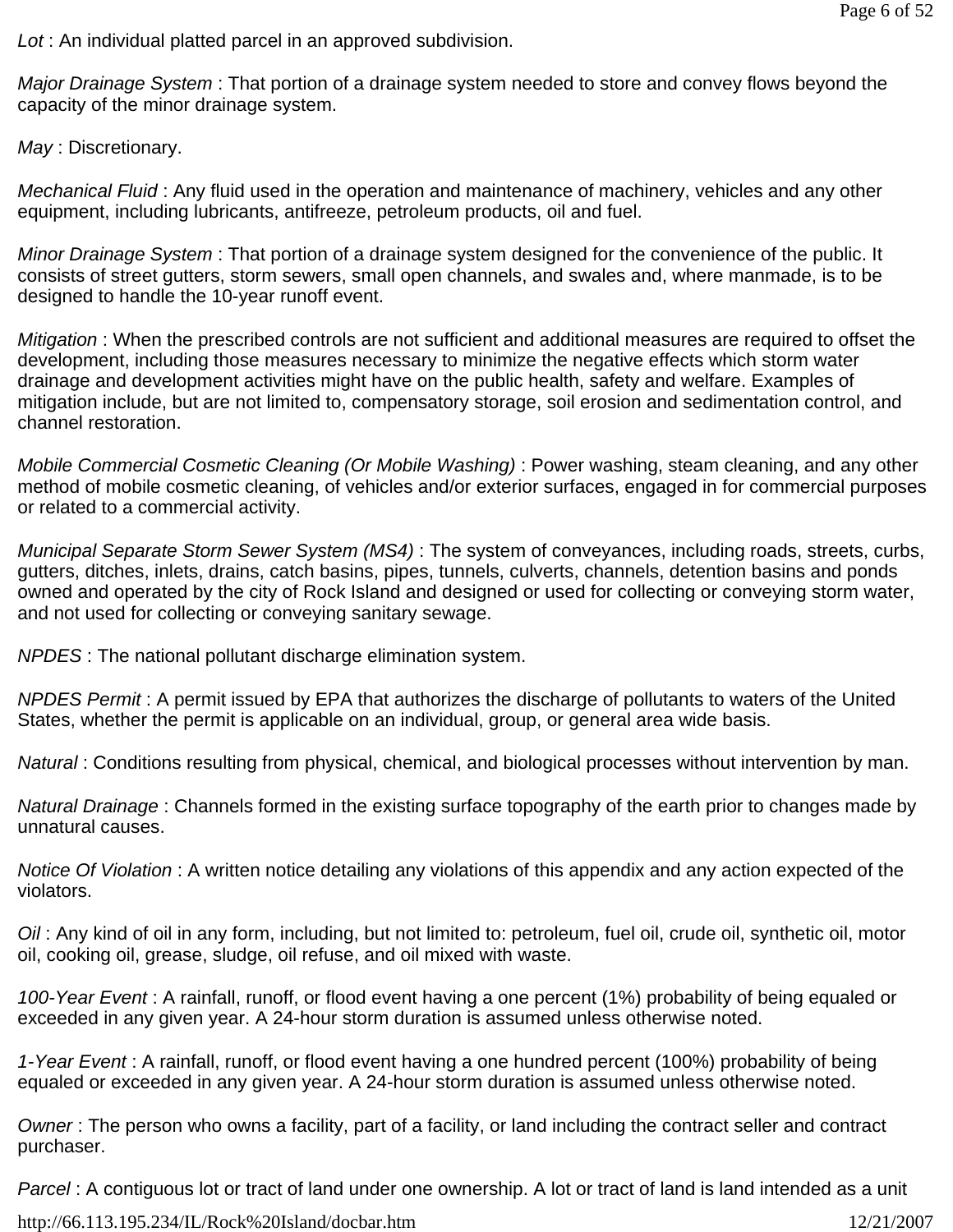*Lot* : An individual platted parcel in an approved subdivision.

*Major Drainage System* : That portion of a drainage system needed to store and convey flows beyond the capacity of the minor drainage system.

*May* : Discretionary.

*Mechanical Fluid* : Any fluid used in the operation and maintenance of machinery, vehicles and any other equipment, including lubricants, antifreeze, petroleum products, oil and fuel.

*Minor Drainage System* : That portion of a drainage system designed for the convenience of the public. It consists of street gutters, storm sewers, small open channels, and swales and, where manmade, is to be designed to handle the 10-year runoff event.

*Mitigation* : When the prescribed controls are not sufficient and additional measures are required to offset the development, including those measures necessary to minimize the negative effects which storm water drainage and development activities might have on the public health, safety and welfare. Examples of mitigation include, but are not limited to, compensatory storage, soil erosion and sedimentation control, and channel restoration.

*Mobile Commercial Cosmetic Cleaning (Or Mobile Washing)* : Power washing, steam cleaning, and any other method of mobile cosmetic cleaning, of vehicles and/or exterior surfaces, engaged in for commercial purposes or related to a commercial activity.

*Municipal Separate Storm Sewer System (MS4)* : The system of conveyances, including roads, streets, curbs, gutters, ditches, inlets, drains, catch basins, pipes, tunnels, culverts, channels, detention basins and ponds owned and operated by the city of Rock Island and designed or used for collecting or conveying storm water, and not used for collecting or conveying sanitary sewage.

*NPDES* : The national pollutant discharge elimination system.

*NPDES Permit* : A permit issued by EPA that authorizes the discharge of pollutants to waters of the United States, whether the permit is applicable on an individual, group, or general area wide basis.

*Natural* : Conditions resulting from physical, chemical, and biological processes without intervention by man.

*Natural Drainage* : Channels formed in the existing surface topography of the earth prior to changes made by unnatural causes.

*Notice Of Violation* : A written notice detailing any violations of this appendix and any action expected of the violators.

*Oil* : Any kind of oil in any form, including, but not limited to: petroleum, fuel oil, crude oil, synthetic oil, motor oil, cooking oil, grease, sludge, oil refuse, and oil mixed with waste.

*100-Year Event* : A rainfall, runoff, or flood event having a one percent (1%) probability of being equaled or exceeded in any given year. A 24-hour storm duration is assumed unless otherwise noted.

*1-Year Event* : A rainfall, runoff, or flood event having a one hundred percent (100%) probability of being equaled or exceeded in any given year. A 24-hour storm duration is assumed unless otherwise noted.

*Owner* : The person who owns a facility, part of a facility, or land including the contract seller and contract purchaser.

*Parcel* : A contiguous lot or tract of land under one ownership. A lot or tract of land is land intended as a unit

http://66.113.195.234/IL/Rock%20Island/docbar.htm 12/21/2007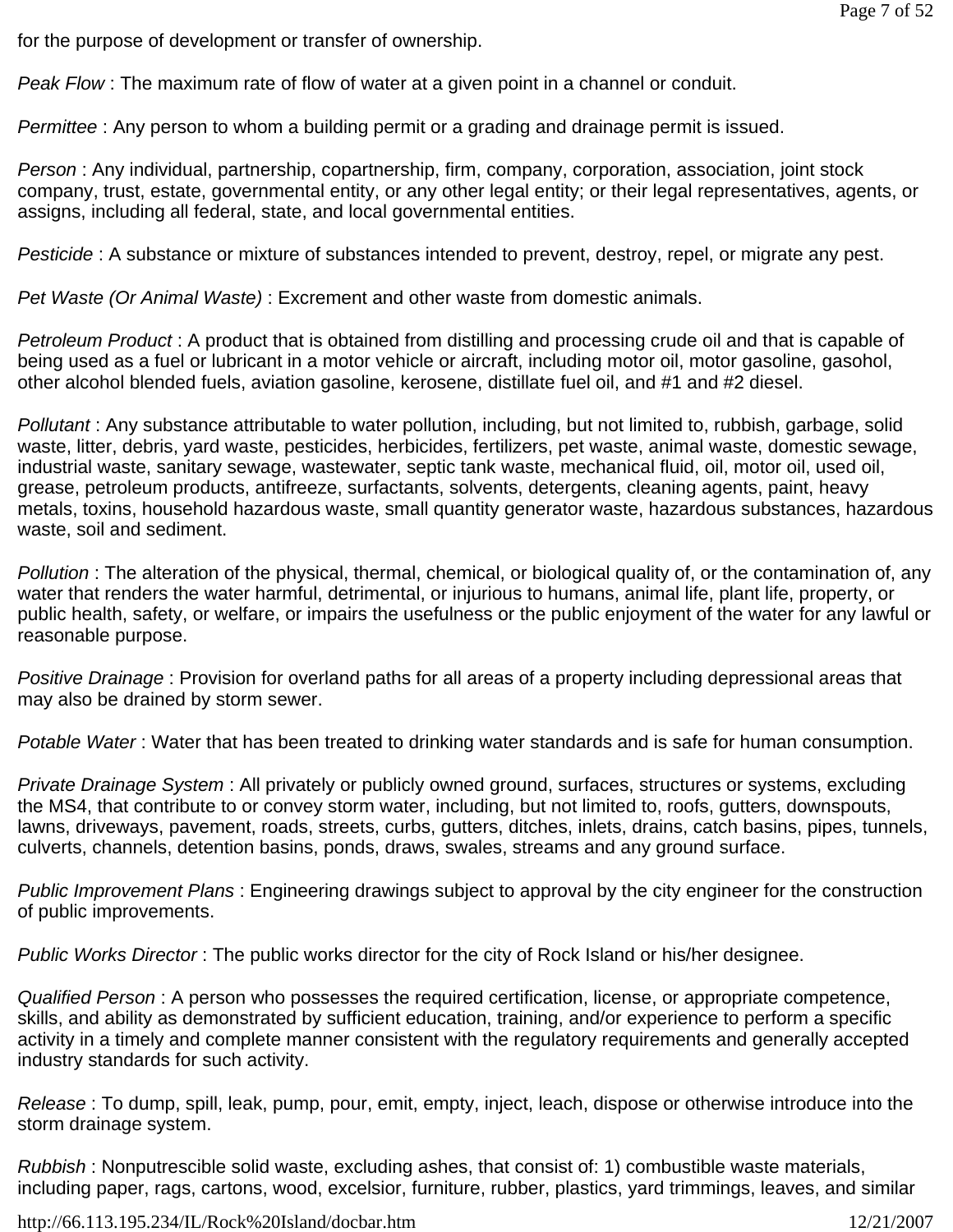for the purpose of development or transfer of ownership.

*Peak Flow* : The maximum rate of flow of water at a given point in a channel or conduit.

*Permittee* : Any person to whom a building permit or a grading and drainage permit is issued.

*Person* : Any individual, partnership, copartnership, firm, company, corporation, association, joint stock company, trust, estate, governmental entity, or any other legal entity; or their legal representatives, agents, or assigns, including all federal, state, and local governmental entities.

*Pesticide* : A substance or mixture of substances intended to prevent, destroy, repel, or migrate any pest.

*Pet Waste (Or Animal Waste)* : Excrement and other waste from domestic animals.

*Petroleum Product* : A product that is obtained from distilling and processing crude oil and that is capable of being used as a fuel or lubricant in a motor vehicle or aircraft, including motor oil, motor gasoline, gasohol, other alcohol blended fuels, aviation gasoline, kerosene, distillate fuel oil, and #1 and #2 diesel.

*Pollutant* : Any substance attributable to water pollution, including, but not limited to, rubbish, garbage, solid waste, litter, debris, yard waste, pesticides, herbicides, fertilizers, pet waste, animal waste, domestic sewage, industrial waste, sanitary sewage, wastewater, septic tank waste, mechanical fluid, oil, motor oil, used oil, grease, petroleum products, antifreeze, surfactants, solvents, detergents, cleaning agents, paint, heavy metals, toxins, household hazardous waste, small quantity generator waste, hazardous substances, hazardous waste, soil and sediment.

*Pollution* : The alteration of the physical, thermal, chemical, or biological quality of, or the contamination of, any water that renders the water harmful, detrimental, or injurious to humans, animal life, plant life, property, or public health, safety, or welfare, or impairs the usefulness or the public enjoyment of the water for any lawful or reasonable purpose.

*Positive Drainage* : Provision for overland paths for all areas of a property including depressional areas that may also be drained by storm sewer.

*Potable Water* : Water that has been treated to drinking water standards and is safe for human consumption.

*Private Drainage System* : All privately or publicly owned ground, surfaces, structures or systems, excluding the MS4, that contribute to or convey storm water, including, but not limited to, roofs, gutters, downspouts, lawns, driveways, pavement, roads, streets, curbs, gutters, ditches, inlets, drains, catch basins, pipes, tunnels, culverts, channels, detention basins, ponds, draws, swales, streams and any ground surface.

*Public Improvement Plans* : Engineering drawings subject to approval by the city engineer for the construction of public improvements.

*Public Works Director* : The public works director for the city of Rock Island or his/her designee.

*Qualified Person* : A person who possesses the required certification, license, or appropriate competence, skills, and ability as demonstrated by sufficient education, training, and/or experience to perform a specific activity in a timely and complete manner consistent with the regulatory requirements and generally accepted industry standards for such activity.

*Release* : To dump, spill, leak, pump, pour, emit, empty, inject, leach, dispose or otherwise introduce into the storm drainage system.

*Rubbish* : Nonputrescible solid waste, excluding ashes, that consist of: 1) combustible waste materials, including paper, rags, cartons, wood, excelsior, furniture, rubber, plastics, yard trimmings, leaves, and similar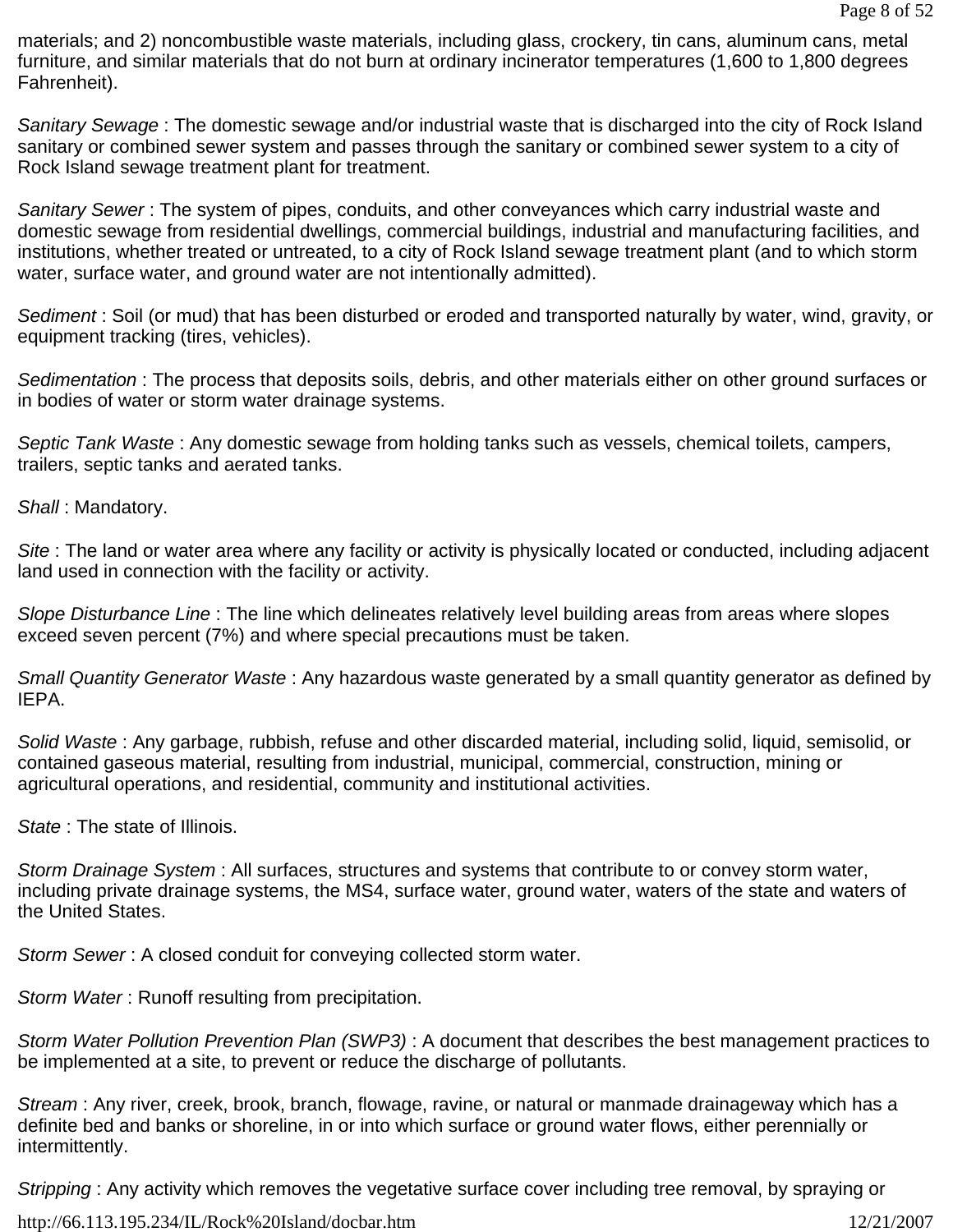materials; and 2) noncombustible waste materials, including glass, crockery, tin cans, aluminum cans, metal furniture, and similar materials that do not burn at ordinary incinerator temperatures (1,600 to 1,800 degrees Fahrenheit).

*Sanitary Sewage* : The domestic sewage and/or industrial waste that is discharged into the city of Rock Island sanitary or combined sewer system and passes through the sanitary or combined sewer system to a city of Rock Island sewage treatment plant for treatment.

*Sanitary Sewer* : The system of pipes, conduits, and other conveyances which carry industrial waste and domestic sewage from residential dwellings, commercial buildings, industrial and manufacturing facilities, and institutions, whether treated or untreated, to a city of Rock Island sewage treatment plant (and to which storm water, surface water, and ground water are not intentionally admitted).

*Sediment* : Soil (or mud) that has been disturbed or eroded and transported naturally by water, wind, gravity, or equipment tracking (tires, vehicles).

*Sedimentation* : The process that deposits soils, debris, and other materials either on other ground surfaces or in bodies of water or storm water drainage systems.

*Septic Tank Waste* : Any domestic sewage from holding tanks such as vessels, chemical toilets, campers, trailers, septic tanks and aerated tanks.

*Shall* : Mandatory.

*Site* : The land or water area where any facility or activity is physically located or conducted, including adjacent land used in connection with the facility or activity.

*Slope Disturbance Line* : The line which delineates relatively level building areas from areas where slopes exceed seven percent (7%) and where special precautions must be taken.

*Small Quantity Generator Waste* : Any hazardous waste generated by a small quantity generator as defined by IEPA.

*Solid Waste* : Any garbage, rubbish, refuse and other discarded material, including solid, liquid, semisolid, or contained gaseous material, resulting from industrial, municipal, commercial, construction, mining or agricultural operations, and residential, community and institutional activities.

*State* : The state of Illinois.

*Storm Drainage System* : All surfaces, structures and systems that contribute to or convey storm water, including private drainage systems, the MS4, surface water, ground water, waters of the state and waters of the United States.

*Storm Sewer* : A closed conduit for conveying collected storm water.

*Storm Water* : Runoff resulting from precipitation.

*Storm Water Pollution Prevention Plan (SWP3)* : A document that describes the best management practices to be implemented at a site, to prevent or reduce the discharge of pollutants.

*Stream* : Any river, creek, brook, branch, flowage, ravine, or natural or manmade drainageway which has a definite bed and banks or shoreline, in or into which surface or ground water flows, either perennially or intermittently.

*Stripping* : Any activity which removes the vegetative surface cover including tree removal, by spraying or

http://66.113.195.234/IL/Rock%20Island/docbar.htm 12/21/2007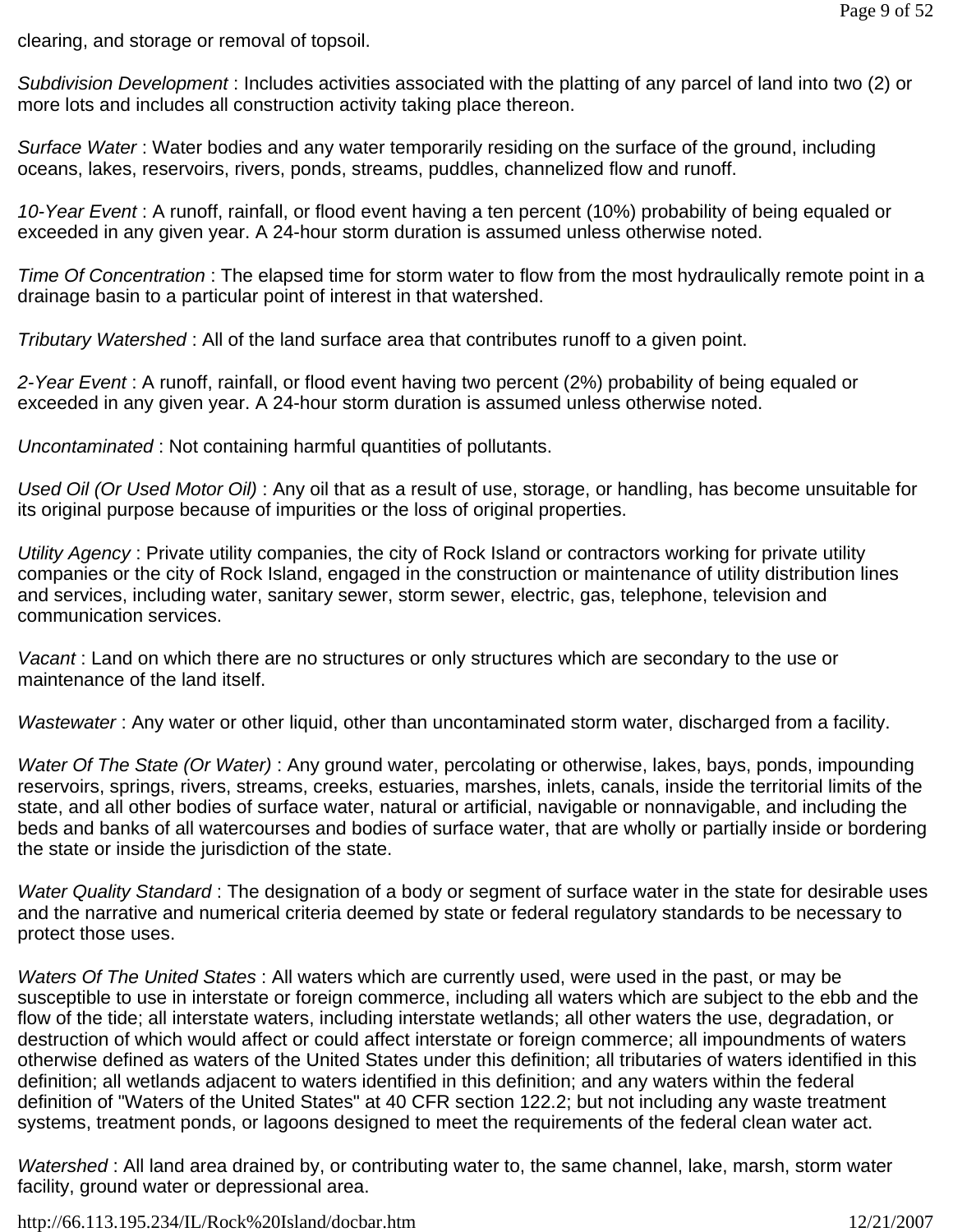clearing, and storage or removal of topsoil.

*Subdivision Development* : Includes activities associated with the platting of any parcel of land into two (2) or more lots and includes all construction activity taking place thereon.

*Surface Water* : Water bodies and any water temporarily residing on the surface of the ground, including oceans, lakes, reservoirs, rivers, ponds, streams, puddles, channelized flow and runoff.

*10-Year Event* : A runoff, rainfall, or flood event having a ten percent (10%) probability of being equaled or exceeded in any given year. A 24-hour storm duration is assumed unless otherwise noted.

*Time Of Concentration* : The elapsed time for storm water to flow from the most hydraulically remote point in a drainage basin to a particular point of interest in that watershed.

*Tributary Watershed* : All of the land surface area that contributes runoff to a given point.

*2-Year Event* : A runoff, rainfall, or flood event having two percent (2%) probability of being equaled or exceeded in any given year. A 24-hour storm duration is assumed unless otherwise noted.

*Uncontaminated* : Not containing harmful quantities of pollutants.

*Used Oil (Or Used Motor Oil)* : Any oil that as a result of use, storage, or handling, has become unsuitable for its original purpose because of impurities or the loss of original properties.

*Utility Agency* : Private utility companies, the city of Rock Island or contractors working for private utility companies or the city of Rock Island, engaged in the construction or maintenance of utility distribution lines and services, including water, sanitary sewer, storm sewer, electric, gas, telephone, television and communication services.

*Vacant* : Land on which there are no structures or only structures which are secondary to the use or maintenance of the land itself.

*Wastewater* : Any water or other liquid, other than uncontaminated storm water, discharged from a facility.

*Water Of The State (Or Water)* : Any ground water, percolating or otherwise, lakes, bays, ponds, impounding reservoirs, springs, rivers, streams, creeks, estuaries, marshes, inlets, canals, inside the territorial limits of the state, and all other bodies of surface water, natural or artificial, navigable or nonnavigable, and including the beds and banks of all watercourses and bodies of surface water, that are wholly or partially inside or bordering the state or inside the jurisdiction of the state.

*Water Quality Standard* : The designation of a body or segment of surface water in the state for desirable uses and the narrative and numerical criteria deemed by state or federal regulatory standards to be necessary to protect those uses.

*Waters Of The United States* : All waters which are currently used, were used in the past, or may be susceptible to use in interstate or foreign commerce, including all waters which are subject to the ebb and the flow of the tide; all interstate waters, including interstate wetlands; all other waters the use, degradation, or destruction of which would affect or could affect interstate or foreign commerce; all impoundments of waters otherwise defined as waters of the United States under this definition; all tributaries of waters identified in this definition; all wetlands adjacent to waters identified in this definition; and any waters within the federal definition of "Waters of the United States" at 40 CFR section 122.2; but not including any waste treatment systems, treatment ponds, or lagoons designed to meet the requirements of the federal clean water act.

*Watershed* : All land area drained by, or contributing water to, the same channel, lake, marsh, storm water facility, ground water or depressional area.

http://66.113.195.234/IL/Rock%20Island/docbar.htm 12/21/2007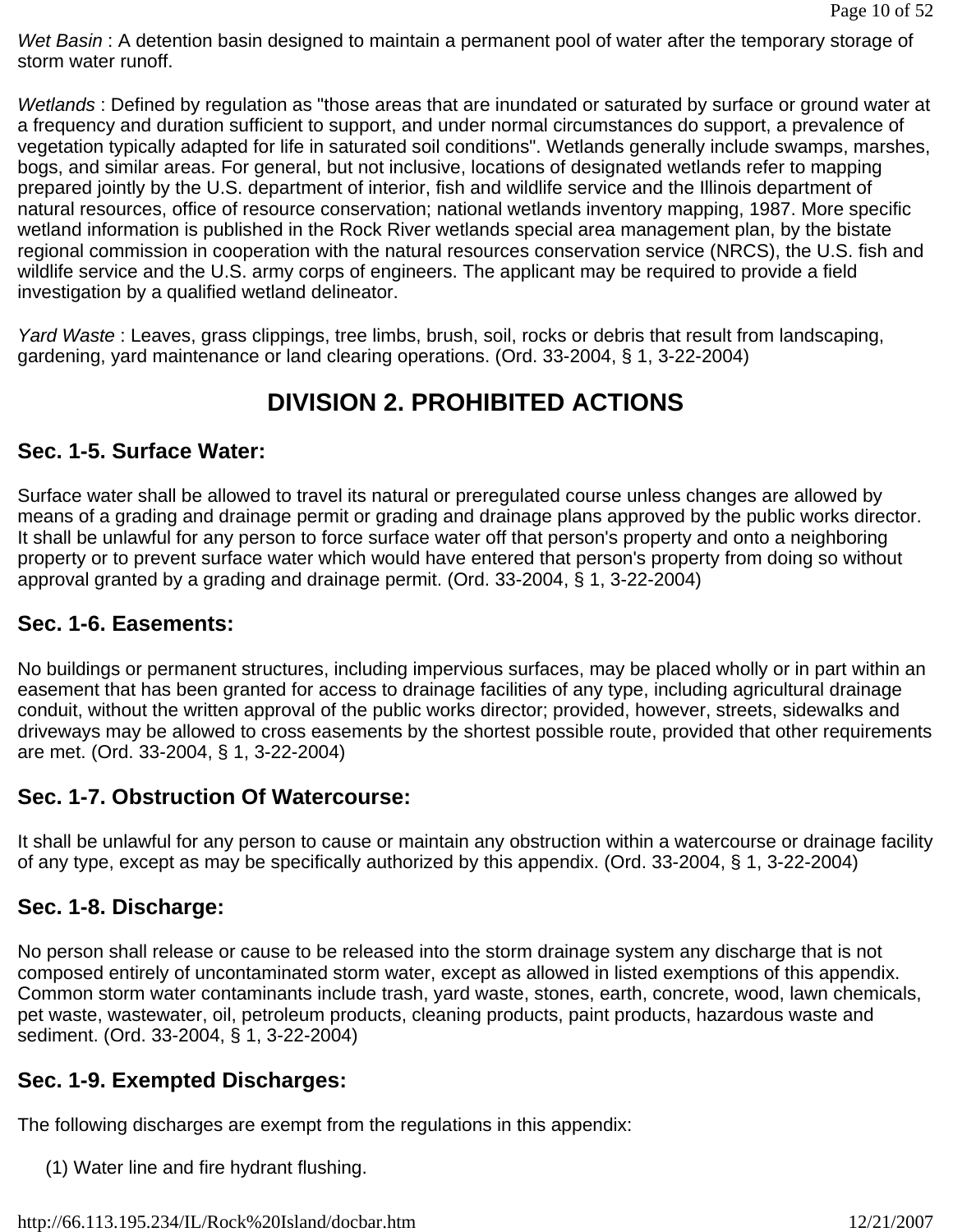*Wet Basin* : A detention basin designed to maintain a permanent pool of water after the temporary storage of storm water runoff.

*Wetlands* : Defined by regulation as "those areas that are inundated or saturated by surface or ground water at a frequency and duration sufficient to support, and under normal circumstances do support, a prevalence of vegetation typically adapted for life in saturated soil conditions". Wetlands generally include swamps, marshes, bogs, and similar areas. For general, but not inclusive, locations of designated wetlands refer to mapping prepared jointly by the U.S. department of interior, fish and wildlife service and the Illinois department of natural resources, office of resource conservation; national wetlands inventory mapping, 1987. More specific wetland information is published in the Rock River wetlands special area management plan, by the bistate regional commission in cooperation with the natural resources conservation service (NRCS), the U.S. fish and wildlife service and the U.S. army corps of engineers. The applicant may be required to provide a field investigation by a qualified wetland delineator.

*Yard Waste* : Leaves, grass clippings, tree limbs, brush, soil, rocks or debris that result from landscaping, gardening, yard maintenance or land clearing operations. (Ord. 33-2004, § 1, 3-22-2004)

# **DIVISION 2. PROHIBITED ACTIONS**

# **Sec. 1-5. Surface Water:**

Surface water shall be allowed to travel its natural or preregulated course unless changes are allowed by means of a grading and drainage permit or grading and drainage plans approved by the public works director. It shall be unlawful for any person to force surface water off that person's property and onto a neighboring property or to prevent surface water which would have entered that person's property from doing so without approval granted by a grading and drainage permit. (Ord. 33-2004, § 1, 3-22-2004)

### **Sec. 1-6. Easements:**

No buildings or permanent structures, including impervious surfaces, may be placed wholly or in part within an easement that has been granted for access to drainage facilities of any type, including agricultural drainage conduit, without the written approval of the public works director; provided, however, streets, sidewalks and driveways may be allowed to cross easements by the shortest possible route, provided that other requirements are met. (Ord. 33-2004, § 1, 3-22-2004)

### **Sec. 1-7. Obstruction Of Watercourse:**

It shall be unlawful for any person to cause or maintain any obstruction within a watercourse or drainage facility of any type, except as may be specifically authorized by this appendix. (Ord. 33-2004, § 1, 3-22-2004)

### **Sec. 1-8. Discharge:**

No person shall release or cause to be released into the storm drainage system any discharge that is not composed entirely of uncontaminated storm water, except as allowed in listed exemptions of this appendix. Common storm water contaminants include trash, yard waste, stones, earth, concrete, wood, lawn chemicals, pet waste, wastewater, oil, petroleum products, cleaning products, paint products, hazardous waste and sediment. (Ord. 33-2004, § 1, 3-22-2004)

### **Sec. 1-9. Exempted Discharges:**

The following discharges are exempt from the regulations in this appendix:

(1) Water line and fire hydrant flushing.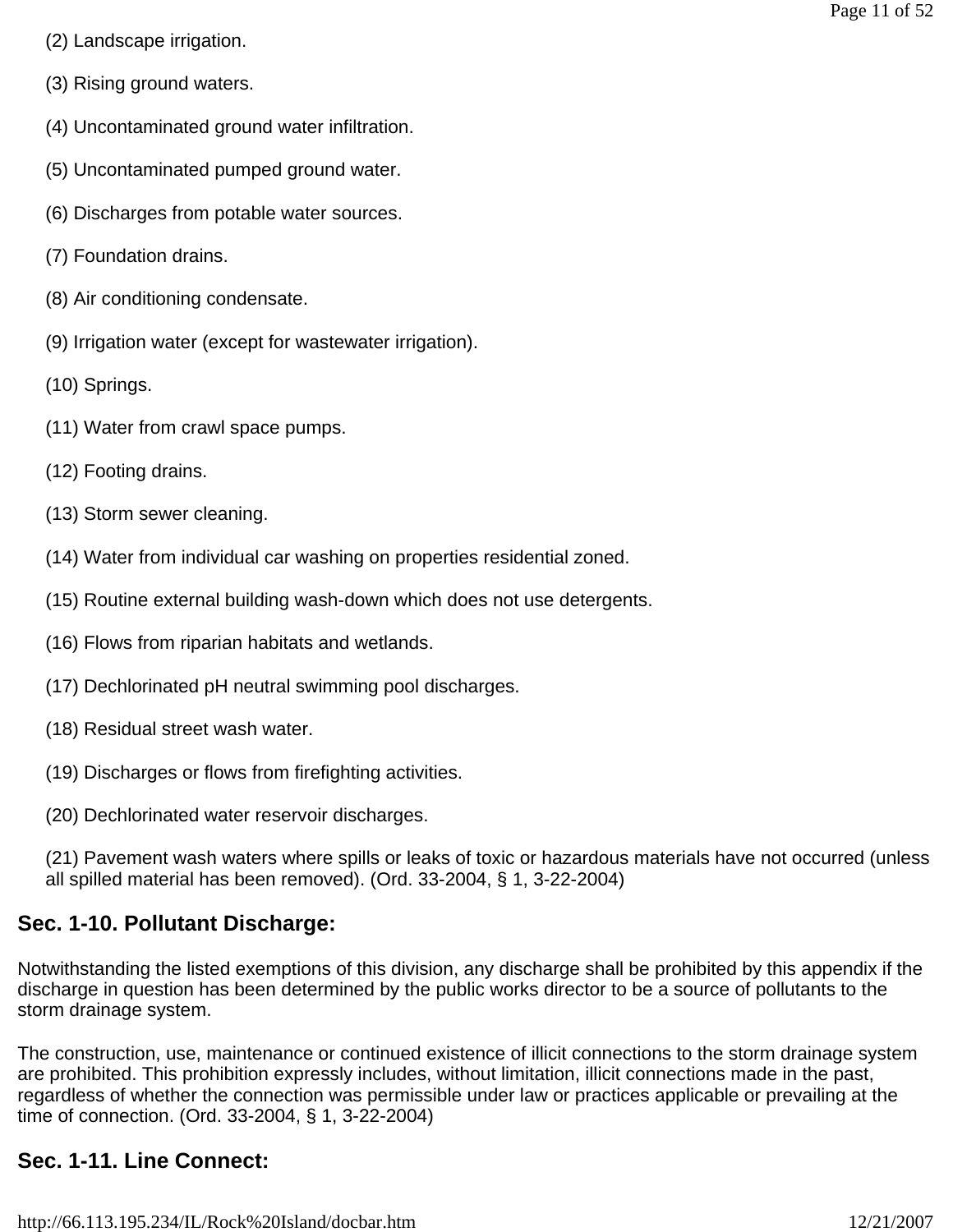- (2) Landscape irrigation.
- (3) Rising ground waters.
- (4) Uncontaminated ground water infiltration.
- (5) Uncontaminated pumped ground water.
- (6) Discharges from potable water sources.
- (7) Foundation drains.
- (8) Air conditioning condensate.
- (9) Irrigation water (except for wastewater irrigation).
- (10) Springs.
- (11) Water from crawl space pumps.
- (12) Footing drains.
- (13) Storm sewer cleaning.
- (14) Water from individual car washing on properties residential zoned.
- (15) Routine external building wash-down which does not use detergents.
- (16) Flows from riparian habitats and wetlands.
- (17) Dechlorinated pH neutral swimming pool discharges.
- (18) Residual street wash water.
- (19) Discharges or flows from firefighting activities.
- (20) Dechlorinated water reservoir discharges.
- (21) Pavement wash waters where spills or leaks of toxic or hazardous materials have not occurred (unless all spilled material has been removed). (Ord. 33-2004, § 1, 3-22-2004)

# **Sec. 1-10. Pollutant Discharge:**

Notwithstanding the listed exemptions of this division, any discharge shall be prohibited by this appendix if the discharge in question has been determined by the public works director to be a source of pollutants to the storm drainage system.

The construction, use, maintenance or continued existence of illicit connections to the storm drainage system are prohibited. This prohibition expressly includes, without limitation, illicit connections made in the past, regardless of whether the connection was permissible under law or practices applicable or prevailing at the time of connection. (Ord. 33-2004, § 1, 3-22-2004)

# **Sec. 1-11. Line Connect:**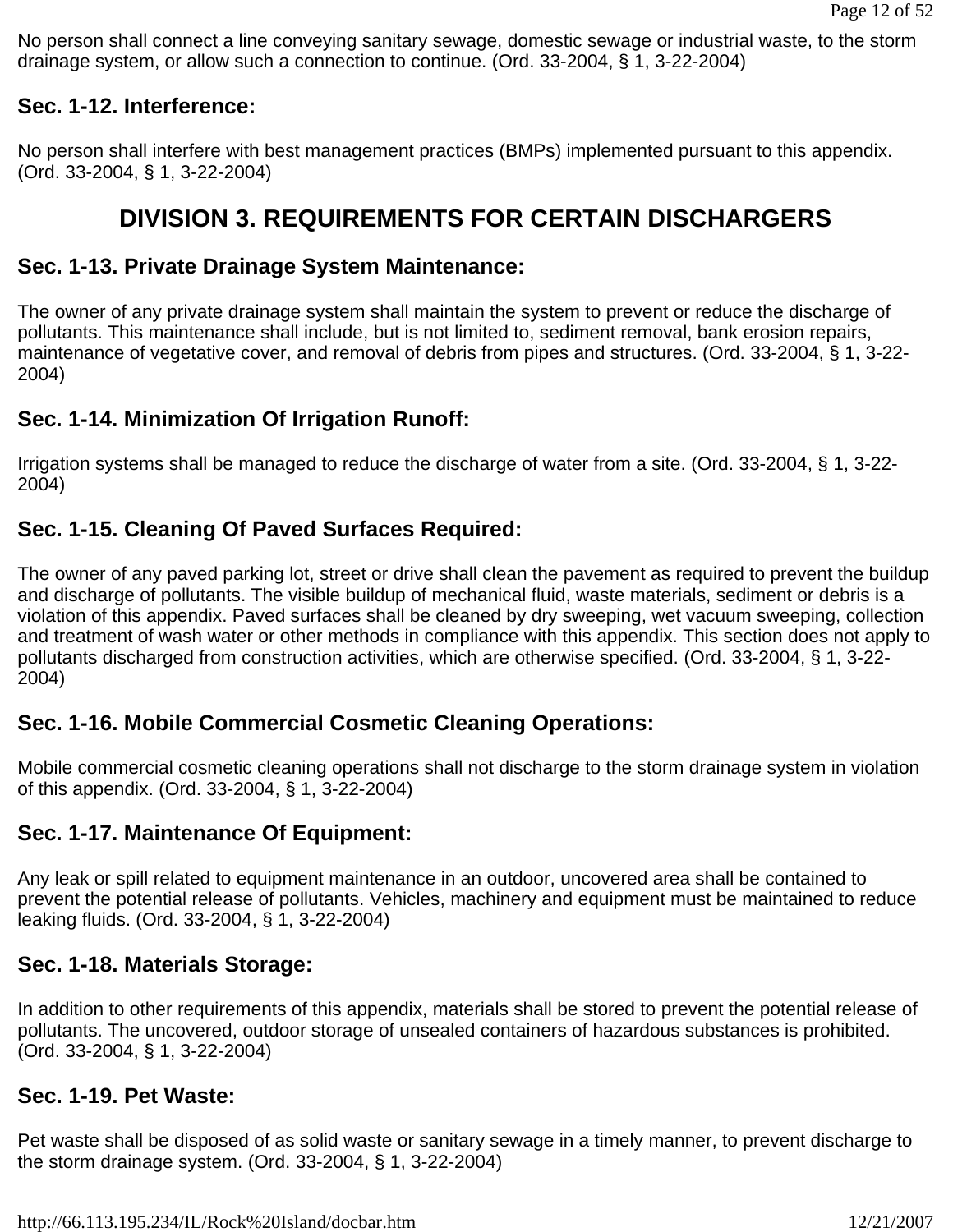No person shall connect a line conveying sanitary sewage, domestic sewage or industrial waste, to the storm drainage system, or allow such a connection to continue. (Ord. 33-2004, § 1, 3-22-2004)

#### **Sec. 1-12. Interference:**

No person shall interfere with best management practices (BMPs) implemented pursuant to this appendix. (Ord. 33-2004, § 1, 3-22-2004)

# **DIVISION 3. REQUIREMENTS FOR CERTAIN DISCHARGERS**

#### **Sec. 1-13. Private Drainage System Maintenance:**

The owner of any private drainage system shall maintain the system to prevent or reduce the discharge of pollutants. This maintenance shall include, but is not limited to, sediment removal, bank erosion repairs, maintenance of vegetative cover, and removal of debris from pipes and structures. (Ord. 33-2004, § 1, 3-22- 2004)

### **Sec. 1-14. Minimization Of Irrigation Runoff:**

Irrigation systems shall be managed to reduce the discharge of water from a site. (Ord. 33-2004, § 1, 3-22- 2004)

# **Sec. 1-15. Cleaning Of Paved Surfaces Required:**

The owner of any paved parking lot, street or drive shall clean the pavement as required to prevent the buildup and discharge of pollutants. The visible buildup of mechanical fluid, waste materials, sediment or debris is a violation of this appendix. Paved surfaces shall be cleaned by dry sweeping, wet vacuum sweeping, collection and treatment of wash water or other methods in compliance with this appendix. This section does not apply to pollutants discharged from construction activities, which are otherwise specified. (Ord. 33-2004, § 1, 3-22- 2004)

### **Sec. 1-16. Mobile Commercial Cosmetic Cleaning Operations:**

Mobile commercial cosmetic cleaning operations shall not discharge to the storm drainage system in violation of this appendix. (Ord. 33-2004, § 1, 3-22-2004)

### **Sec. 1-17. Maintenance Of Equipment:**

Any leak or spill related to equipment maintenance in an outdoor, uncovered area shall be contained to prevent the potential release of pollutants. Vehicles, machinery and equipment must be maintained to reduce leaking fluids. (Ord. 33-2004, § 1, 3-22-2004)

### **Sec. 1-18. Materials Storage:**

In addition to other requirements of this appendix, materials shall be stored to prevent the potential release of pollutants. The uncovered, outdoor storage of unsealed containers of hazardous substances is prohibited. (Ord. 33-2004, § 1, 3-22-2004)

#### **Sec. 1-19. Pet Waste:**

Pet waste shall be disposed of as solid waste or sanitary sewage in a timely manner, to prevent discharge to the storm drainage system. (Ord. 33-2004, § 1, 3-22-2004)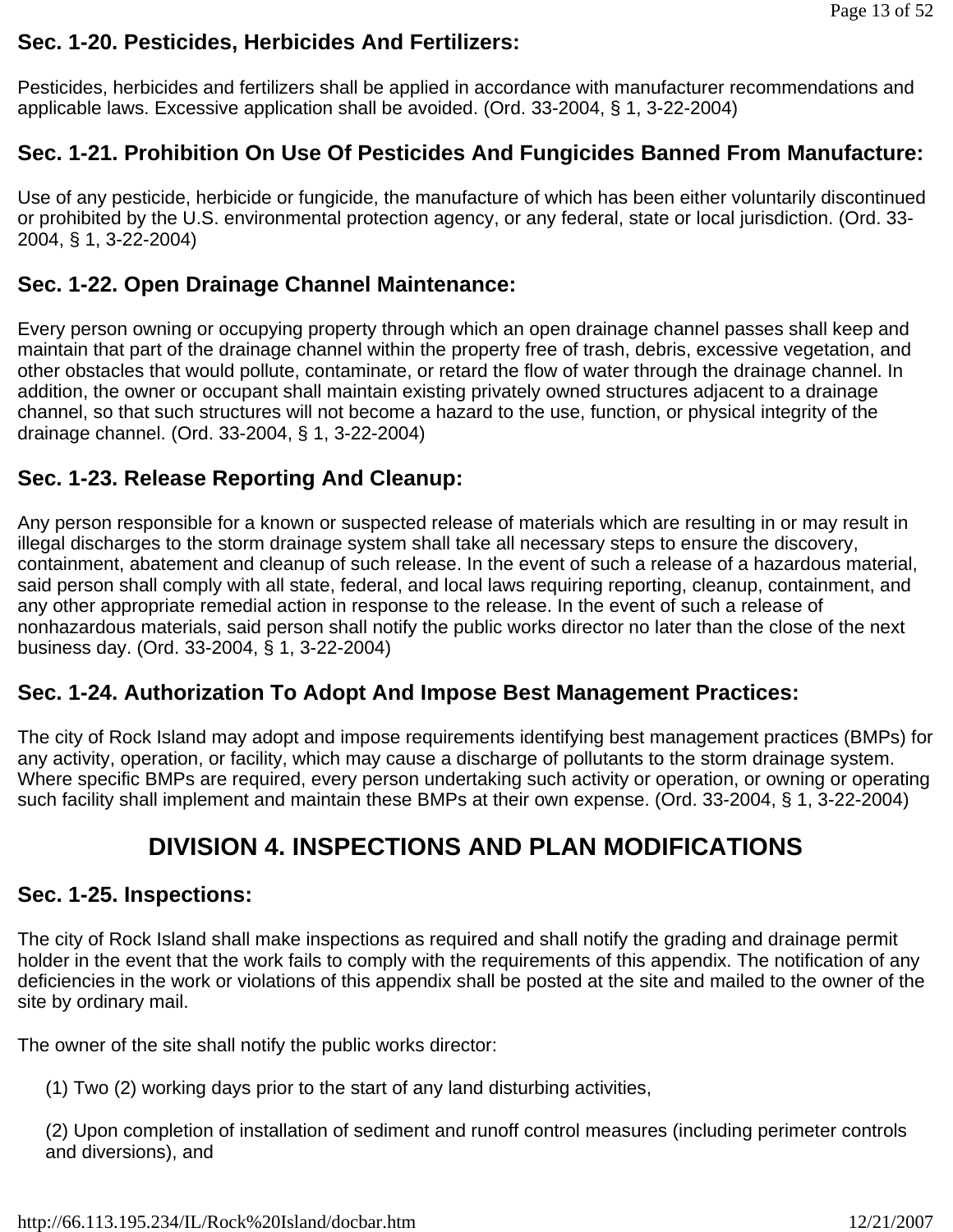## **Sec. 1-20. Pesticides, Herbicides And Fertilizers:**

Pesticides, herbicides and fertilizers shall be applied in accordance with manufacturer recommendations and applicable laws. Excessive application shall be avoided. (Ord. 33-2004, § 1, 3-22-2004)

# **Sec. 1-21. Prohibition On Use Of Pesticides And Fungicides Banned From Manufacture:**

Use of any pesticide, herbicide or fungicide, the manufacture of which has been either voluntarily discontinued or prohibited by the U.S. environmental protection agency, or any federal, state or local jurisdiction. (Ord. 33- 2004, § 1, 3-22-2004)

## **Sec. 1-22. Open Drainage Channel Maintenance:**

Every person owning or occupying property through which an open drainage channel passes shall keep and maintain that part of the drainage channel within the property free of trash, debris, excessive vegetation, and other obstacles that would pollute, contaminate, or retard the flow of water through the drainage channel. In addition, the owner or occupant shall maintain existing privately owned structures adjacent to a drainage channel, so that such structures will not become a hazard to the use, function, or physical integrity of the drainage channel. (Ord. 33-2004, § 1, 3-22-2004)

# **Sec. 1-23. Release Reporting And Cleanup:**

Any person responsible for a known or suspected release of materials which are resulting in or may result in illegal discharges to the storm drainage system shall take all necessary steps to ensure the discovery, containment, abatement and cleanup of such release. In the event of such a release of a hazardous material, said person shall comply with all state, federal, and local laws requiring reporting, cleanup, containment, and any other appropriate remedial action in response to the release. In the event of such a release of nonhazardous materials, said person shall notify the public works director no later than the close of the next business day. (Ord. 33-2004, § 1, 3-22-2004)

### **Sec. 1-24. Authorization To Adopt And Impose Best Management Practices:**

The city of Rock Island may adopt and impose requirements identifying best management practices (BMPs) for any activity, operation, or facility, which may cause a discharge of pollutants to the storm drainage system. Where specific BMPs are required, every person undertaking such activity or operation, or owning or operating such facility shall implement and maintain these BMPs at their own expense. (Ord. 33-2004, § 1, 3-22-2004)

# **DIVISION 4. INSPECTIONS AND PLAN MODIFICATIONS**

#### **Sec. 1-25. Inspections:**

The city of Rock Island shall make inspections as required and shall notify the grading and drainage permit holder in the event that the work fails to comply with the requirements of this appendix. The notification of any deficiencies in the work or violations of this appendix shall be posted at the site and mailed to the owner of the site by ordinary mail.

The owner of the site shall notify the public works director:

(1) Two (2) working days prior to the start of any land disturbing activities,

(2) Upon completion of installation of sediment and runoff control measures (including perimeter controls and diversions), and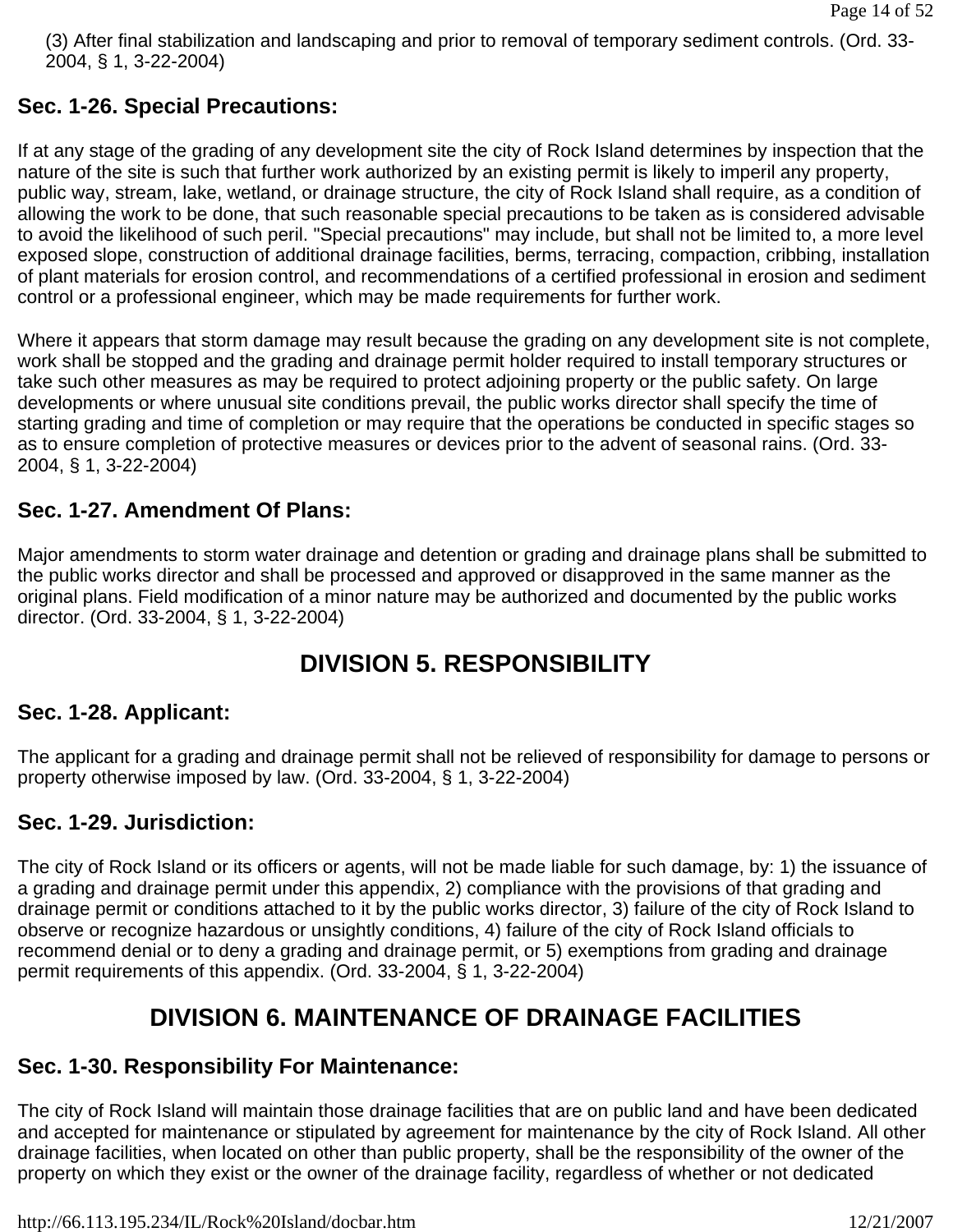(3) After final stabilization and landscaping and prior to removal of temporary sediment controls. (Ord. 33- 2004, § 1, 3-22-2004)

## **Sec. 1-26. Special Precautions:**

If at any stage of the grading of any development site the city of Rock Island determines by inspection that the nature of the site is such that further work authorized by an existing permit is likely to imperil any property, public way, stream, lake, wetland, or drainage structure, the city of Rock Island shall require, as a condition of allowing the work to be done, that such reasonable special precautions to be taken as is considered advisable to avoid the likelihood of such peril. "Special precautions" may include, but shall not be limited to, a more level exposed slope, construction of additional drainage facilities, berms, terracing, compaction, cribbing, installation of plant materials for erosion control, and recommendations of a certified professional in erosion and sediment control or a professional engineer, which may be made requirements for further work.

Where it appears that storm damage may result because the grading on any development site is not complete, work shall be stopped and the grading and drainage permit holder required to install temporary structures or take such other measures as may be required to protect adjoining property or the public safety. On large developments or where unusual site conditions prevail, the public works director shall specify the time of starting grading and time of completion or may require that the operations be conducted in specific stages so as to ensure completion of protective measures or devices prior to the advent of seasonal rains. (Ord. 33- 2004, § 1, 3-22-2004)

# **Sec. 1-27. Amendment Of Plans:**

Major amendments to storm water drainage and detention or grading and drainage plans shall be submitted to the public works director and shall be processed and approved or disapproved in the same manner as the original plans. Field modification of a minor nature may be authorized and documented by the public works director. (Ord. 33-2004, § 1, 3-22-2004)

# **DIVISION 5. RESPONSIBILITY**

### **Sec. 1-28. Applicant:**

The applicant for a grading and drainage permit shall not be relieved of responsibility for damage to persons or property otherwise imposed by law. (Ord. 33-2004, § 1, 3-22-2004)

### **Sec. 1-29. Jurisdiction:**

The city of Rock Island or its officers or agents, will not be made liable for such damage, by: 1) the issuance of a grading and drainage permit under this appendix, 2) compliance with the provisions of that grading and drainage permit or conditions attached to it by the public works director, 3) failure of the city of Rock Island to observe or recognize hazardous or unsightly conditions, 4) failure of the city of Rock Island officials to recommend denial or to deny a grading and drainage permit, or 5) exemptions from grading and drainage permit requirements of this appendix. (Ord. 33-2004, § 1, 3-22-2004)

# **DIVISION 6. MAINTENANCE OF DRAINAGE FACILITIES**

### **Sec. 1-30. Responsibility For Maintenance:**

The city of Rock Island will maintain those drainage facilities that are on public land and have been dedicated and accepted for maintenance or stipulated by agreement for maintenance by the city of Rock Island. All other drainage facilities, when located on other than public property, shall be the responsibility of the owner of the property on which they exist or the owner of the drainage facility, regardless of whether or not dedicated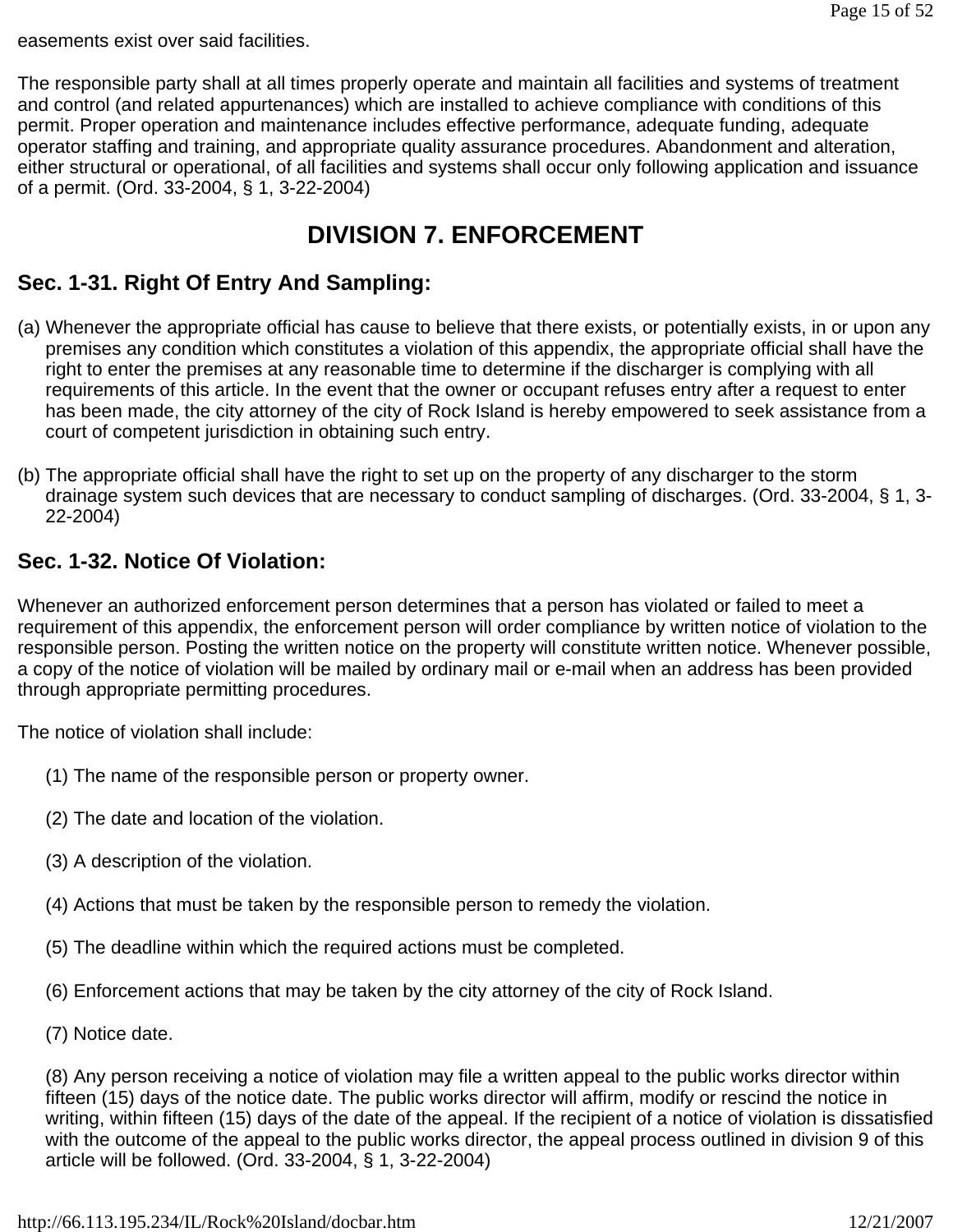easements exist over said facilities.

The responsible party shall at all times properly operate and maintain all facilities and systems of treatment and control (and related appurtenances) which are installed to achieve compliance with conditions of this permit. Proper operation and maintenance includes effective performance, adequate funding, adequate operator staffing and training, and appropriate quality assurance procedures. Abandonment and alteration, either structural or operational, of all facilities and systems shall occur only following application and issuance of a permit. (Ord. 33-2004, § 1, 3-22-2004)

# **DIVISION 7. ENFORCEMENT**

# **Sec. 1-31. Right Of Entry And Sampling:**

- (a) Whenever the appropriate official has cause to believe that there exists, or potentially exists, in or upon any premises any condition which constitutes a violation of this appendix, the appropriate official shall have the right to enter the premises at any reasonable time to determine if the discharger is complying with all requirements of this article. In the event that the owner or occupant refuses entry after a request to enter has been made, the city attorney of the city of Rock Island is hereby empowered to seek assistance from a court of competent jurisdiction in obtaining such entry.
- (b) The appropriate official shall have the right to set up on the property of any discharger to the storm drainage system such devices that are necessary to conduct sampling of discharges. (Ord. 33-2004, § 1, 3- 22-2004)

### **Sec. 1-32. Notice Of Violation:**

Whenever an authorized enforcement person determines that a person has violated or failed to meet a requirement of this appendix, the enforcement person will order compliance by written notice of violation to the responsible person. Posting the written notice on the property will constitute written notice. Whenever possible, a copy of the notice of violation will be mailed by ordinary mail or e-mail when an address has been provided through appropriate permitting procedures.

The notice of violation shall include:

- (1) The name of the responsible person or property owner.
- (2) The date and location of the violation.
- (3) A description of the violation.
- (4) Actions that must be taken by the responsible person to remedy the violation.
- (5) The deadline within which the required actions must be completed.
- (6) Enforcement actions that may be taken by the city attorney of the city of Rock Island.
- (7) Notice date.

(8) Any person receiving a notice of violation may file a written appeal to the public works director within fifteen (15) days of the notice date. The public works director will affirm, modify or rescind the notice in writing, within fifteen (15) days of the date of the appeal. If the recipient of a notice of violation is dissatisfied with the outcome of the appeal to the public works director, the appeal process outlined in division 9 of this article will be followed. (Ord. 33-2004, § 1, 3-22-2004)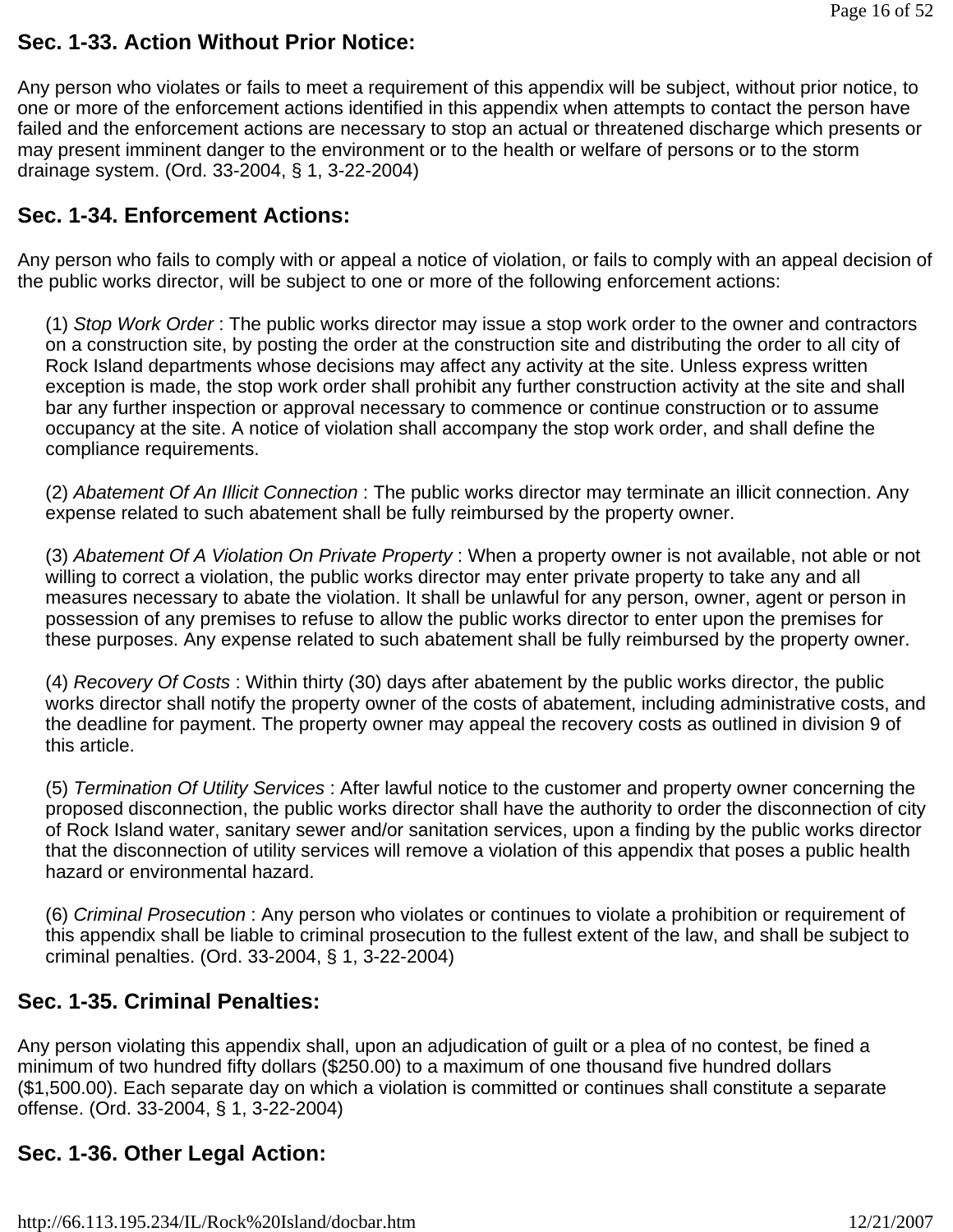### **Sec. 1-33. Action Without Prior Notice:**

Any person who violates or fails to meet a requirement of this appendix will be subject, without prior notice, to one or more of the enforcement actions identified in this appendix when attempts to contact the person have failed and the enforcement actions are necessary to stop an actual or threatened discharge which presents or may present imminent danger to the environment or to the health or welfare of persons or to the storm drainage system. (Ord. 33-2004, § 1, 3-22-2004)

## **Sec. 1-34. Enforcement Actions:**

Any person who fails to comply with or appeal a notice of violation, or fails to comply with an appeal decision of the public works director, will be subject to one or more of the following enforcement actions:

(1) *Stop Work Order* : The public works director may issue a stop work order to the owner and contractors on a construction site, by posting the order at the construction site and distributing the order to all city of Rock Island departments whose decisions may affect any activity at the site. Unless express written exception is made, the stop work order shall prohibit any further construction activity at the site and shall bar any further inspection or approval necessary to commence or continue construction or to assume occupancy at the site. A notice of violation shall accompany the stop work order, and shall define the compliance requirements.

(2) *Abatement Of An Illicit Connection* : The public works director may terminate an illicit connection. Any expense related to such abatement shall be fully reimbursed by the property owner.

(3) *Abatement Of A Violation On Private Property* : When a property owner is not available, not able or not willing to correct a violation, the public works director may enter private property to take any and all measures necessary to abate the violation. It shall be unlawful for any person, owner, agent or person in possession of any premises to refuse to allow the public works director to enter upon the premises for these purposes. Any expense related to such abatement shall be fully reimbursed by the property owner.

(4) *Recovery Of Costs* : Within thirty (30) days after abatement by the public works director, the public works director shall notify the property owner of the costs of abatement, including administrative costs, and the deadline for payment. The property owner may appeal the recovery costs as outlined in division 9 of this article.

(5) *Termination Of Utility Services* : After lawful notice to the customer and property owner concerning the proposed disconnection, the public works director shall have the authority to order the disconnection of city of Rock Island water, sanitary sewer and/or sanitation services, upon a finding by the public works director that the disconnection of utility services will remove a violation of this appendix that poses a public health hazard or environmental hazard.

(6) *Criminal Prosecution* : Any person who violates or continues to violate a prohibition or requirement of this appendix shall be liable to criminal prosecution to the fullest extent of the law, and shall be subject to criminal penalties. (Ord. 33-2004, § 1, 3-22-2004)

### **Sec. 1-35. Criminal Penalties:**

Any person violating this appendix shall, upon an adjudication of guilt or a plea of no contest, be fined a minimum of two hundred fifty dollars (\$250.00) to a maximum of one thousand five hundred dollars (\$1,500.00). Each separate day on which a violation is committed or continues shall constitute a separate offense. (Ord. 33-2004, § 1, 3-22-2004)

# **Sec. 1-36. Other Legal Action:**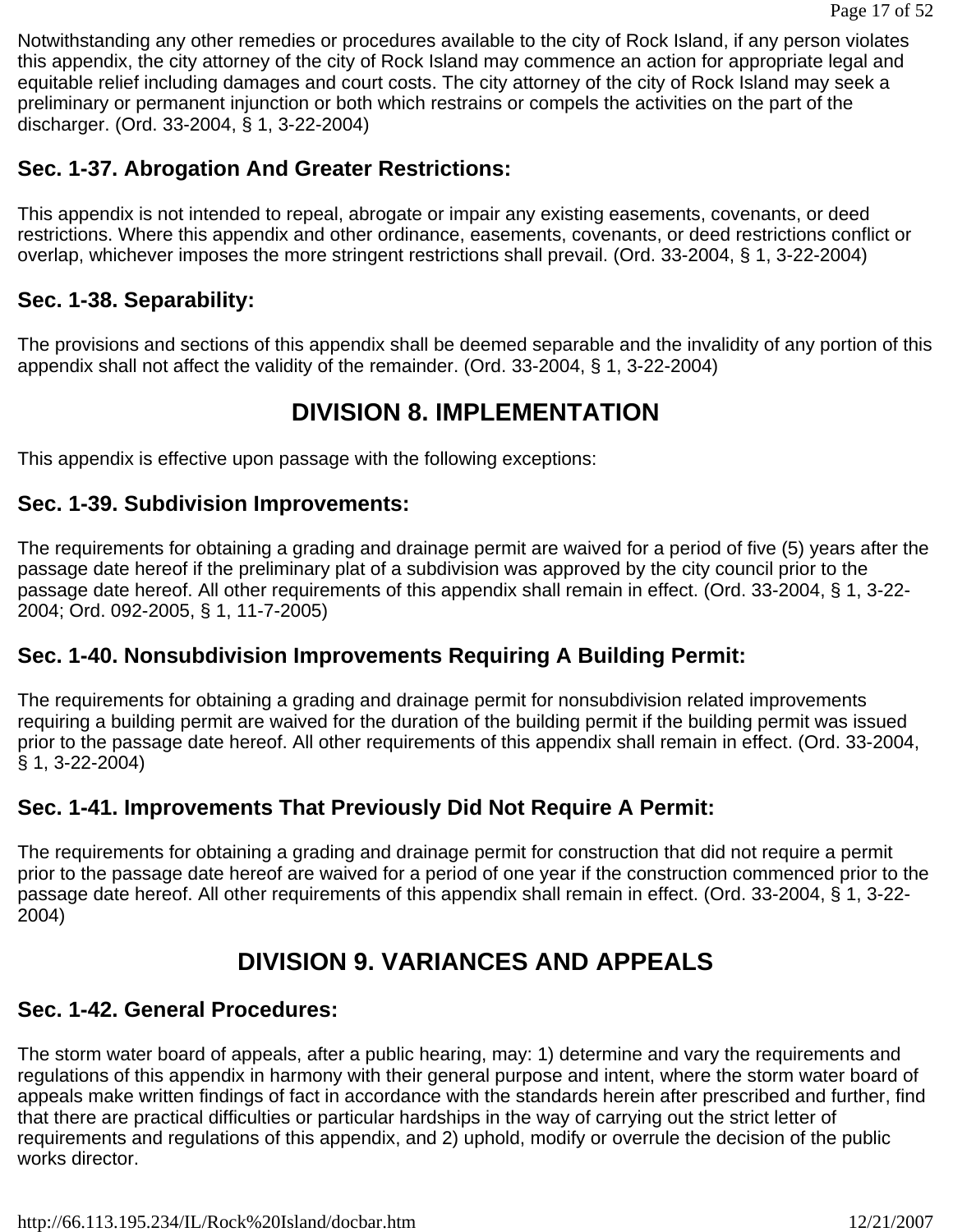Notwithstanding any other remedies or procedures available to the city of Rock Island, if any person violates this appendix, the city attorney of the city of Rock Island may commence an action for appropriate legal and equitable relief including damages and court costs. The city attorney of the city of Rock Island may seek a preliminary or permanent injunction or both which restrains or compels the activities on the part of the discharger. (Ord. 33-2004, § 1, 3-22-2004)

# **Sec. 1-37. Abrogation And Greater Restrictions:**

This appendix is not intended to repeal, abrogate or impair any existing easements, covenants, or deed restrictions. Where this appendix and other ordinance, easements, covenants, or deed restrictions conflict or overlap, whichever imposes the more stringent restrictions shall prevail. (Ord. 33-2004, § 1, 3-22-2004)

## **Sec. 1-38. Separability:**

The provisions and sections of this appendix shall be deemed separable and the invalidity of any portion of this appendix shall not affect the validity of the remainder. (Ord. 33-2004, § 1, 3-22-2004)

# **DIVISION 8. IMPLEMENTATION**

This appendix is effective upon passage with the following exceptions:

### **Sec. 1-39. Subdivision Improvements:**

The requirements for obtaining a grading and drainage permit are waived for a period of five (5) years after the passage date hereof if the preliminary plat of a subdivision was approved by the city council prior to the passage date hereof. All other requirements of this appendix shall remain in effect. (Ord. 33-2004, § 1, 3-22- 2004; Ord. 092-2005, § 1, 11-7-2005)

### **Sec. 1-40. Nonsubdivision Improvements Requiring A Building Permit:**

The requirements for obtaining a grading and drainage permit for nonsubdivision related improvements requiring a building permit are waived for the duration of the building permit if the building permit was issued prior to the passage date hereof. All other requirements of this appendix shall remain in effect. (Ord. 33-2004, § 1, 3-22-2004)

# **Sec. 1-41. Improvements That Previously Did Not Require A Permit:**

The requirements for obtaining a grading and drainage permit for construction that did not require a permit prior to the passage date hereof are waived for a period of one year if the construction commenced prior to the passage date hereof. All other requirements of this appendix shall remain in effect. (Ord. 33-2004, § 1, 3-22- 2004)

# **DIVISION 9. VARIANCES AND APPEALS**

### **Sec. 1-42. General Procedures:**

The storm water board of appeals, after a public hearing, may: 1) determine and vary the requirements and regulations of this appendix in harmony with their general purpose and intent, where the storm water board of appeals make written findings of fact in accordance with the standards herein after prescribed and further, find that there are practical difficulties or particular hardships in the way of carrying out the strict letter of requirements and regulations of this appendix, and 2) uphold, modify or overrule the decision of the public works director.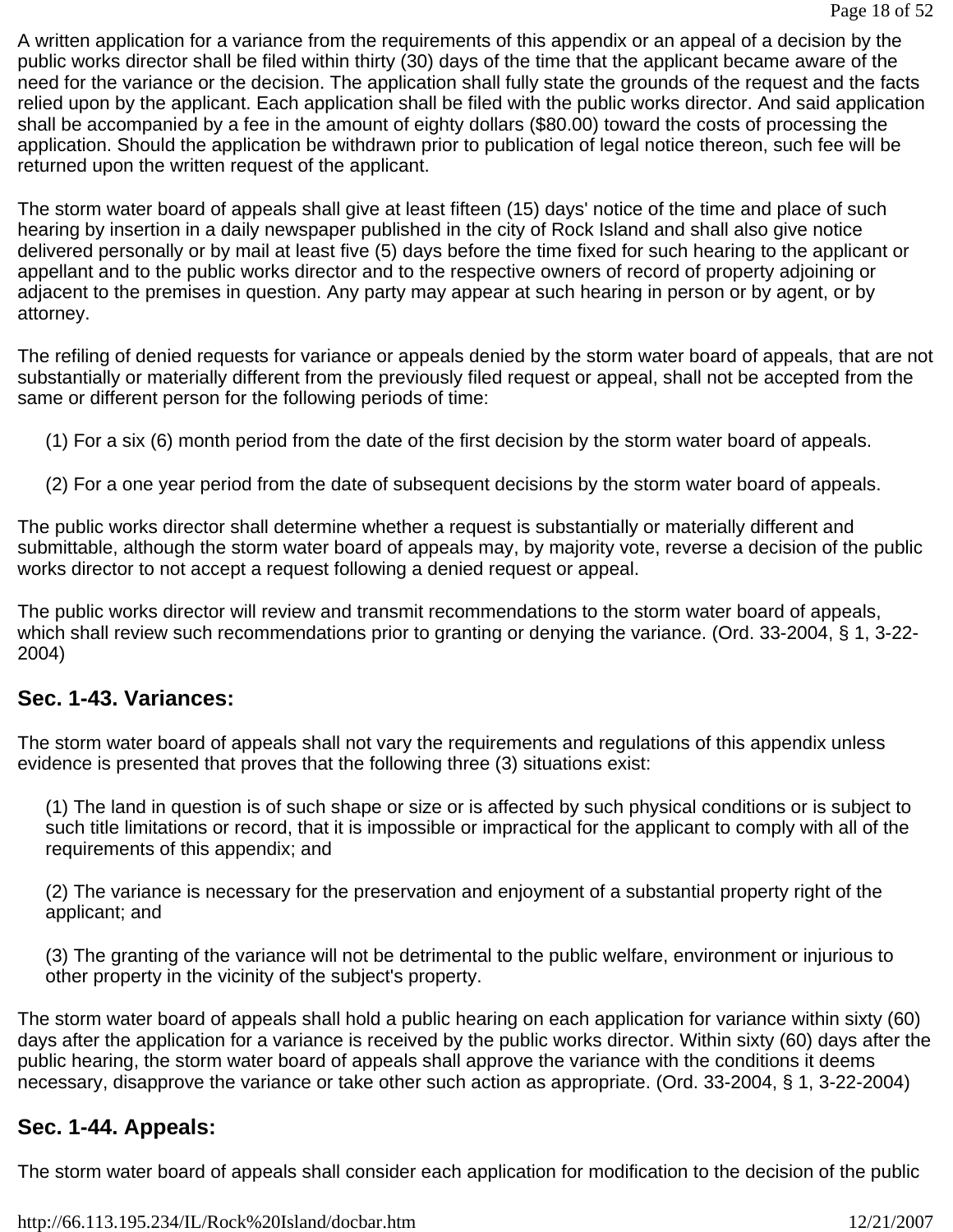A written application for a variance from the requirements of this appendix or an appeal of a decision by the public works director shall be filed within thirty (30) days of the time that the applicant became aware of the need for the variance or the decision. The application shall fully state the grounds of the request and the facts relied upon by the applicant. Each application shall be filed with the public works director. And said application shall be accompanied by a fee in the amount of eighty dollars (\$80.00) toward the costs of processing the application. Should the application be withdrawn prior to publication of legal notice thereon, such fee will be returned upon the written request of the applicant.

The storm water board of appeals shall give at least fifteen (15) days' notice of the time and place of such hearing by insertion in a daily newspaper published in the city of Rock Island and shall also give notice delivered personally or by mail at least five (5) days before the time fixed for such hearing to the applicant or appellant and to the public works director and to the respective owners of record of property adjoining or adjacent to the premises in question. Any party may appear at such hearing in person or by agent, or by attorney.

The refiling of denied requests for variance or appeals denied by the storm water board of appeals, that are not substantially or materially different from the previously filed request or appeal, shall not be accepted from the same or different person for the following periods of time:

- (1) For a six (6) month period from the date of the first decision by the storm water board of appeals.
- (2) For a one year period from the date of subsequent decisions by the storm water board of appeals.

The public works director shall determine whether a request is substantially or materially different and submittable, although the storm water board of appeals may, by majority vote, reverse a decision of the public works director to not accept a request following a denied request or appeal.

The public works director will review and transmit recommendations to the storm water board of appeals, which shall review such recommendations prior to granting or denying the variance. (Ord. 33-2004, § 1, 3-22-2004)

### **Sec. 1-43. Variances:**

The storm water board of appeals shall not vary the requirements and regulations of this appendix unless evidence is presented that proves that the following three (3) situations exist:

(1) The land in question is of such shape or size or is affected by such physical conditions or is subject to such title limitations or record, that it is impossible or impractical for the applicant to comply with all of the requirements of this appendix; and

(2) The variance is necessary for the preservation and enjoyment of a substantial property right of the applicant; and

(3) The granting of the variance will not be detrimental to the public welfare, environment or injurious to other property in the vicinity of the subject's property.

The storm water board of appeals shall hold a public hearing on each application for variance within sixty (60) days after the application for a variance is received by the public works director. Within sixty (60) days after the public hearing, the storm water board of appeals shall approve the variance with the conditions it deems necessary, disapprove the variance or take other such action as appropriate. (Ord. 33-2004, § 1, 3-22-2004)

# **Sec. 1-44. Appeals:**

The storm water board of appeals shall consider each application for modification to the decision of the public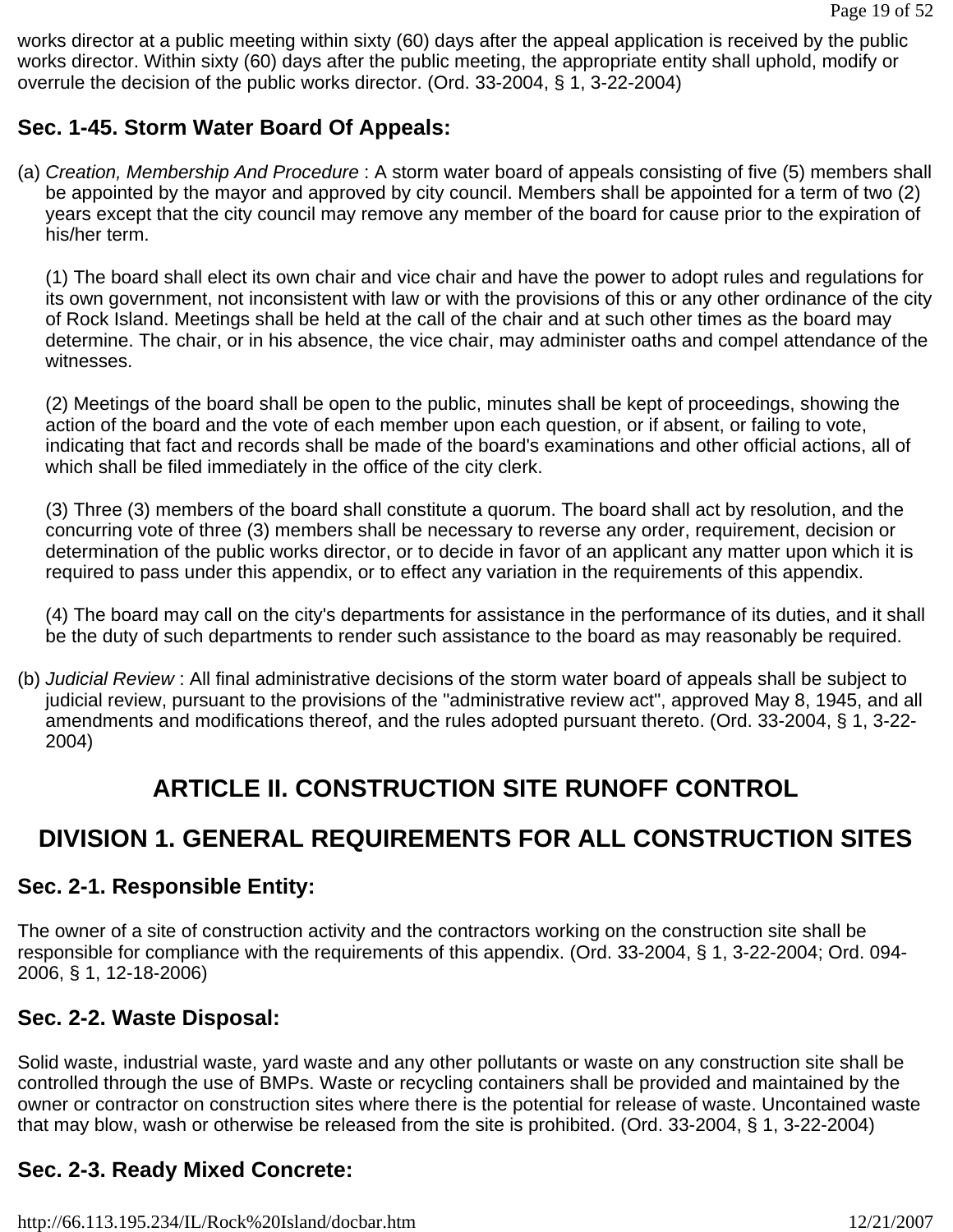works director at a public meeting within sixty (60) days after the appeal application is received by the public works director. Within sixty (60) days after the public meeting, the appropriate entity shall uphold, modify or overrule the decision of the public works director. (Ord. 33-2004, § 1, 3-22-2004)

## **Sec. 1-45. Storm Water Board Of Appeals:**

(a) *Creation, Membership And Procedure* : A storm water board of appeals consisting of five (5) members shall be appointed by the mayor and approved by city council. Members shall be appointed for a term of two (2) years except that the city council may remove any member of the board for cause prior to the expiration of his/her term.

(1) The board shall elect its own chair and vice chair and have the power to adopt rules and regulations for its own government, not inconsistent with law or with the provisions of this or any other ordinance of the city of Rock Island. Meetings shall be held at the call of the chair and at such other times as the board may determine. The chair, or in his absence, the vice chair, may administer oaths and compel attendance of the witnesses.

(2) Meetings of the board shall be open to the public, minutes shall be kept of proceedings, showing the action of the board and the vote of each member upon each question, or if absent, or failing to vote, indicating that fact and records shall be made of the board's examinations and other official actions, all of which shall be filed immediately in the office of the city clerk.

(3) Three (3) members of the board shall constitute a quorum. The board shall act by resolution, and the concurring vote of three (3) members shall be necessary to reverse any order, requirement, decision or determination of the public works director, or to decide in favor of an applicant any matter upon which it is required to pass under this appendix, or to effect any variation in the requirements of this appendix.

(4) The board may call on the city's departments for assistance in the performance of its duties, and it shall be the duty of such departments to render such assistance to the board as may reasonably be required.

(b) *Judicial Review* : All final administrative decisions of the storm water board of appeals shall be subject to judicial review, pursuant to the provisions of the "administrative review act", approved May 8, 1945, and all amendments and modifications thereof, and the rules adopted pursuant thereto. (Ord. 33-2004, § 1, 3-22- 2004)

# **ARTICLE II. CONSTRUCTION SITE RUNOFF CONTROL**

# **DIVISION 1. GENERAL REQUIREMENTS FOR ALL CONSTRUCTION SITES**

### **Sec. 2-1. Responsible Entity:**

The owner of a site of construction activity and the contractors working on the construction site shall be responsible for compliance with the requirements of this appendix. (Ord. 33-2004, § 1, 3-22-2004; Ord. 094- 2006, § 1, 12-18-2006)

# **Sec. 2-2. Waste Disposal:**

Solid waste, industrial waste, yard waste and any other pollutants or waste on any construction site shall be controlled through the use of BMPs. Waste or recycling containers shall be provided and maintained by the owner or contractor on construction sites where there is the potential for release of waste. Uncontained waste that may blow, wash or otherwise be released from the site is prohibited. (Ord. 33-2004, § 1, 3-22-2004)

# **Sec. 2-3. Ready Mixed Concrete:**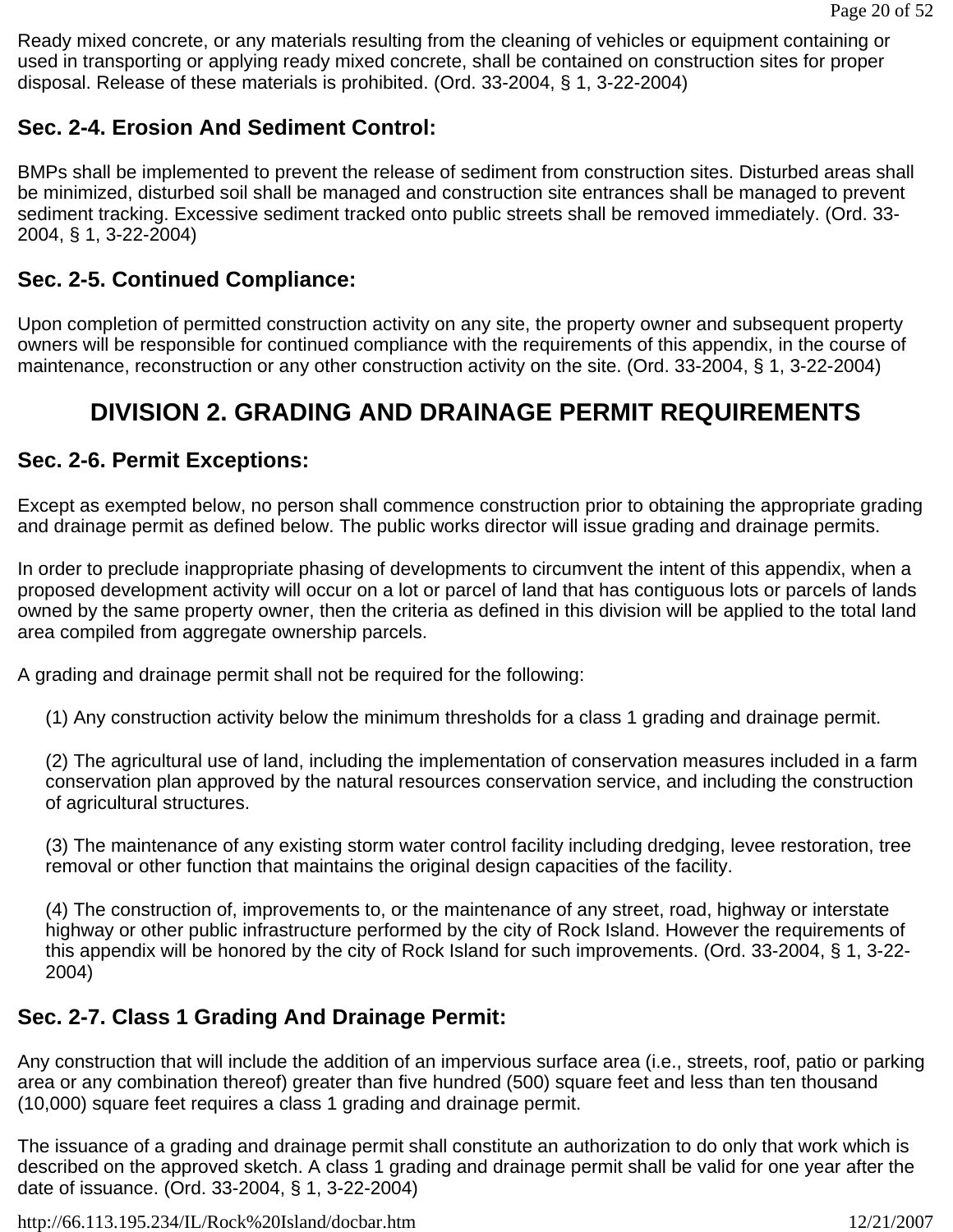Ready mixed concrete, or any materials resulting from the cleaning of vehicles or equipment containing or used in transporting or applying ready mixed concrete, shall be contained on construction sites for proper disposal. Release of these materials is prohibited. (Ord. 33-2004, § 1, 3-22-2004)

# **Sec. 2-4. Erosion And Sediment Control:**

BMPs shall be implemented to prevent the release of sediment from construction sites. Disturbed areas shall be minimized, disturbed soil shall be managed and construction site entrances shall be managed to prevent sediment tracking. Excessive sediment tracked onto public streets shall be removed immediately. (Ord. 33- 2004, § 1, 3-22-2004)

## **Sec. 2-5. Continued Compliance:**

Upon completion of permitted construction activity on any site, the property owner and subsequent property owners will be responsible for continued compliance with the requirements of this appendix, in the course of maintenance, reconstruction or any other construction activity on the site. (Ord. 33-2004, § 1, 3-22-2004)

# **DIVISION 2. GRADING AND DRAINAGE PERMIT REQUIREMENTS**

### **Sec. 2-6. Permit Exceptions:**

Except as exempted below, no person shall commence construction prior to obtaining the appropriate grading and drainage permit as defined below. The public works director will issue grading and drainage permits.

In order to preclude inappropriate phasing of developments to circumvent the intent of this appendix, when a proposed development activity will occur on a lot or parcel of land that has contiguous lots or parcels of lands owned by the same property owner, then the criteria as defined in this division will be applied to the total land area compiled from aggregate ownership parcels.

A grading and drainage permit shall not be required for the following:

(1) Any construction activity below the minimum thresholds for a class 1 grading and drainage permit.

(2) The agricultural use of land, including the implementation of conservation measures included in a farm conservation plan approved by the natural resources conservation service, and including the construction of agricultural structures.

(3) The maintenance of any existing storm water control facility including dredging, levee restoration, tree removal or other function that maintains the original design capacities of the facility.

(4) The construction of, improvements to, or the maintenance of any street, road, highway or interstate highway or other public infrastructure performed by the city of Rock Island. However the requirements of this appendix will be honored by the city of Rock Island for such improvements. (Ord. 33-2004, § 1, 3-22- 2004)

# **Sec. 2-7. Class 1 Grading And Drainage Permit:**

Any construction that will include the addition of an impervious surface area (i.e., streets, roof, patio or parking area or any combination thereof) greater than five hundred (500) square feet and less than ten thousand (10,000) square feet requires a class 1 grading and drainage permit.

The issuance of a grading and drainage permit shall constitute an authorization to do only that work which is described on the approved sketch. A class 1 grading and drainage permit shall be valid for one year after the date of issuance. (Ord. 33-2004, § 1, 3-22-2004)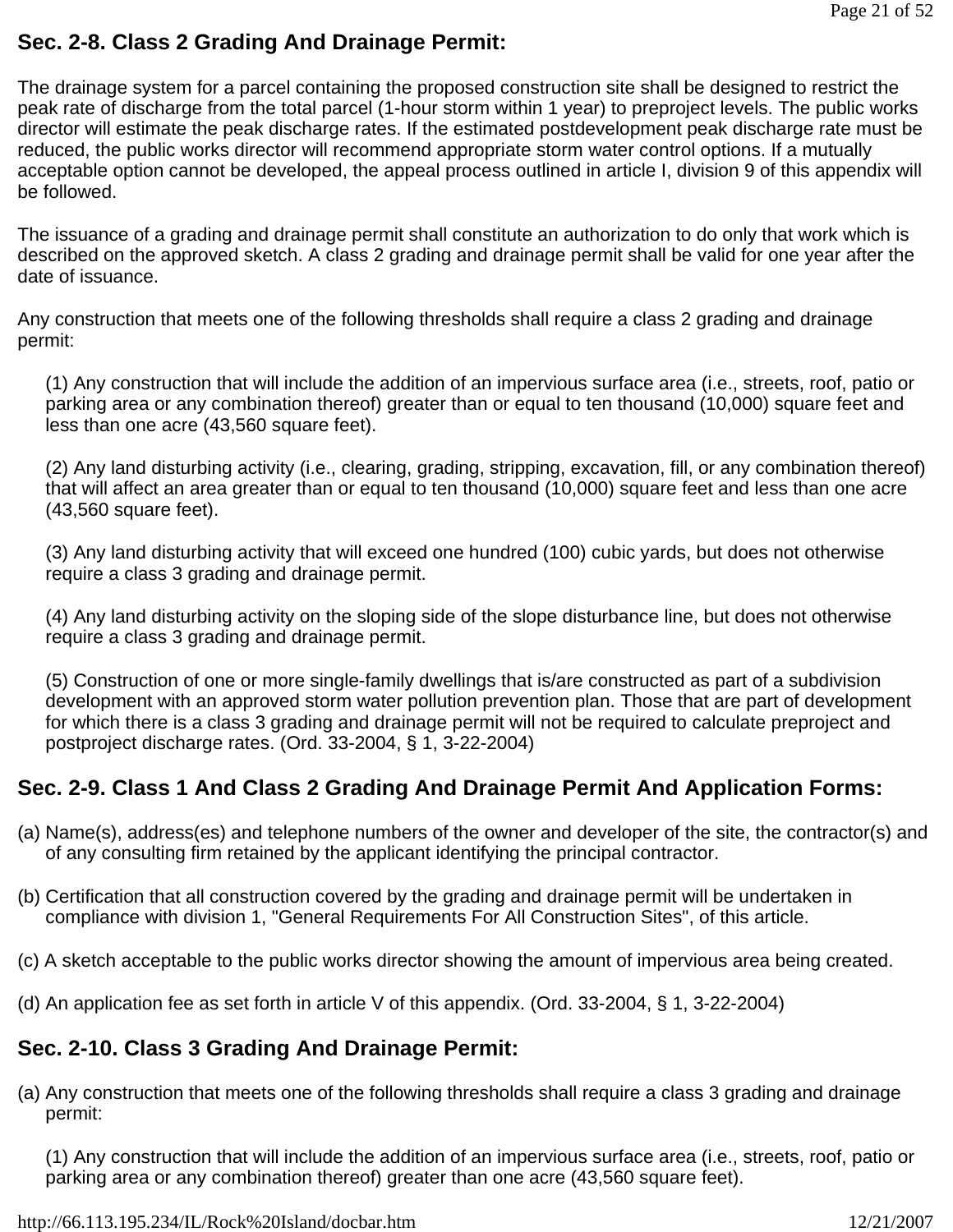## **Sec. 2-8. Class 2 Grading And Drainage Permit:**

The drainage system for a parcel containing the proposed construction site shall be designed to restrict the peak rate of discharge from the total parcel (1-hour storm within 1 year) to preproject levels. The public works director will estimate the peak discharge rates. If the estimated postdevelopment peak discharge rate must be reduced, the public works director will recommend appropriate storm water control options. If a mutually acceptable option cannot be developed, the appeal process outlined in article I, division 9 of this appendix will be followed.

The issuance of a grading and drainage permit shall constitute an authorization to do only that work which is described on the approved sketch. A class 2 grading and drainage permit shall be valid for one year after the date of issuance.

Any construction that meets one of the following thresholds shall require a class 2 grading and drainage permit:

(1) Any construction that will include the addition of an impervious surface area (i.e., streets, roof, patio or parking area or any combination thereof) greater than or equal to ten thousand (10,000) square feet and less than one acre (43,560 square feet).

(2) Any land disturbing activity (i.e., clearing, grading, stripping, excavation, fill, or any combination thereof) that will affect an area greater than or equal to ten thousand (10,000) square feet and less than one acre (43,560 square feet).

(3) Any land disturbing activity that will exceed one hundred (100) cubic yards, but does not otherwise require a class 3 grading and drainage permit.

(4) Any land disturbing activity on the sloping side of the slope disturbance line, but does not otherwise require a class 3 grading and drainage permit.

(5) Construction of one or more single-family dwellings that is/are constructed as part of a subdivision development with an approved storm water pollution prevention plan. Those that are part of development for which there is a class 3 grading and drainage permit will not be required to calculate preproject and postproject discharge rates. (Ord. 33-2004, § 1, 3-22-2004)

# **Sec. 2-9. Class 1 And Class 2 Grading And Drainage Permit And Application Forms:**

- (a) Name(s), address(es) and telephone numbers of the owner and developer of the site, the contractor(s) and of any consulting firm retained by the applicant identifying the principal contractor.
- (b) Certification that all construction covered by the grading and drainage permit will be undertaken in compliance with division 1, "General Requirements For All Construction Sites", of this article.
- (c) A sketch acceptable to the public works director showing the amount of impervious area being created.
- (d) An application fee as set forth in article V of this appendix. (Ord. 33-2004, § 1, 3-22-2004)

# **Sec. 2-10. Class 3 Grading And Drainage Permit:**

(a) Any construction that meets one of the following thresholds shall require a class 3 grading and drainage permit:

(1) Any construction that will include the addition of an impervious surface area (i.e., streets, roof, patio or parking area or any combination thereof) greater than one acre (43,560 square feet).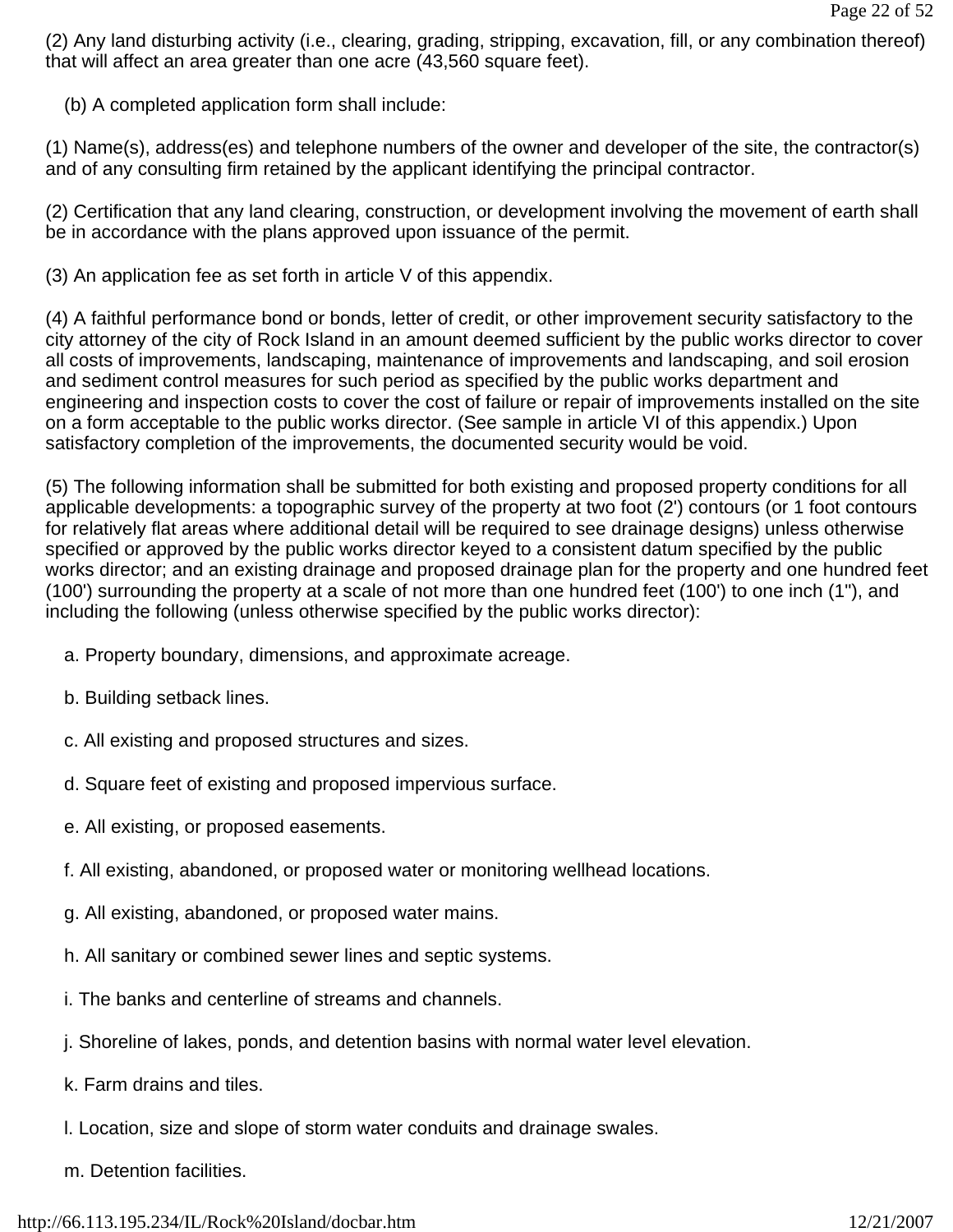(2) Any land disturbing activity (i.e., clearing, grading, stripping, excavation, fill, or any combination thereof) that will affect an area greater than one acre (43,560 square feet).

(b) A completed application form shall include:

(1) Name(s), address(es) and telephone numbers of the owner and developer of the site, the contractor(s) and of any consulting firm retained by the applicant identifying the principal contractor.

(2) Certification that any land clearing, construction, or development involving the movement of earth shall be in accordance with the plans approved upon issuance of the permit.

(3) An application fee as set forth in article V of this appendix.

(4) A faithful performance bond or bonds, letter of credit, or other improvement security satisfactory to the city attorney of the city of Rock Island in an amount deemed sufficient by the public works director to cover all costs of improvements, landscaping, maintenance of improvements and landscaping, and soil erosion and sediment control measures for such period as specified by the public works department and engineering and inspection costs to cover the cost of failure or repair of improvements installed on the site on a form acceptable to the public works director. (See sample in article VI of this appendix.) Upon satisfactory completion of the improvements, the documented security would be void.

(5) The following information shall be submitted for both existing and proposed property conditions for all applicable developments: a topographic survey of the property at two foot (2') contours (or 1 foot contours for relatively flat areas where additional detail will be required to see drainage designs) unless otherwise specified or approved by the public works director keyed to a consistent datum specified by the public works director; and an existing drainage and proposed drainage plan for the property and one hundred feet (100') surrounding the property at a scale of not more than one hundred feet (100') to one inch (1"), and including the following (unless otherwise specified by the public works director):

- a. Property boundary, dimensions, and approximate acreage.
- b. Building setback lines.
- c. All existing and proposed structures and sizes.
- d. Square feet of existing and proposed impervious surface.
- e. All existing, or proposed easements.
- f. All existing, abandoned, or proposed water or monitoring wellhead locations.
- g. All existing, abandoned, or proposed water mains.
- h. All sanitary or combined sewer lines and septic systems.
- i. The banks and centerline of streams and channels.
- j. Shoreline of lakes, ponds, and detention basins with normal water level elevation.
- k. Farm drains and tiles.
- l. Location, size and slope of storm water conduits and drainage swales.
- m. Detention facilities.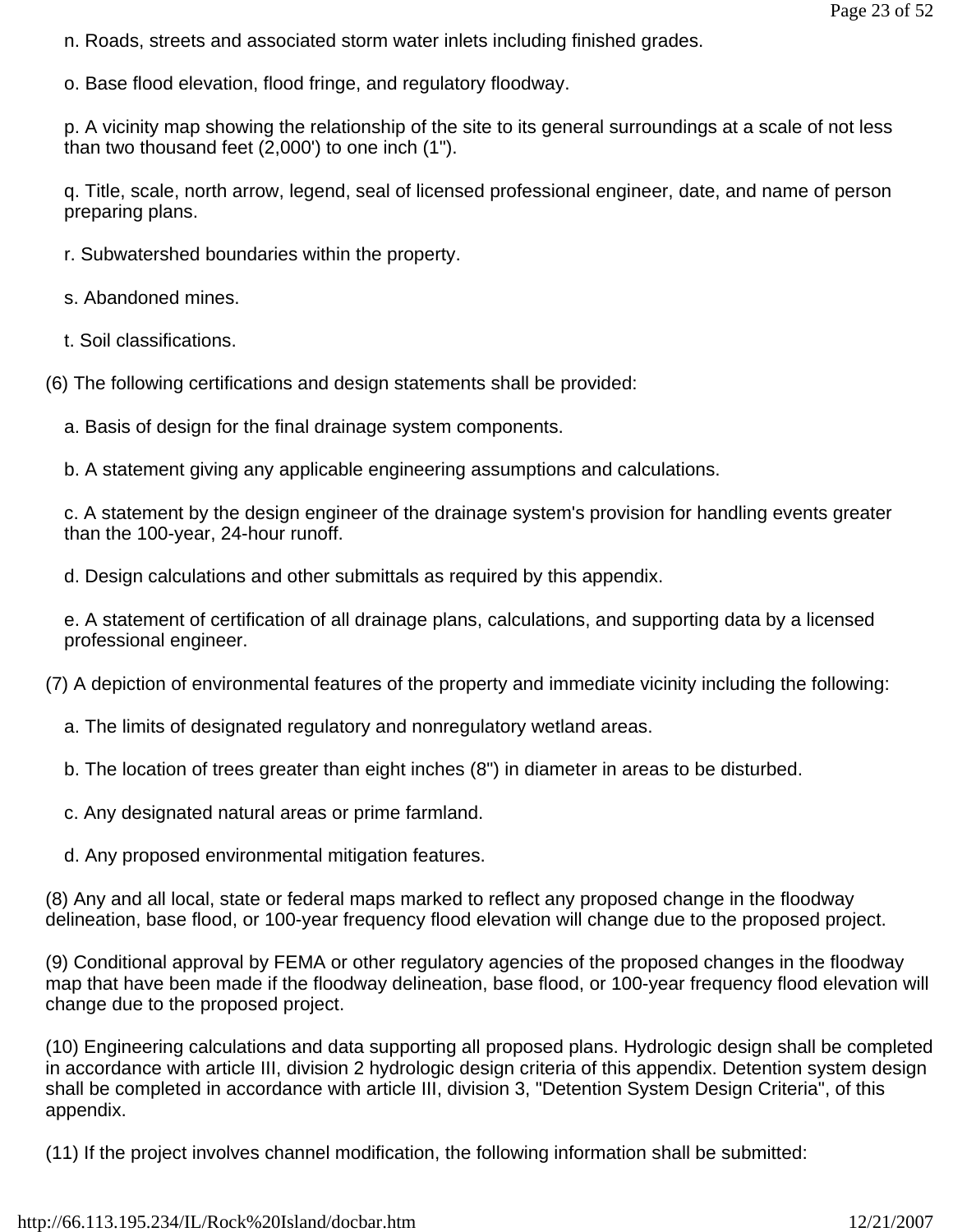- n. Roads, streets and associated storm water inlets including finished grades.
- o. Base flood elevation, flood fringe, and regulatory floodway.

p. A vicinity map showing the relationship of the site to its general surroundings at a scale of not less than two thousand feet (2,000') to one inch (1").

q. Title, scale, north arrow, legend, seal of licensed professional engineer, date, and name of person preparing plans.

r. Subwatershed boundaries within the property.

s. Abandoned mines.

t. Soil classifications.

- (6) The following certifications and design statements shall be provided:
	- a. Basis of design for the final drainage system components.

b. A statement giving any applicable engineering assumptions and calculations.

c. A statement by the design engineer of the drainage system's provision for handling events greater than the 100-year, 24-hour runoff.

d. Design calculations and other submittals as required by this appendix.

e. A statement of certification of all drainage plans, calculations, and supporting data by a licensed professional engineer.

(7) A depiction of environmental features of the property and immediate vicinity including the following:

- a. The limits of designated regulatory and nonregulatory wetland areas.
- b. The location of trees greater than eight inches (8") in diameter in areas to be disturbed.
- c. Any designated natural areas or prime farmland.
- d. Any proposed environmental mitigation features.

(8) Any and all local, state or federal maps marked to reflect any proposed change in the floodway delineation, base flood, or 100-year frequency flood elevation will change due to the proposed project.

(9) Conditional approval by FEMA or other regulatory agencies of the proposed changes in the floodway map that have been made if the floodway delineation, base flood, or 100-year frequency flood elevation will change due to the proposed project.

(10) Engineering calculations and data supporting all proposed plans. Hydrologic design shall be completed in accordance with article III, division 2 hydrologic design criteria of this appendix. Detention system design shall be completed in accordance with article III, division 3, "Detention System Design Criteria", of this appendix.

(11) If the project involves channel modification, the following information shall be submitted: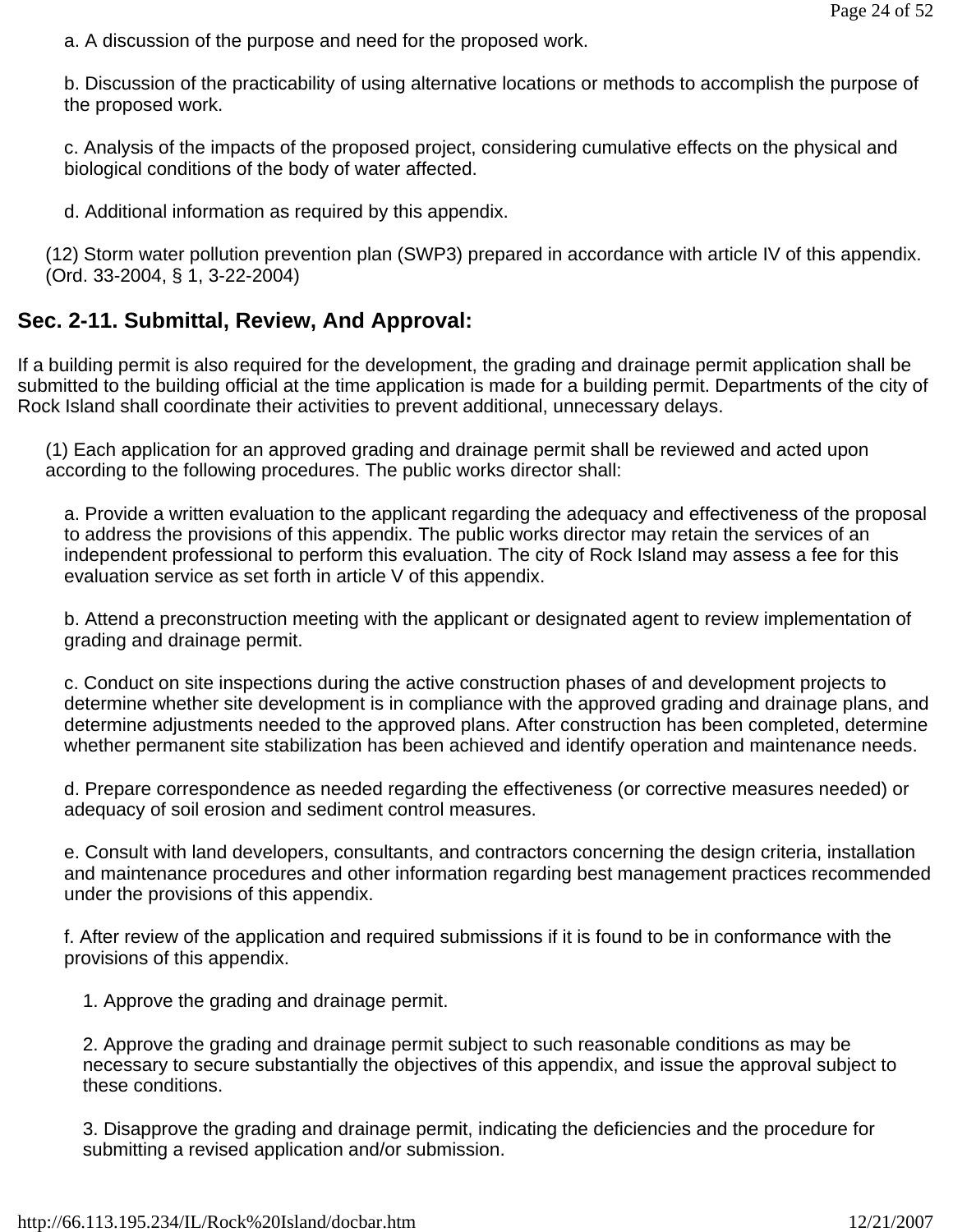a. A discussion of the purpose and need for the proposed work.

b. Discussion of the practicability of using alternative locations or methods to accomplish the purpose of the proposed work.

c. Analysis of the impacts of the proposed project, considering cumulative effects on the physical and biological conditions of the body of water affected.

d. Additional information as required by this appendix.

(12) Storm water pollution prevention plan (SWP3) prepared in accordance with article IV of this appendix. (Ord. 33-2004, § 1, 3-22-2004)

# **Sec. 2-11. Submittal, Review, And Approval:**

If a building permit is also required for the development, the grading and drainage permit application shall be submitted to the building official at the time application is made for a building permit. Departments of the city of Rock Island shall coordinate their activities to prevent additional, unnecessary delays.

(1) Each application for an approved grading and drainage permit shall be reviewed and acted upon according to the following procedures. The public works director shall:

a. Provide a written evaluation to the applicant regarding the adequacy and effectiveness of the proposal to address the provisions of this appendix. The public works director may retain the services of an independent professional to perform this evaluation. The city of Rock Island may assess a fee for this evaluation service as set forth in article V of this appendix.

b. Attend a preconstruction meeting with the applicant or designated agent to review implementation of grading and drainage permit.

c. Conduct on site inspections during the active construction phases of and development projects to determine whether site development is in compliance with the approved grading and drainage plans, and determine adjustments needed to the approved plans. After construction has been completed, determine whether permanent site stabilization has been achieved and identify operation and maintenance needs.

d. Prepare correspondence as needed regarding the effectiveness (or corrective measures needed) or adequacy of soil erosion and sediment control measures.

e. Consult with land developers, consultants, and contractors concerning the design criteria, installation and maintenance procedures and other information regarding best management practices recommended under the provisions of this appendix.

f. After review of the application and required submissions if it is found to be in conformance with the provisions of this appendix.

1. Approve the grading and drainage permit.

2. Approve the grading and drainage permit subject to such reasonable conditions as may be necessary to secure substantially the objectives of this appendix, and issue the approval subject to these conditions.

3. Disapprove the grading and drainage permit, indicating the deficiencies and the procedure for submitting a revised application and/or submission.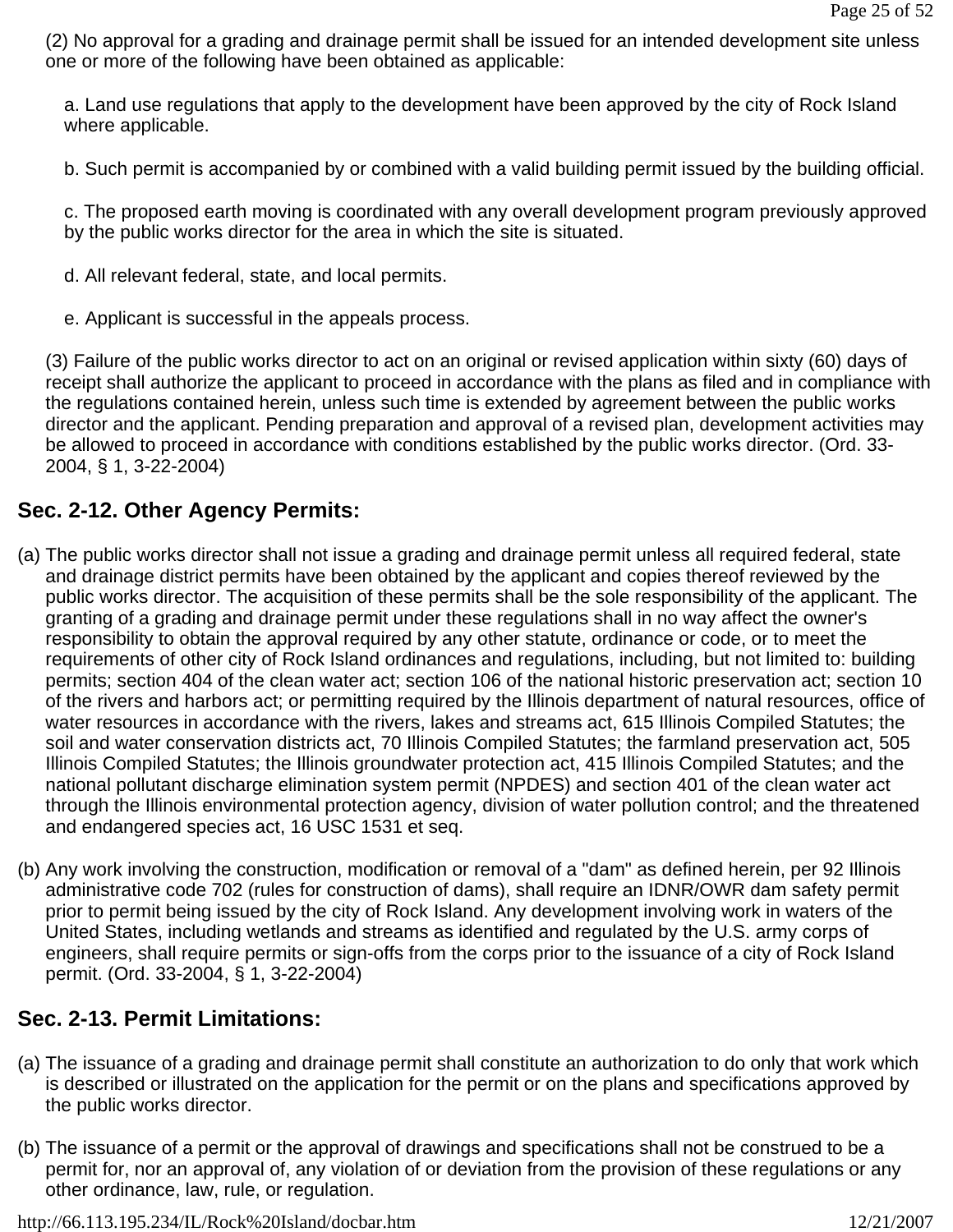(2) No approval for a grading and drainage permit shall be issued for an intended development site unless one or more of the following have been obtained as applicable:

a. Land use regulations that apply to the development have been approved by the city of Rock Island where applicable.

b. Such permit is accompanied by or combined with a valid building permit issued by the building official.

c. The proposed earth moving is coordinated with any overall development program previously approved by the public works director for the area in which the site is situated.

- d. All relevant federal, state, and local permits.
- e. Applicant is successful in the appeals process.

(3) Failure of the public works director to act on an original or revised application within sixty (60) days of receipt shall authorize the applicant to proceed in accordance with the plans as filed and in compliance with the regulations contained herein, unless such time is extended by agreement between the public works director and the applicant. Pending preparation and approval of a revised plan, development activities may be allowed to proceed in accordance with conditions established by the public works director. (Ord. 33- 2004, § 1, 3-22-2004)

# **Sec. 2-12. Other Agency Permits:**

- (a) The public works director shall not issue a grading and drainage permit unless all required federal, state and drainage district permits have been obtained by the applicant and copies thereof reviewed by the public works director. The acquisition of these permits shall be the sole responsibility of the applicant. The granting of a grading and drainage permit under these regulations shall in no way affect the owner's responsibility to obtain the approval required by any other statute, ordinance or code, or to meet the requirements of other city of Rock Island ordinances and regulations, including, but not limited to: building permits; section 404 of the clean water act; section 106 of the national historic preservation act; section 10 of the rivers and harbors act; or permitting required by the Illinois department of natural resources, office of water resources in accordance with the rivers, lakes and streams act, 615 Illinois Compiled Statutes; the soil and water conservation districts act, 70 Illinois Compiled Statutes; the farmland preservation act, 505 Illinois Compiled Statutes; the Illinois groundwater protection act, 415 Illinois Compiled Statutes; and the national pollutant discharge elimination system permit (NPDES) and section 401 of the clean water act through the Illinois environmental protection agency, division of water pollution control; and the threatened and endangered species act, 16 USC 1531 et seq.
- (b) Any work involving the construction, modification or removal of a "dam" as defined herein, per 92 Illinois administrative code 702 (rules for construction of dams), shall require an IDNR/OWR dam safety permit prior to permit being issued by the city of Rock Island. Any development involving work in waters of the United States, including wetlands and streams as identified and regulated by the U.S. army corps of engineers, shall require permits or sign-offs from the corps prior to the issuance of a city of Rock Island permit. (Ord. 33-2004, § 1, 3-22-2004)

# **Sec. 2-13. Permit Limitations:**

- (a) The issuance of a grading and drainage permit shall constitute an authorization to do only that work which is described or illustrated on the application for the permit or on the plans and specifications approved by the public works director.
- (b) The issuance of a permit or the approval of drawings and specifications shall not be construed to be a permit for, nor an approval of, any violation of or deviation from the provision of these regulations or any other ordinance, law, rule, or regulation.

http://66.113.195.234/IL/Rock%20Island/docbar.htm 12/21/2007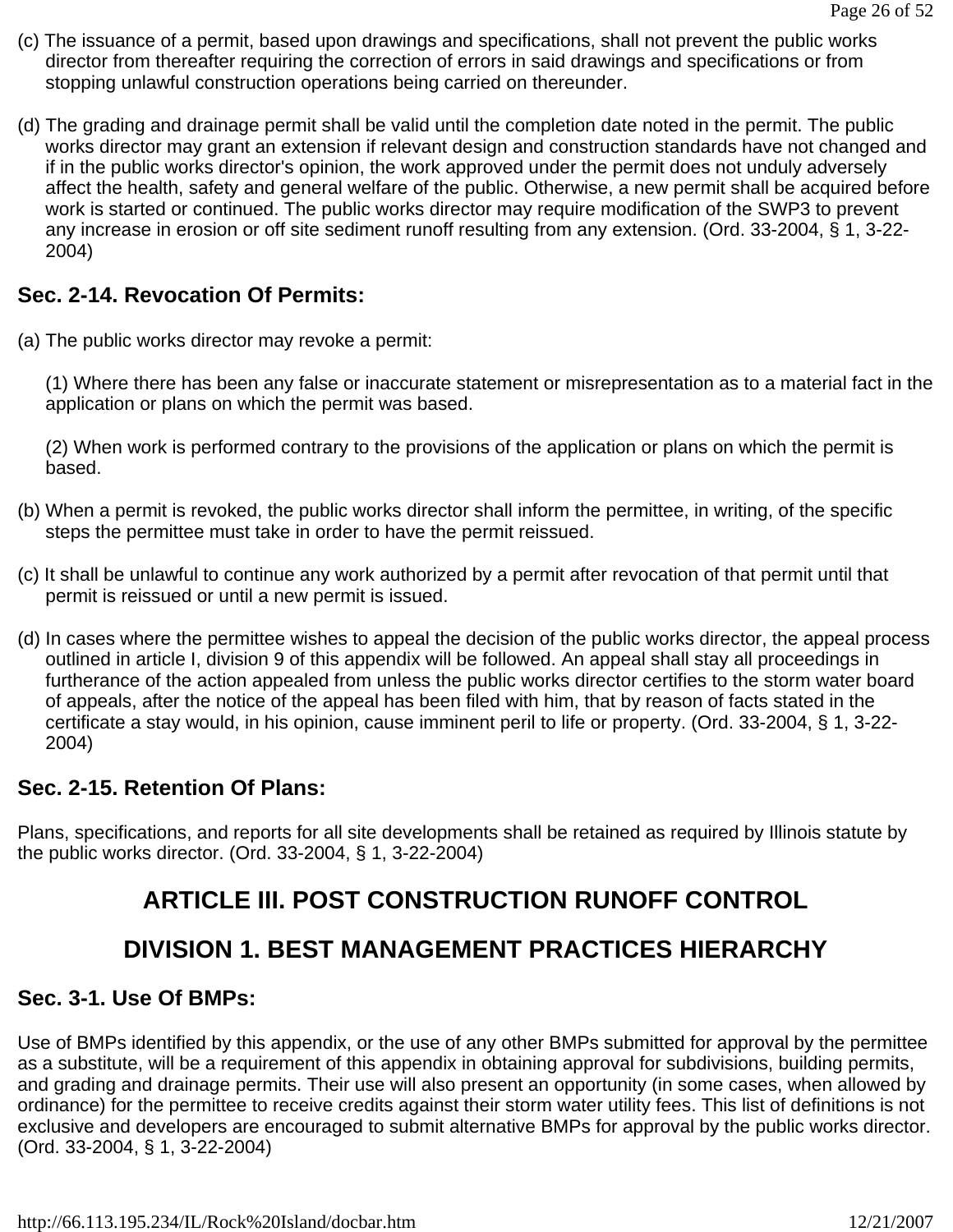- (c) The issuance of a permit, based upon drawings and specifications, shall not prevent the public works director from thereafter requiring the correction of errors in said drawings and specifications or from stopping unlawful construction operations being carried on thereunder.
- (d) The grading and drainage permit shall be valid until the completion date noted in the permit. The public works director may grant an extension if relevant design and construction standards have not changed and if in the public works director's opinion, the work approved under the permit does not unduly adversely affect the health, safety and general welfare of the public. Otherwise, a new permit shall be acquired before work is started or continued. The public works director may require modification of the SWP3 to prevent any increase in erosion or off site sediment runoff resulting from any extension. (Ord. 33-2004, § 1, 3-22- 2004)

# **Sec. 2-14. Revocation Of Permits:**

(a) The public works director may revoke a permit:

(1) Where there has been any false or inaccurate statement or misrepresentation as to a material fact in the application or plans on which the permit was based.

(2) When work is performed contrary to the provisions of the application or plans on which the permit is based.

- (b) When a permit is revoked, the public works director shall inform the permittee, in writing, of the specific steps the permittee must take in order to have the permit reissued.
- (c) It shall be unlawful to continue any work authorized by a permit after revocation of that permit until that permit is reissued or until a new permit is issued.
- (d) In cases where the permittee wishes to appeal the decision of the public works director, the appeal process outlined in article I, division 9 of this appendix will be followed. An appeal shall stay all proceedings in furtherance of the action appealed from unless the public works director certifies to the storm water board of appeals, after the notice of the appeal has been filed with him, that by reason of facts stated in the certificate a stay would, in his opinion, cause imminent peril to life or property. (Ord. 33-2004, § 1, 3-22- 2004)

# **Sec. 2-15. Retention Of Plans:**

Plans, specifications, and reports for all site developments shall be retained as required by Illinois statute by the public works director. (Ord. 33-2004, § 1, 3-22-2004)

# **ARTICLE III. POST CONSTRUCTION RUNOFF CONTROL**

# **DIVISION 1. BEST MANAGEMENT PRACTICES HIERARCHY**

# **Sec. 3-1. Use Of BMPs:**

Use of BMPs identified by this appendix, or the use of any other BMPs submitted for approval by the permittee as a substitute, will be a requirement of this appendix in obtaining approval for subdivisions, building permits, and grading and drainage permits. Their use will also present an opportunity (in some cases, when allowed by ordinance) for the permittee to receive credits against their storm water utility fees. This list of definitions is not exclusive and developers are encouraged to submit alternative BMPs for approval by the public works director. (Ord. 33-2004, § 1, 3-22-2004)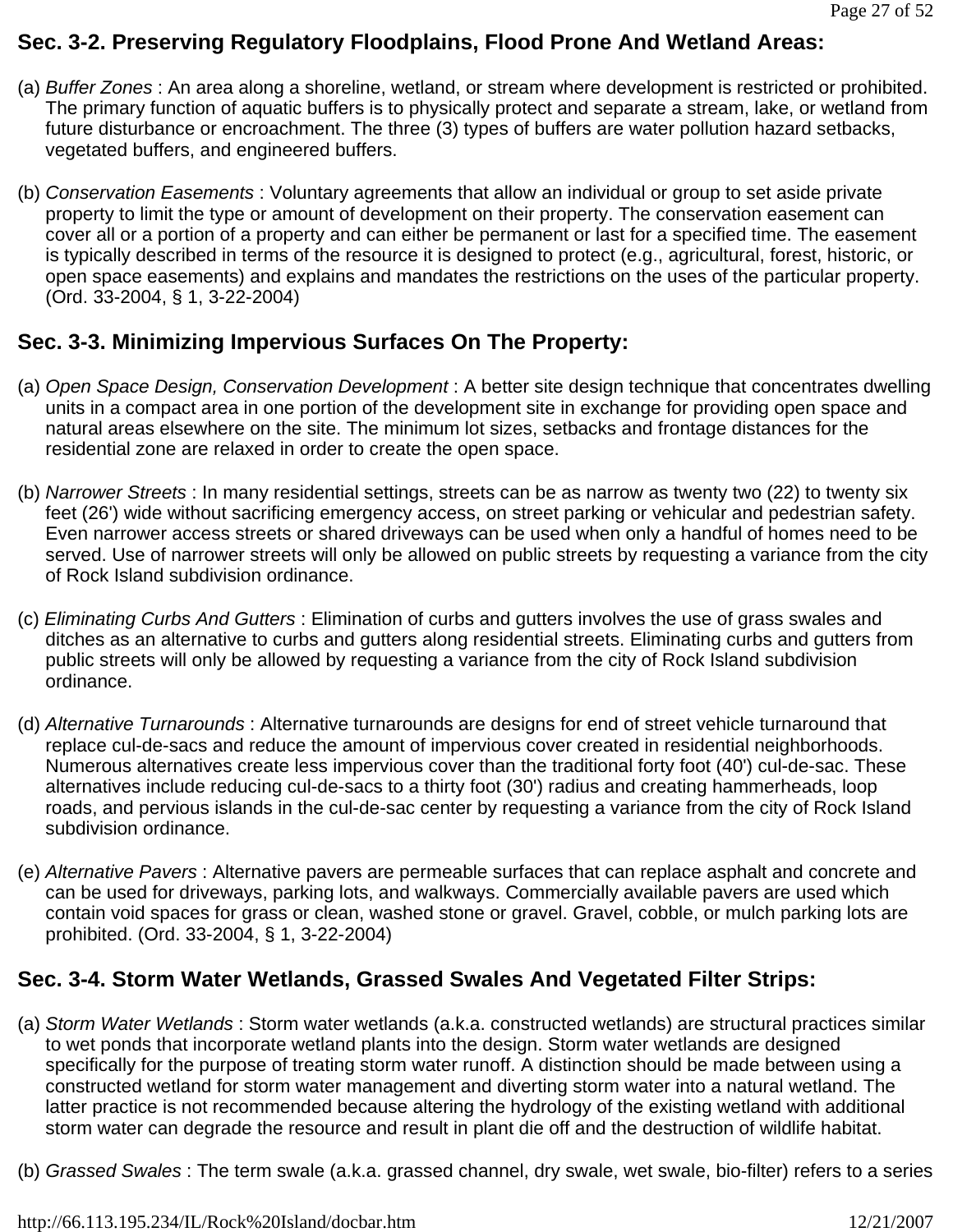# **Sec. 3-2. Preserving Regulatory Floodplains, Flood Prone And Wetland Areas:**

- (a) *Buffer Zones* : An area along a shoreline, wetland, or stream where development is restricted or prohibited. The primary function of aquatic buffers is to physically protect and separate a stream, lake, or wetland from future disturbance or encroachment. The three (3) types of buffers are water pollution hazard setbacks, vegetated buffers, and engineered buffers.
- (b) *Conservation Easements* : Voluntary agreements that allow an individual or group to set aside private property to limit the type or amount of development on their property. The conservation easement can cover all or a portion of a property and can either be permanent or last for a specified time. The easement is typically described in terms of the resource it is designed to protect (e.g., agricultural, forest, historic, or open space easements) and explains and mandates the restrictions on the uses of the particular property. (Ord. 33-2004, § 1, 3-22-2004)

# **Sec. 3-3. Minimizing Impervious Surfaces On The Property:**

- (a) *Open Space Design, Conservation Development* : A better site design technique that concentrates dwelling units in a compact area in one portion of the development site in exchange for providing open space and natural areas elsewhere on the site. The minimum lot sizes, setbacks and frontage distances for the residential zone are relaxed in order to create the open space.
- (b) *Narrower Streets* : In many residential settings, streets can be as narrow as twenty two (22) to twenty six feet (26') wide without sacrificing emergency access, on street parking or vehicular and pedestrian safety. Even narrower access streets or shared driveways can be used when only a handful of homes need to be served. Use of narrower streets will only be allowed on public streets by requesting a variance from the city of Rock Island subdivision ordinance.
- (c) *Eliminating Curbs And Gutters* : Elimination of curbs and gutters involves the use of grass swales and ditches as an alternative to curbs and gutters along residential streets. Eliminating curbs and gutters from public streets will only be allowed by requesting a variance from the city of Rock Island subdivision ordinance.
- (d) *Alternative Turnarounds* : Alternative turnarounds are designs for end of street vehicle turnaround that replace cul-de-sacs and reduce the amount of impervious cover created in residential neighborhoods. Numerous alternatives create less impervious cover than the traditional forty foot (40') cul-de-sac. These alternatives include reducing cul-de-sacs to a thirty foot (30') radius and creating hammerheads, loop roads, and pervious islands in the cul-de-sac center by requesting a variance from the city of Rock Island subdivision ordinance.
- (e) *Alternative Pavers* : Alternative pavers are permeable surfaces that can replace asphalt and concrete and can be used for driveways, parking lots, and walkways. Commercially available pavers are used which contain void spaces for grass or clean, washed stone or gravel. Gravel, cobble, or mulch parking lots are prohibited. (Ord. 33-2004, § 1, 3-22-2004)

# **Sec. 3-4. Storm Water Wetlands, Grassed Swales And Vegetated Filter Strips:**

- (a) *Storm Water Wetlands* : Storm water wetlands (a.k.a. constructed wetlands) are structural practices similar to wet ponds that incorporate wetland plants into the design. Storm water wetlands are designed specifically for the purpose of treating storm water runoff. A distinction should be made between using a constructed wetland for storm water management and diverting storm water into a natural wetland. The latter practice is not recommended because altering the hydrology of the existing wetland with additional storm water can degrade the resource and result in plant die off and the destruction of wildlife habitat.
- (b) *Grassed Swales* : The term swale (a.k.a. grassed channel, dry swale, wet swale, bio-filter) refers to a series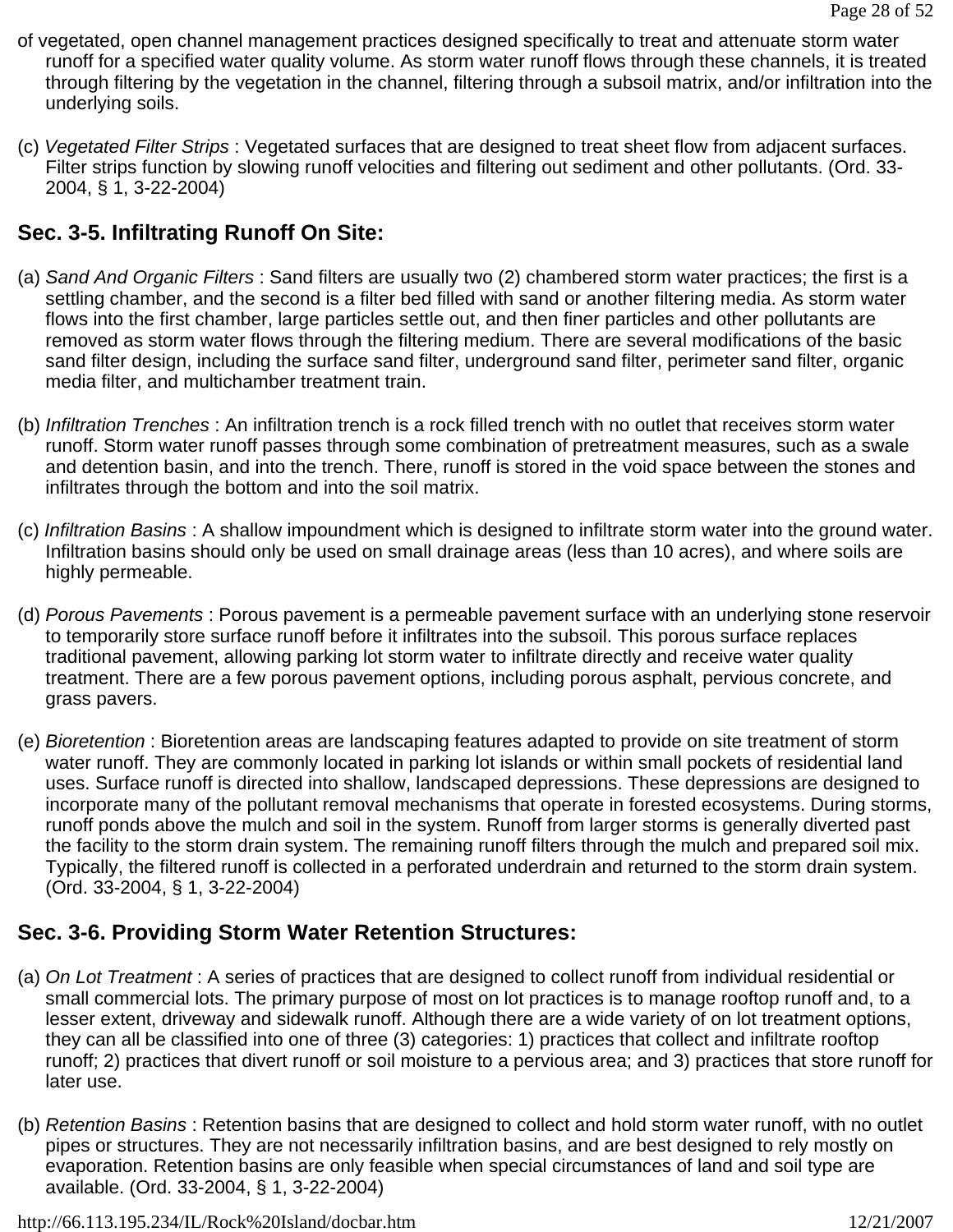- of vegetated, open channel management practices designed specifically to treat and attenuate storm water runoff for a specified water quality volume. As storm water runoff flows through these channels, it is treated through filtering by the vegetation in the channel, filtering through a subsoil matrix, and/or infiltration into the underlying soils.
- (c) *Vegetated Filter Strips* : Vegetated surfaces that are designed to treat sheet flow from adjacent surfaces. Filter strips function by slowing runoff velocities and filtering out sediment and other pollutants. (Ord. 33- 2004, § 1, 3-22-2004)

# **Sec. 3-5. Infiltrating Runoff On Site:**

- (a) *Sand And Organic Filters* : Sand filters are usually two (2) chambered storm water practices; the first is a settling chamber, and the second is a filter bed filled with sand or another filtering media. As storm water flows into the first chamber, large particles settle out, and then finer particles and other pollutants are removed as storm water flows through the filtering medium. There are several modifications of the basic sand filter design, including the surface sand filter, underground sand filter, perimeter sand filter, organic media filter, and multichamber treatment train.
- (b) *Infiltration Trenches* : An infiltration trench is a rock filled trench with no outlet that receives storm water runoff. Storm water runoff passes through some combination of pretreatment measures, such as a swale and detention basin, and into the trench. There, runoff is stored in the void space between the stones and infiltrates through the bottom and into the soil matrix.
- (c) *Infiltration Basins* : A shallow impoundment which is designed to infiltrate storm water into the ground water. Infiltration basins should only be used on small drainage areas (less than 10 acres), and where soils are highly permeable.
- (d) *Porous Pavements* : Porous pavement is a permeable pavement surface with an underlying stone reservoir to temporarily store surface runoff before it infiltrates into the subsoil. This porous surface replaces traditional pavement, allowing parking lot storm water to infiltrate directly and receive water quality treatment. There are a few porous pavement options, including porous asphalt, pervious concrete, and grass pavers.
- (e) *Bioretention* : Bioretention areas are landscaping features adapted to provide on site treatment of storm water runoff. They are commonly located in parking lot islands or within small pockets of residential land uses. Surface runoff is directed into shallow, landscaped depressions. These depressions are designed to incorporate many of the pollutant removal mechanisms that operate in forested ecosystems. During storms, runoff ponds above the mulch and soil in the system. Runoff from larger storms is generally diverted past the facility to the storm drain system. The remaining runoff filters through the mulch and prepared soil mix. Typically, the filtered runoff is collected in a perforated underdrain and returned to the storm drain system. (Ord. 33-2004, § 1, 3-22-2004)

# **Sec. 3-6. Providing Storm Water Retention Structures:**

- (a) *On Lot Treatment* : A series of practices that are designed to collect runoff from individual residential or small commercial lots. The primary purpose of most on lot practices is to manage rooftop runoff and, to a lesser extent, driveway and sidewalk runoff. Although there are a wide variety of on lot treatment options, they can all be classified into one of three (3) categories: 1) practices that collect and infiltrate rooftop runoff; 2) practices that divert runoff or soil moisture to a pervious area; and 3) practices that store runoff for later use.
- (b) *Retention Basins* : Retention basins that are designed to collect and hold storm water runoff, with no outlet pipes or structures. They are not necessarily infiltration basins, and are best designed to rely mostly on evaporation. Retention basins are only feasible when special circumstances of land and soil type are available. (Ord. 33-2004, § 1, 3-22-2004)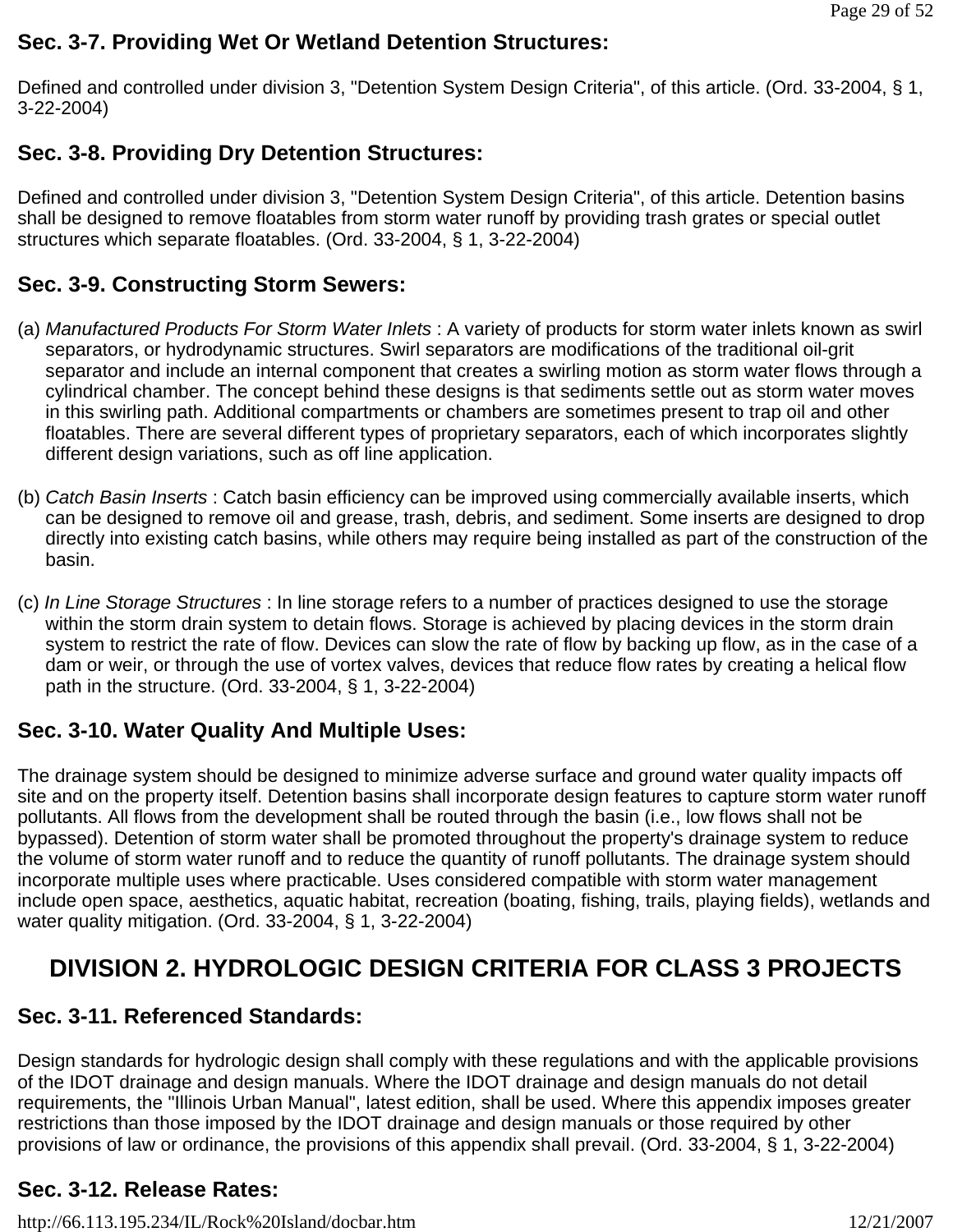## **Sec. 3-7. Providing Wet Or Wetland Detention Structures:**

Defined and controlled under division 3, "Detention System Design Criteria", of this article. (Ord. 33-2004, § 1, 3-22-2004)

# **Sec. 3-8. Providing Dry Detention Structures:**

Defined and controlled under division 3, "Detention System Design Criteria", of this article. Detention basins shall be designed to remove floatables from storm water runoff by providing trash grates or special outlet structures which separate floatables. (Ord. 33-2004, § 1, 3-22-2004)

# **Sec. 3-9. Constructing Storm Sewers:**

- (a) *Manufactured Products For Storm Water Inlets* : A variety of products for storm water inlets known as swirl separators, or hydrodynamic structures. Swirl separators are modifications of the traditional oil-grit separator and include an internal component that creates a swirling motion as storm water flows through a cylindrical chamber. The concept behind these designs is that sediments settle out as storm water moves in this swirling path. Additional compartments or chambers are sometimes present to trap oil and other floatables. There are several different types of proprietary separators, each of which incorporates slightly different design variations, such as off line application.
- (b) *Catch Basin Inserts* : Catch basin efficiency can be improved using commercially available inserts, which can be designed to remove oil and grease, trash, debris, and sediment. Some inserts are designed to drop directly into existing catch basins, while others may require being installed as part of the construction of the basin.
- (c) *In Line Storage Structures* : In line storage refers to a number of practices designed to use the storage within the storm drain system to detain flows. Storage is achieved by placing devices in the storm drain system to restrict the rate of flow. Devices can slow the rate of flow by backing up flow, as in the case of a dam or weir, or through the use of vortex valves, devices that reduce flow rates by creating a helical flow path in the structure. (Ord. 33-2004, § 1, 3-22-2004)

# **Sec. 3-10. Water Quality And Multiple Uses:**

The drainage system should be designed to minimize adverse surface and ground water quality impacts off site and on the property itself. Detention basins shall incorporate design features to capture storm water runoff pollutants. All flows from the development shall be routed through the basin (i.e., low flows shall not be bypassed). Detention of storm water shall be promoted throughout the property's drainage system to reduce the volume of storm water runoff and to reduce the quantity of runoff pollutants. The drainage system should incorporate multiple uses where practicable. Uses considered compatible with storm water management include open space, aesthetics, aquatic habitat, recreation (boating, fishing, trails, playing fields), wetlands and water quality mitigation. (Ord. 33-2004, § 1, 3-22-2004)

# **DIVISION 2. HYDROLOGIC DESIGN CRITERIA FOR CLASS 3 PROJECTS**

# **Sec. 3-11. Referenced Standards:**

Design standards for hydrologic design shall comply with these regulations and with the applicable provisions of the IDOT drainage and design manuals. Where the IDOT drainage and design manuals do not detail requirements, the "Illinois Urban Manual", latest edition, shall be used. Where this appendix imposes greater restrictions than those imposed by the IDOT drainage and design manuals or those required by other provisions of law or ordinance, the provisions of this appendix shall prevail. (Ord. 33-2004, § 1, 3-22-2004)

# **Sec. 3-12. Release Rates:**

http://66.113.195.234/IL/Rock%20Island/docbar.htm 12/21/2007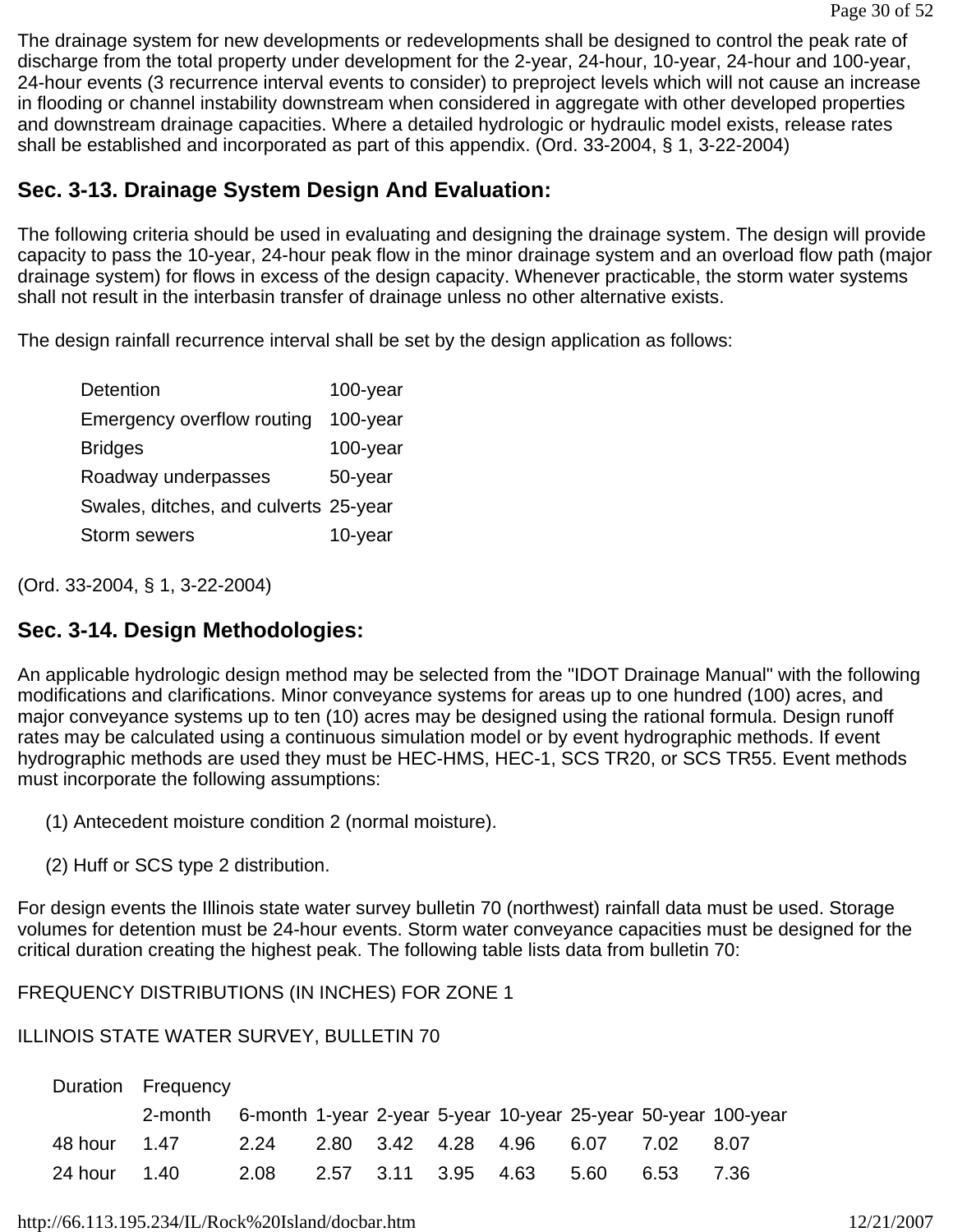The drainage system for new developments or redevelopments shall be designed to control the peak rate of discharge from the total property under development for the 2-year, 24-hour, 10-year, 24-hour and 100-year, 24-hour events (3 recurrence interval events to consider) to preproject levels which will not cause an increase in flooding or channel instability downstream when considered in aggregate with other developed properties and downstream drainage capacities. Where a detailed hydrologic or hydraulic model exists, release rates shall be established and incorporated as part of this appendix. (Ord. 33-2004, § 1, 3-22-2004)

# **Sec. 3-13. Drainage System Design And Evaluation:**

The following criteria should be used in evaluating and designing the drainage system. The design will provide capacity to pass the 10-year, 24-hour peak flow in the minor drainage system and an overload flow path (major drainage system) for flows in excess of the design capacity. Whenever practicable, the storm water systems shall not result in the interbasin transfer of drainage unless no other alternative exists.

The design rainfall recurrence interval shall be set by the design application as follows:

| <b>Detention</b>                      | 100-year    |
|---------------------------------------|-------------|
| <b>Emergency overflow routing</b>     | $100$ -year |
| <b>Bridges</b>                        | $100$ -year |
| Roadway underpasses                   | 50-year     |
| Swales, ditches, and culverts 25-year |             |
| <b>Storm sewers</b>                   | 10-year     |

(Ord. 33-2004, § 1, 3-22-2004)

# **Sec. 3-14. Design Methodologies:**

An applicable hydrologic design method may be selected from the "IDOT Drainage Manual" with the following modifications and clarifications. Minor conveyance systems for areas up to one hundred (100) acres, and major conveyance systems up to ten (10) acres may be designed using the rational formula. Design runoff rates may be calculated using a continuous simulation model or by event hydrographic methods. If event hydrographic methods are used they must be HEC-HMS, HEC-1, SCS TR20, or SCS TR55. Event methods must incorporate the following assumptions:

(1) Antecedent moisture condition 2 (normal moisture).

(2) Huff or SCS type 2 distribution.

For design events the Illinois state water survey bulletin 70 (northwest) rainfall data must be used. Storage volumes for detention must be 24-hour events. Storm water conveyance capacities must be designed for the critical duration creating the highest peak. The following table lists data from bulletin 70:

FREQUENCY DISTRIBUTIONS (IN INCHES) FOR ZONE 1

# ILLINOIS STATE WATER SURVEY, BULLETIN 70

|              | Duration Frequency                                                    |      |  |                          |      |       |
|--------------|-----------------------------------------------------------------------|------|--|--------------------------|------|-------|
|              | 2-month 6-month 1-year 2-year 5-year 10-year 25-year 50-year 100-year |      |  |                          |      |       |
|              | 48 hour 1.47  2.24  2.80  3.42  4.28  4.96  6.07  7.02                |      |  |                          |      | -8.07 |
| 24 hour 1.40 |                                                                       | 2.08 |  | 2.57 3.11 3.95 4.63 5.60 | 6.53 | 7.36  |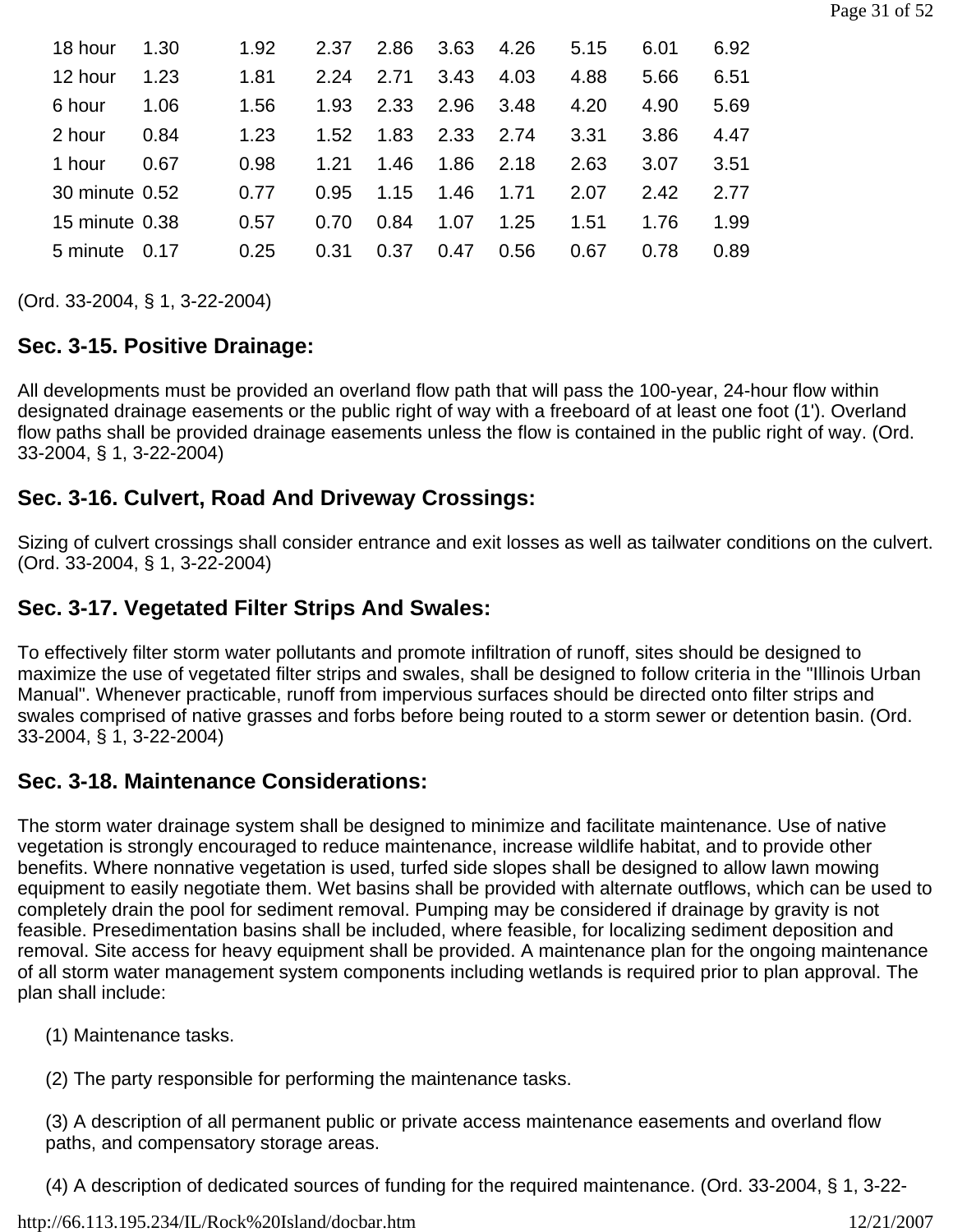| 18 hour        | 1.30 | 1.92 | 2.37 | 2.86 | 3.63 | 4.26 | 5.15 | 6.01 | 6.92 |
|----------------|------|------|------|------|------|------|------|------|------|
| 12 hour        | 1.23 | 1.81 | 2.24 | 2.71 | 3.43 | 4.03 | 4.88 | 5.66 | 6.51 |
| 6 hour         | 1.06 | 1.56 | 1.93 | 2.33 | 2.96 | 3.48 | 4.20 | 4.90 | 5.69 |
| 2 hour         | 0.84 | 1.23 | 1.52 | 1.83 | 2.33 | 2.74 | 3.31 | 3.86 | 4.47 |
| 1 hour         | 0.67 | 0.98 | 1.21 | 1.46 | 1.86 | 2.18 | 2.63 | 3.07 | 3.51 |
| 30 minute 0.52 |      | 0.77 | 0.95 | 1.15 | 1.46 | 1.71 | 2.07 | 2.42 | 2.77 |
| 15 minute 0.38 |      | 0.57 | 0.70 | 0.84 | 1.07 | 1.25 | 1.51 | 1.76 | 1.99 |
| 5 minute       | 0.17 | 0.25 | 0.31 | 0.37 | 0.47 | 0.56 | 0.67 | 0.78 | 0.89 |
|                |      |      |      |      |      |      |      |      |      |

(Ord. 33-2004, § 1, 3-22-2004)

# **Sec. 3-15. Positive Drainage:**

All developments must be provided an overland flow path that will pass the 100-year, 24-hour flow within designated drainage easements or the public right of way with a freeboard of at least one foot (1'). Overland flow paths shall be provided drainage easements unless the flow is contained in the public right of way. (Ord. 33-2004, § 1, 3-22-2004)

# **Sec. 3-16. Culvert, Road And Driveway Crossings:**

Sizing of culvert crossings shall consider entrance and exit losses as well as tailwater conditions on the culvert. (Ord. 33-2004, § 1, 3-22-2004)

# **Sec. 3-17. Vegetated Filter Strips And Swales:**

To effectively filter storm water pollutants and promote infiltration of runoff, sites should be designed to maximize the use of vegetated filter strips and swales, shall be designed to follow criteria in the "Illinois Urban Manual". Whenever practicable, runoff from impervious surfaces should be directed onto filter strips and swales comprised of native grasses and forbs before being routed to a storm sewer or detention basin. (Ord. 33-2004, § 1, 3-22-2004)

# **Sec. 3-18. Maintenance Considerations:**

The storm water drainage system shall be designed to minimize and facilitate maintenance. Use of native vegetation is strongly encouraged to reduce maintenance, increase wildlife habitat, and to provide other benefits. Where nonnative vegetation is used, turfed side slopes shall be designed to allow lawn mowing equipment to easily negotiate them. Wet basins shall be provided with alternate outflows, which can be used to completely drain the pool for sediment removal. Pumping may be considered if drainage by gravity is not feasible. Presedimentation basins shall be included, where feasible, for localizing sediment deposition and removal. Site access for heavy equipment shall be provided. A maintenance plan for the ongoing maintenance of all storm water management system components including wetlands is required prior to plan approval. The plan shall include:

- (1) Maintenance tasks.
- (2) The party responsible for performing the maintenance tasks.

(3) A description of all permanent public or private access maintenance easements and overland flow paths, and compensatory storage areas.

(4) A description of dedicated sources of funding for the required maintenance. (Ord. 33-2004, § 1, 3-22-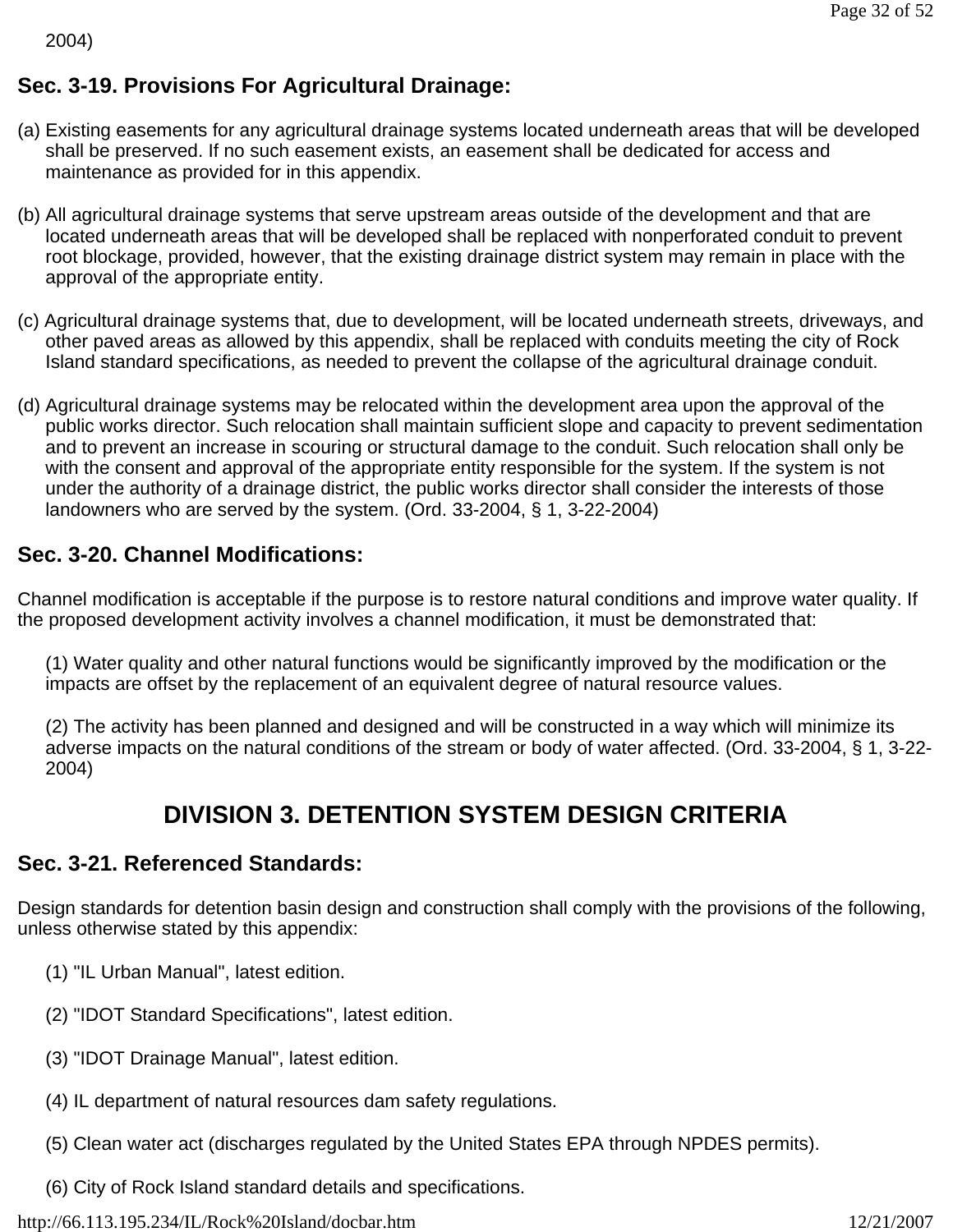2004)

# **Sec. 3-19. Provisions For Agricultural Drainage:**

- (a) Existing easements for any agricultural drainage systems located underneath areas that will be developed shall be preserved. If no such easement exists, an easement shall be dedicated for access and maintenance as provided for in this appendix.
- (b) All agricultural drainage systems that serve upstream areas outside of the development and that are located underneath areas that will be developed shall be replaced with nonperforated conduit to prevent root blockage, provided, however, that the existing drainage district system may remain in place with the approval of the appropriate entity.
- (c) Agricultural drainage systems that, due to development, will be located underneath streets, driveways, and other paved areas as allowed by this appendix, shall be replaced with conduits meeting the city of Rock Island standard specifications, as needed to prevent the collapse of the agricultural drainage conduit.
- (d) Agricultural drainage systems may be relocated within the development area upon the approval of the public works director. Such relocation shall maintain sufficient slope and capacity to prevent sedimentation and to prevent an increase in scouring or structural damage to the conduit. Such relocation shall only be with the consent and approval of the appropriate entity responsible for the system. If the system is not under the authority of a drainage district, the public works director shall consider the interests of those landowners who are served by the system. (Ord. 33-2004, § 1, 3-22-2004)

# **Sec. 3-20. Channel Modifications:**

Channel modification is acceptable if the purpose is to restore natural conditions and improve water quality. If the proposed development activity involves a channel modification, it must be demonstrated that:

(1) Water quality and other natural functions would be significantly improved by the modification or the impacts are offset by the replacement of an equivalent degree of natural resource values.

(2) The activity has been planned and designed and will be constructed in a way which will minimize its adverse impacts on the natural conditions of the stream or body of water affected. (Ord. 33-2004, § 1, 3-22- 2004)

# **DIVISION 3. DETENTION SYSTEM DESIGN CRITERIA**

### **Sec. 3-21. Referenced Standards:**

Design standards for detention basin design and construction shall comply with the provisions of the following, unless otherwise stated by this appendix:

- (1) "IL Urban Manual", latest edition.
- (2) "IDOT Standard Specifications", latest edition.
- (3) "IDOT Drainage Manual", latest edition.
- (4) IL department of natural resources dam safety regulations.
- (5) Clean water act (discharges regulated by the United States EPA through NPDES permits).
- (6) City of Rock Island standard details and specifications.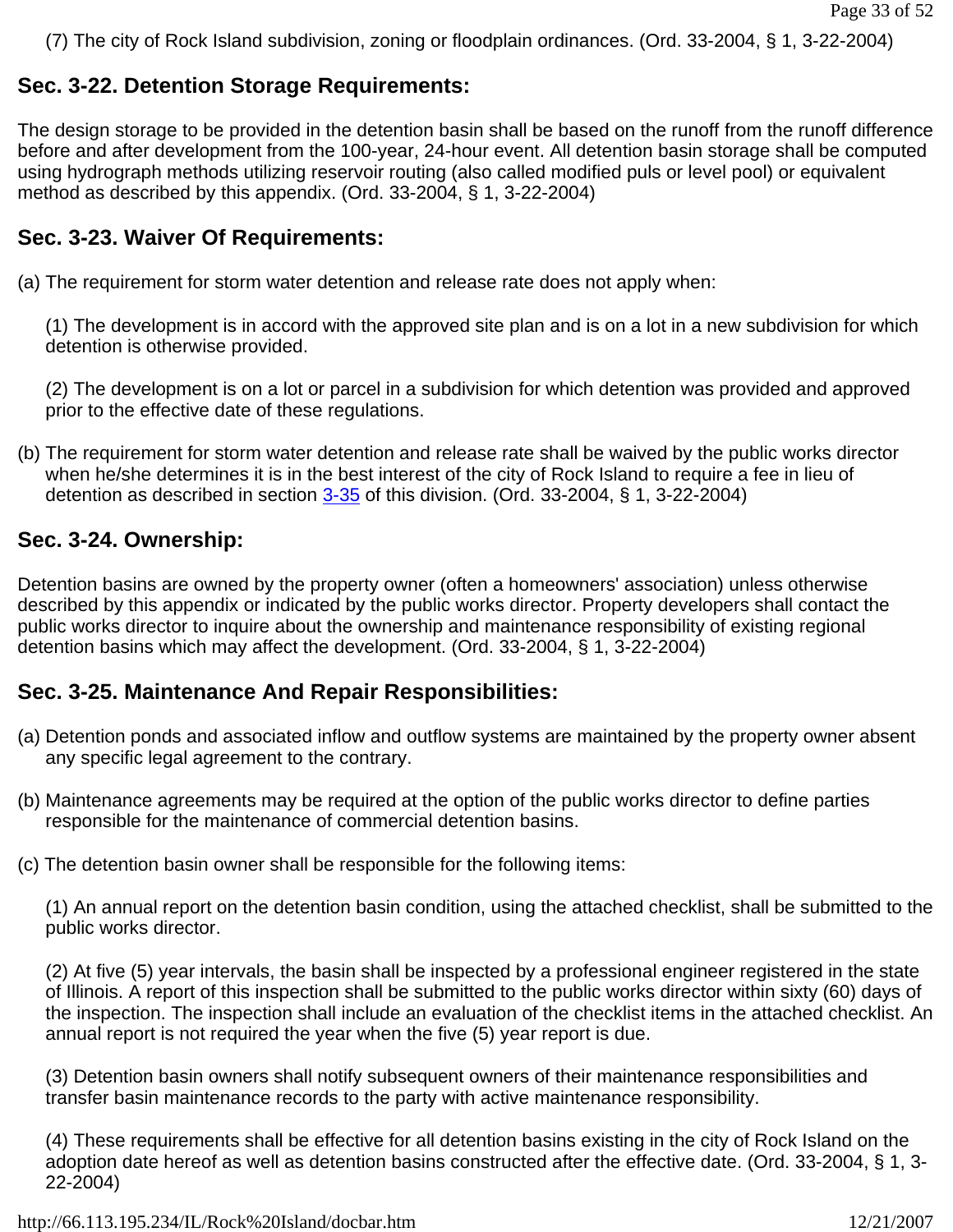(7) The city of Rock Island subdivision, zoning or floodplain ordinances. (Ord. 33-2004, § 1, 3-22-2004)

#### **Sec. 3-22. Detention Storage Requirements:**

The design storage to be provided in the detention basin shall be based on the runoff from the runoff difference before and after development from the 100-year, 24-hour event. All detention basin storage shall be computed using hydrograph methods utilizing reservoir routing (also called modified puls or level pool) or equivalent method as described by this appendix. (Ord. 33-2004, § 1, 3-22-2004)

#### **Sec. 3-23. Waiver Of Requirements:**

(a) The requirement for storm water detention and release rate does not apply when:

(1) The development is in accord with the approved site plan and is on a lot in a new subdivision for which detention is otherwise provided.

(2) The development is on a lot or parcel in a subdivision for which detention was provided and approved prior to the effective date of these regulations.

(b) The requirement for storm water detention and release rate shall be waived by the public works director when he/she determines it is in the best interest of the city of Rock Island to require a fee in lieu of detention as described in section  $3-35$  of this division. (Ord. 33-2004, § 1, 3-22-2004)

#### **Sec. 3-24. Ownership:**

Detention basins are owned by the property owner (often a homeowners' association) unless otherwise described by this appendix or indicated by the public works director. Property developers shall contact the public works director to inquire about the ownership and maintenance responsibility of existing regional detention basins which may affect the development. (Ord. 33-2004, § 1, 3-22-2004)

### **Sec. 3-25. Maintenance And Repair Responsibilities:**

- (a) Detention ponds and associated inflow and outflow systems are maintained by the property owner absent any specific legal agreement to the contrary.
- (b) Maintenance agreements may be required at the option of the public works director to define parties responsible for the maintenance of commercial detention basins.
- (c) The detention basin owner shall be responsible for the following items:

(1) An annual report on the detention basin condition, using the attached checklist, shall be submitted to the public works director.

(2) At five (5) year intervals, the basin shall be inspected by a professional engineer registered in the state of Illinois. A report of this inspection shall be submitted to the public works director within sixty (60) days of the inspection. The inspection shall include an evaluation of the checklist items in the attached checklist. An annual report is not required the year when the five (5) year report is due.

(3) Detention basin owners shall notify subsequent owners of their maintenance responsibilities and transfer basin maintenance records to the party with active maintenance responsibility.

(4) These requirements shall be effective for all detention basins existing in the city of Rock Island on the adoption date hereof as well as detention basins constructed after the effective date. (Ord. 33-2004, § 1, 3- 22-2004)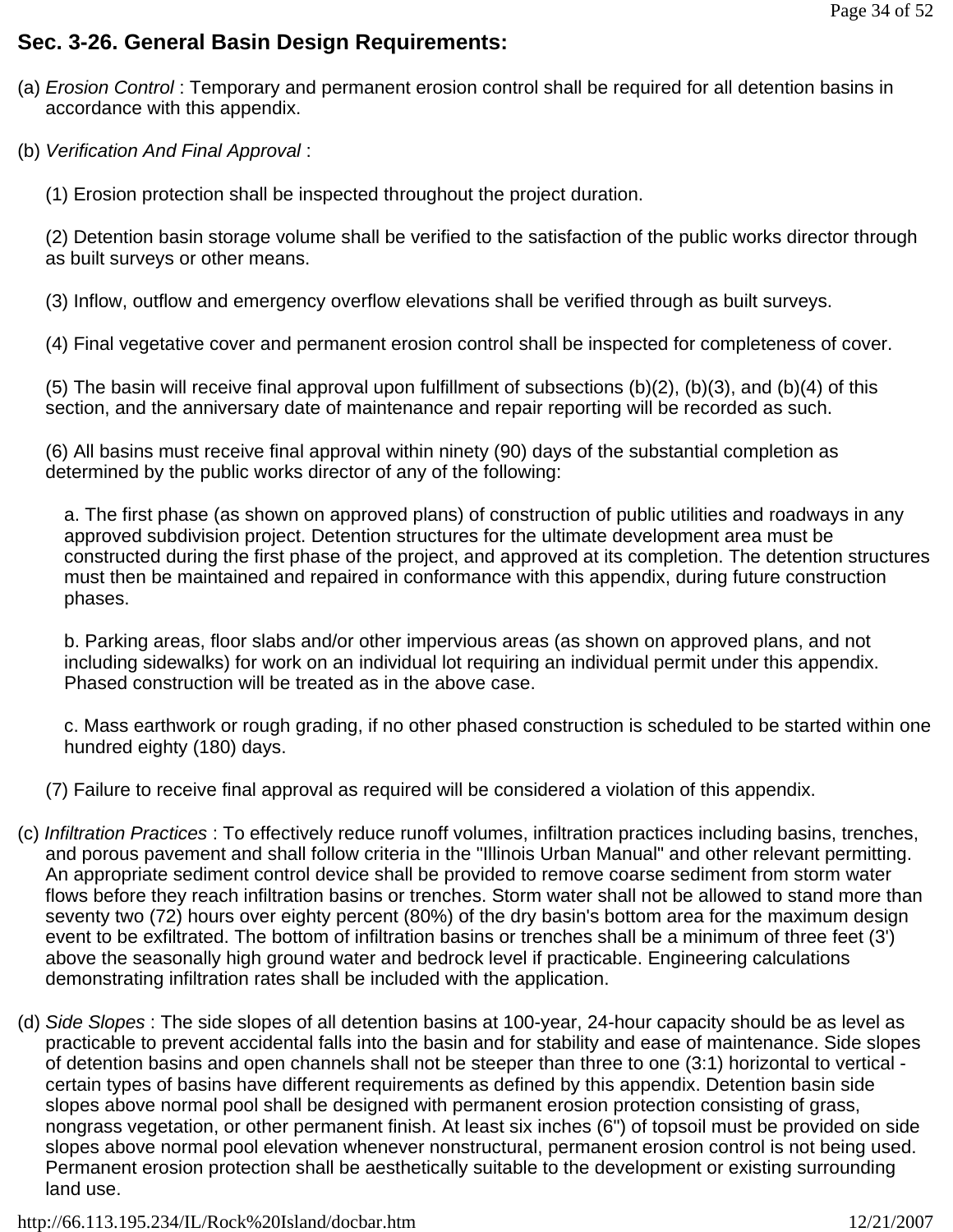## **Sec. 3-26. General Basin Design Requirements:**

- (a) *Erosion Control* : Temporary and permanent erosion control shall be required for all detention basins in accordance with this appendix.
- (b) *Verification And Final Approval* :
	- (1) Erosion protection shall be inspected throughout the project duration.

(2) Detention basin storage volume shall be verified to the satisfaction of the public works director through as built surveys or other means.

(3) Inflow, outflow and emergency overflow elevations shall be verified through as built surveys.

(4) Final vegetative cover and permanent erosion control shall be inspected for completeness of cover.

(5) The basin will receive final approval upon fulfillment of subsections (b)(2), (b)(3), and (b)(4) of this section, and the anniversary date of maintenance and repair reporting will be recorded as such.

(6) All basins must receive final approval within ninety (90) days of the substantial completion as determined by the public works director of any of the following:

a. The first phase (as shown on approved plans) of construction of public utilities and roadways in any approved subdivision project. Detention structures for the ultimate development area must be constructed during the first phase of the project, and approved at its completion. The detention structures must then be maintained and repaired in conformance with this appendix, during future construction phases.

b. Parking areas, floor slabs and/or other impervious areas (as shown on approved plans, and not including sidewalks) for work on an individual lot requiring an individual permit under this appendix. Phased construction will be treated as in the above case.

c. Mass earthwork or rough grading, if no other phased construction is scheduled to be started within one hundred eighty (180) days.

- (7) Failure to receive final approval as required will be considered a violation of this appendix.
- (c) *Infiltration Practices* : To effectively reduce runoff volumes, infiltration practices including basins, trenches, and porous pavement and shall follow criteria in the "Illinois Urban Manual" and other relevant permitting. An appropriate sediment control device shall be provided to remove coarse sediment from storm water flows before they reach infiltration basins or trenches. Storm water shall not be allowed to stand more than seventy two (72) hours over eighty percent (80%) of the dry basin's bottom area for the maximum design event to be exfiltrated. The bottom of infiltration basins or trenches shall be a minimum of three feet (3') above the seasonally high ground water and bedrock level if practicable. Engineering calculations demonstrating infiltration rates shall be included with the application.
- (d) *Side Slopes* : The side slopes of all detention basins at 100-year, 24-hour capacity should be as level as practicable to prevent accidental falls into the basin and for stability and ease of maintenance. Side slopes of detention basins and open channels shall not be steeper than three to one (3:1) horizontal to vertical certain types of basins have different requirements as defined by this appendix. Detention basin side slopes above normal pool shall be designed with permanent erosion protection consisting of grass, nongrass vegetation, or other permanent finish. At least six inches (6") of topsoil must be provided on side slopes above normal pool elevation whenever nonstructural, permanent erosion control is not being used. Permanent erosion protection shall be aesthetically suitable to the development or existing surrounding land use.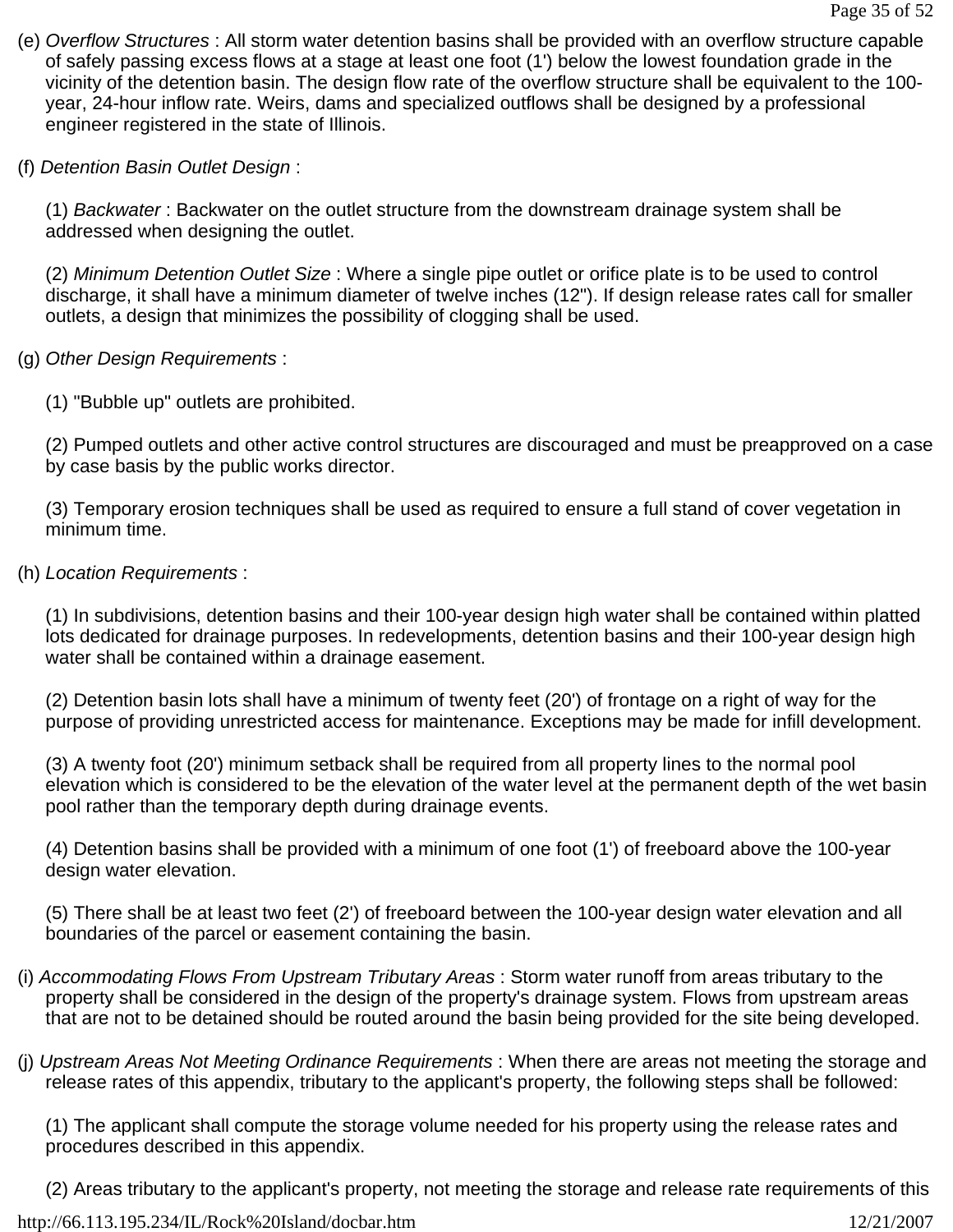- (e) *Overflow Structures* : All storm water detention basins shall be provided with an overflow structure capable of safely passing excess flows at a stage at least one foot (1') below the lowest foundation grade in the vicinity of the detention basin. The design flow rate of the overflow structure shall be equivalent to the 100 year, 24-hour inflow rate. Weirs, dams and specialized outflows shall be designed by a professional engineer registered in the state of Illinois.
- (f) *Detention Basin Outlet Design* :

(1) *Backwater* : Backwater on the outlet structure from the downstream drainage system shall be addressed when designing the outlet.

(2) *Minimum Detention Outlet Size* : Where a single pipe outlet or orifice plate is to be used to control discharge, it shall have a minimum diameter of twelve inches (12"). If design release rates call for smaller outlets, a design that minimizes the possibility of clogging shall be used.

- (g) *Other Design Requirements* :
	- (1) "Bubble up" outlets are prohibited.

(2) Pumped outlets and other active control structures are discouraged and must be preapproved on a case by case basis by the public works director.

(3) Temporary erosion techniques shall be used as required to ensure a full stand of cover vegetation in minimum time.

(h) *Location Requirements* :

(1) In subdivisions, detention basins and their 100-year design high water shall be contained within platted lots dedicated for drainage purposes. In redevelopments, detention basins and their 100-year design high water shall be contained within a drainage easement.

(2) Detention basin lots shall have a minimum of twenty feet (20') of frontage on a right of way for the purpose of providing unrestricted access for maintenance. Exceptions may be made for infill development.

(3) A twenty foot (20') minimum setback shall be required from all property lines to the normal pool elevation which is considered to be the elevation of the water level at the permanent depth of the wet basin pool rather than the temporary depth during drainage events.

(4) Detention basins shall be provided with a minimum of one foot (1') of freeboard above the 100-year design water elevation.

(5) There shall be at least two feet (2') of freeboard between the 100-year design water elevation and all boundaries of the parcel or easement containing the basin.

- (i) *Accommodating Flows From Upstream Tributary Areas* : Storm water runoff from areas tributary to the property shall be considered in the design of the property's drainage system. Flows from upstream areas that are not to be detained should be routed around the basin being provided for the site being developed.
- (j) *Upstream Areas Not Meeting Ordinance Requirements* : When there are areas not meeting the storage and release rates of this appendix, tributary to the applicant's property, the following steps shall be followed:

(1) The applicant shall compute the storage volume needed for his property using the release rates and procedures described in this appendix.

(2) Areas tributary to the applicant's property, not meeting the storage and release rate requirements of this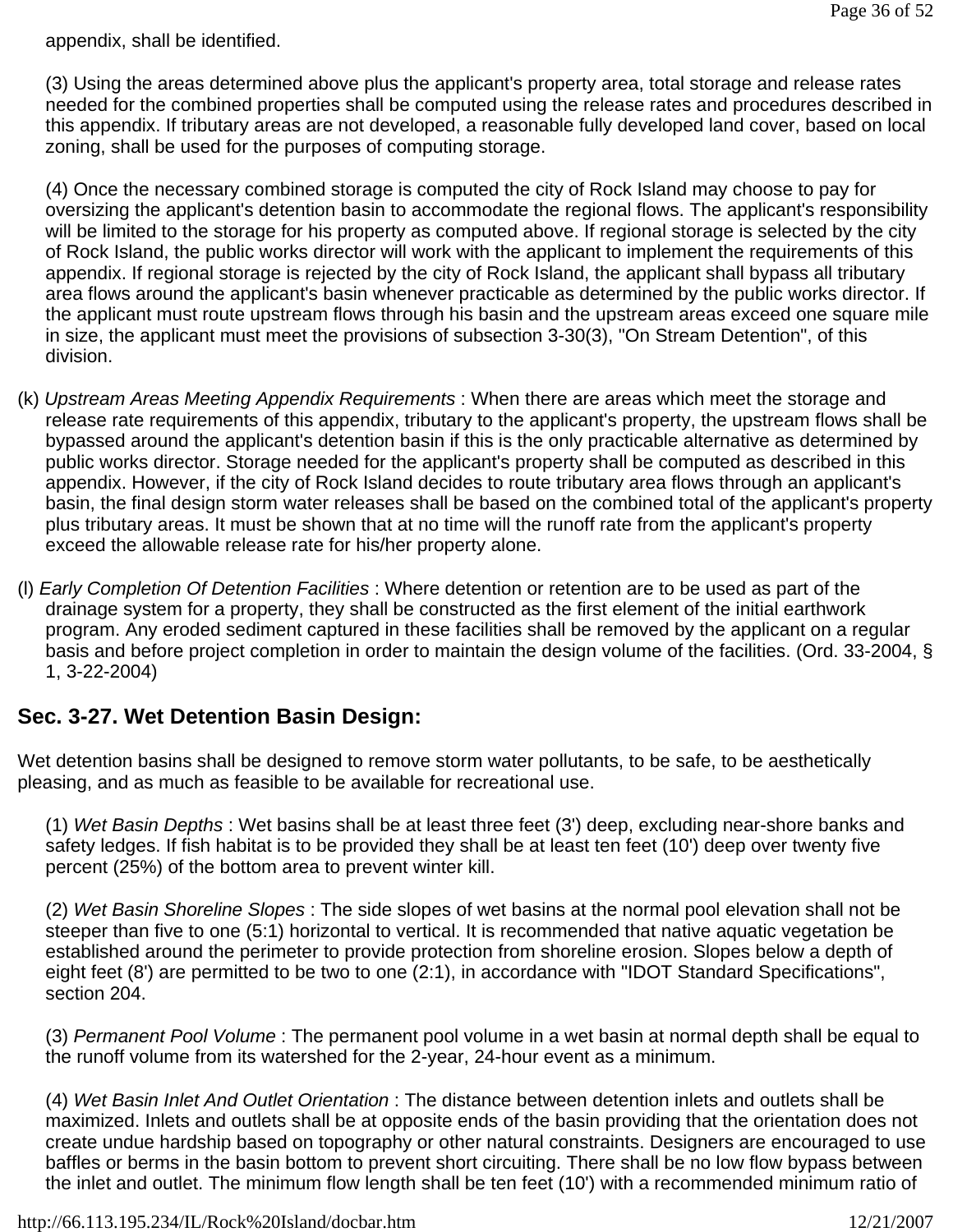appendix, shall be identified.

(3) Using the areas determined above plus the applicant's property area, total storage and release rates needed for the combined properties shall be computed using the release rates and procedures described in this appendix. If tributary areas are not developed, a reasonable fully developed land cover, based on local zoning, shall be used for the purposes of computing storage.

(4) Once the necessary combined storage is computed the city of Rock Island may choose to pay for oversizing the applicant's detention basin to accommodate the regional flows. The applicant's responsibility will be limited to the storage for his property as computed above. If regional storage is selected by the city of Rock Island, the public works director will work with the applicant to implement the requirements of this appendix. If regional storage is rejected by the city of Rock Island, the applicant shall bypass all tributary area flows around the applicant's basin whenever practicable as determined by the public works director. If the applicant must route upstream flows through his basin and the upstream areas exceed one square mile in size, the applicant must meet the provisions of subsection 3-30(3), "On Stream Detention", of this division.

- (k) *Upstream Areas Meeting Appendix Requirements* : When there are areas which meet the storage and release rate requirements of this appendix, tributary to the applicant's property, the upstream flows shall be bypassed around the applicant's detention basin if this is the only practicable alternative as determined by public works director. Storage needed for the applicant's property shall be computed as described in this appendix. However, if the city of Rock Island decides to route tributary area flows through an applicant's basin, the final design storm water releases shall be based on the combined total of the applicant's property plus tributary areas. It must be shown that at no time will the runoff rate from the applicant's property exceed the allowable release rate for his/her property alone.
- (l) *Early Completion Of Detention Facilities* : Where detention or retention are to be used as part of the drainage system for a property, they shall be constructed as the first element of the initial earthwork program. Any eroded sediment captured in these facilities shall be removed by the applicant on a regular basis and before project completion in order to maintain the design volume of the facilities. (Ord. 33-2004, § 1, 3-22-2004)

# **Sec. 3-27. Wet Detention Basin Design:**

Wet detention basins shall be designed to remove storm water pollutants, to be safe, to be aesthetically pleasing, and as much as feasible to be available for recreational use.

(1) *Wet Basin Depths* : Wet basins shall be at least three feet (3') deep, excluding near-shore banks and safety ledges. If fish habitat is to be provided they shall be at least ten feet (10') deep over twenty five percent (25%) of the bottom area to prevent winter kill.

(2) *Wet Basin Shoreline Slopes* : The side slopes of wet basins at the normal pool elevation shall not be steeper than five to one (5:1) horizontal to vertical. It is recommended that native aquatic vegetation be established around the perimeter to provide protection from shoreline erosion. Slopes below a depth of eight feet (8') are permitted to be two to one (2:1), in accordance with "IDOT Standard Specifications", section 204.

(3) *Permanent Pool Volume* : The permanent pool volume in a wet basin at normal depth shall be equal to the runoff volume from its watershed for the 2-year, 24-hour event as a minimum.

(4) *Wet Basin Inlet And Outlet Orientation* : The distance between detention inlets and outlets shall be maximized. Inlets and outlets shall be at opposite ends of the basin providing that the orientation does not create undue hardship based on topography or other natural constraints. Designers are encouraged to use baffles or berms in the basin bottom to prevent short circuiting. There shall be no low flow bypass between the inlet and outlet. The minimum flow length shall be ten feet (10') with a recommended minimum ratio of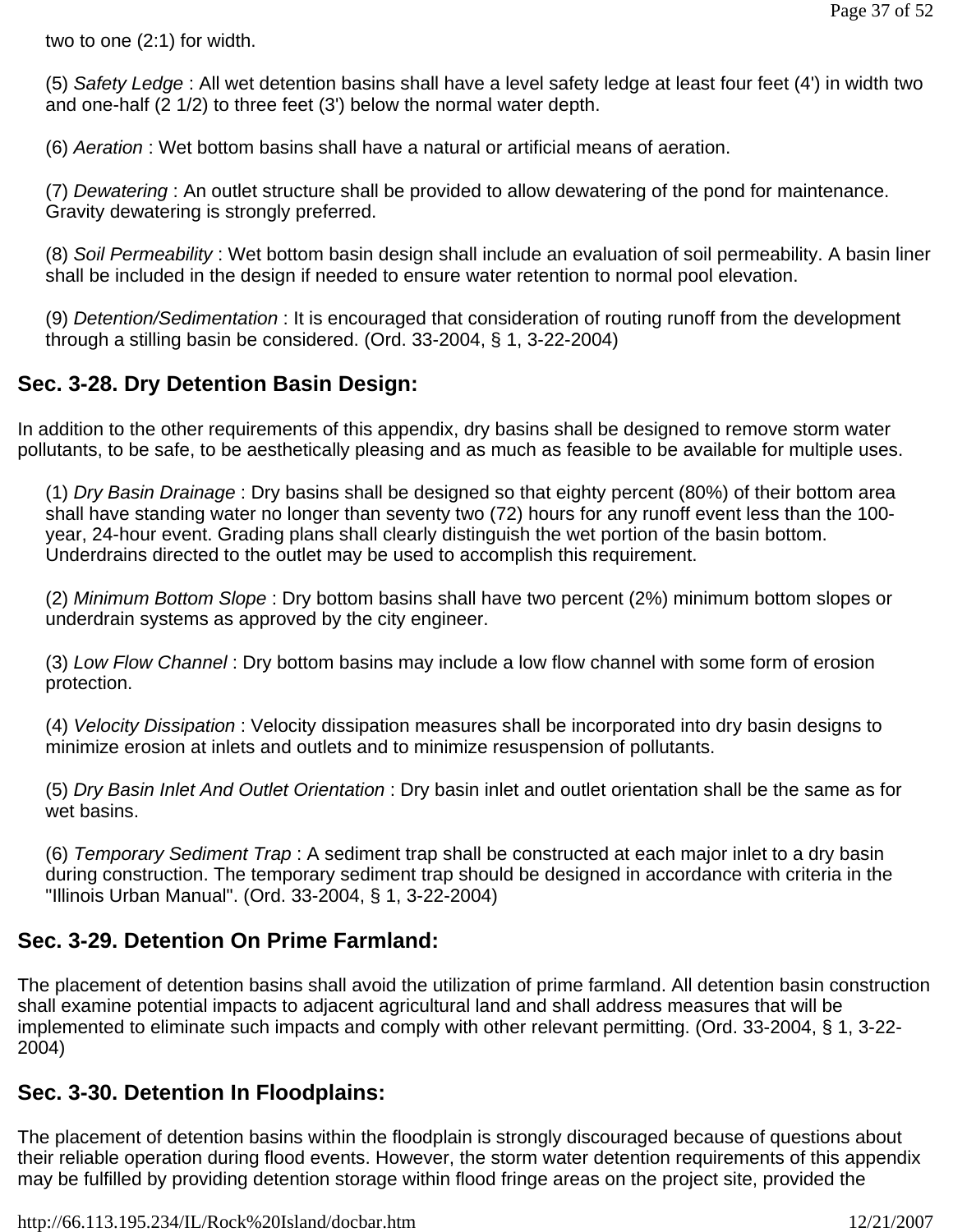two to one (2:1) for width.

(5) *Safety Ledge* : All wet detention basins shall have a level safety ledge at least four feet (4') in width two and one-half (2 1/2) to three feet (3') below the normal water depth.

(6) *Aeration* : Wet bottom basins shall have a natural or artificial means of aeration.

(7) *Dewatering* : An outlet structure shall be provided to allow dewatering of the pond for maintenance. Gravity dewatering is strongly preferred.

(8) *Soil Permeability* : Wet bottom basin design shall include an evaluation of soil permeability. A basin liner shall be included in the design if needed to ensure water retention to normal pool elevation.

(9) *Detention/Sedimentation* : It is encouraged that consideration of routing runoff from the development through a stilling basin be considered. (Ord. 33-2004, § 1, 3-22-2004)

# **Sec. 3-28. Dry Detention Basin Design:**

In addition to the other requirements of this appendix, dry basins shall be designed to remove storm water pollutants, to be safe, to be aesthetically pleasing and as much as feasible to be available for multiple uses.

(1) *Dry Basin Drainage* : Dry basins shall be designed so that eighty percent (80%) of their bottom area shall have standing water no longer than seventy two (72) hours for any runoff event less than the 100 year, 24-hour event. Grading plans shall clearly distinguish the wet portion of the basin bottom. Underdrains directed to the outlet may be used to accomplish this requirement.

(2) *Minimum Bottom Slope* : Dry bottom basins shall have two percent (2%) minimum bottom slopes or underdrain systems as approved by the city engineer.

(3) *Low Flow Channel* : Dry bottom basins may include a low flow channel with some form of erosion protection.

(4) *Velocity Dissipation* : Velocity dissipation measures shall be incorporated into dry basin designs to minimize erosion at inlets and outlets and to minimize resuspension of pollutants.

(5) *Dry Basin Inlet And Outlet Orientation* : Dry basin inlet and outlet orientation shall be the same as for wet basins.

(6) *Temporary Sediment Trap* : A sediment trap shall be constructed at each major inlet to a dry basin during construction. The temporary sediment trap should be designed in accordance with criteria in the "Illinois Urban Manual". (Ord. 33-2004, § 1, 3-22-2004)

# **Sec. 3-29. Detention On Prime Farmland:**

The placement of detention basins shall avoid the utilization of prime farmland. All detention basin construction shall examine potential impacts to adjacent agricultural land and shall address measures that will be implemented to eliminate such impacts and comply with other relevant permitting. (Ord. 33-2004, § 1, 3-22- 2004)

# **Sec. 3-30. Detention In Floodplains:**

The placement of detention basins within the floodplain is strongly discouraged because of questions about their reliable operation during flood events. However, the storm water detention requirements of this appendix may be fulfilled by providing detention storage within flood fringe areas on the project site, provided the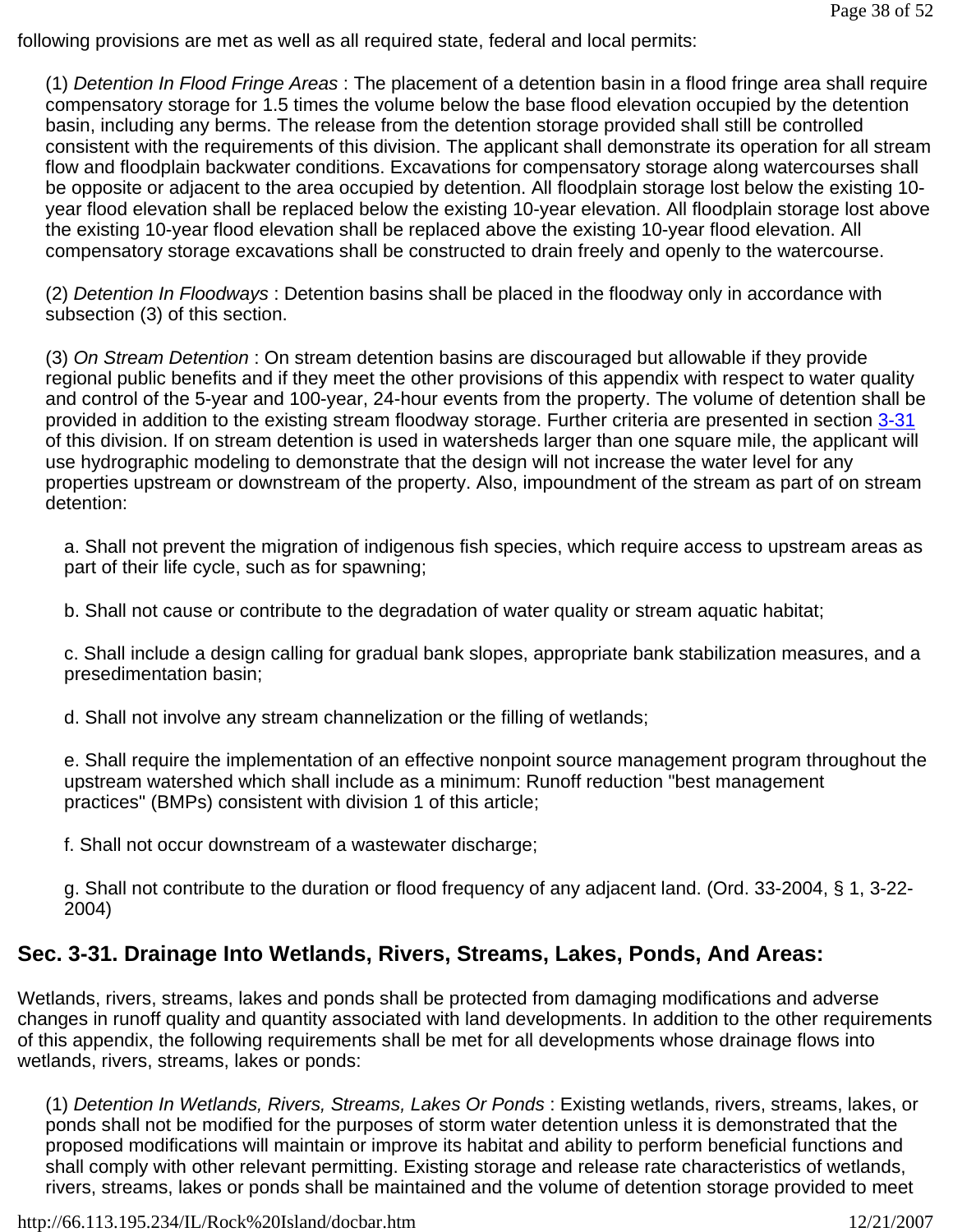following provisions are met as well as all required state, federal and local permits:

(1) *Detention In Flood Fringe Areas* : The placement of a detention basin in a flood fringe area shall require compensatory storage for 1.5 times the volume below the base flood elevation occupied by the detention basin, including any berms. The release from the detention storage provided shall still be controlled consistent with the requirements of this division. The applicant shall demonstrate its operation for all stream flow and floodplain backwater conditions. Excavations for compensatory storage along watercourses shall be opposite or adjacent to the area occupied by detention. All floodplain storage lost below the existing 10 year flood elevation shall be replaced below the existing 10-year elevation. All floodplain storage lost above the existing 10-year flood elevation shall be replaced above the existing 10-year flood elevation. All compensatory storage excavations shall be constructed to drain freely and openly to the watercourse.

(2) *Detention In Floodways* : Detention basins shall be placed in the floodway only in accordance with subsection (3) of this section.

(3) *On Stream Detention* : On stream detention basins are discouraged but allowable if they provide regional public benefits and if they meet the other provisions of this appendix with respect to water quality and control of the 5-year and 100-year, 24-hour events from the property. The volume of detention shall be provided in addition to the existing stream floodway storage. Further criteria are presented in section 3-31 of this division. If on stream detention is used in watersheds larger than one square mile, the applicant will use hydrographic modeling to demonstrate that the design will not increase the water level for any properties upstream or downstream of the property. Also, impoundment of the stream as part of on stream detention:

a. Shall not prevent the migration of indigenous fish species, which require access to upstream areas as part of their life cycle, such as for spawning;

b. Shall not cause or contribute to the degradation of water quality or stream aquatic habitat;

c. Shall include a design calling for gradual bank slopes, appropriate bank stabilization measures, and a presedimentation basin;

d. Shall not involve any stream channelization or the filling of wetlands;

e. Shall require the implementation of an effective nonpoint source management program throughout the upstream watershed which shall include as a minimum: Runoff reduction "best management practices" (BMPs) consistent with division 1 of this article;

f. Shall not occur downstream of a wastewater discharge;

g. Shall not contribute to the duration or flood frequency of any adjacent land. (Ord. 33-2004, § 1, 3-22- 2004)

# **Sec. 3-31. Drainage Into Wetlands, Rivers, Streams, Lakes, Ponds, And Areas:**

Wetlands, rivers, streams, lakes and ponds shall be protected from damaging modifications and adverse changes in runoff quality and quantity associated with land developments. In addition to the other requirements of this appendix, the following requirements shall be met for all developments whose drainage flows into wetlands, rivers, streams, lakes or ponds:

(1) *Detention In Wetlands, Rivers, Streams, Lakes Or Ponds* : Existing wetlands, rivers, streams, lakes, or ponds shall not be modified for the purposes of storm water detention unless it is demonstrated that the proposed modifications will maintain or improve its habitat and ability to perform beneficial functions and shall comply with other relevant permitting. Existing storage and release rate characteristics of wetlands, rivers, streams, lakes or ponds shall be maintained and the volume of detention storage provided to meet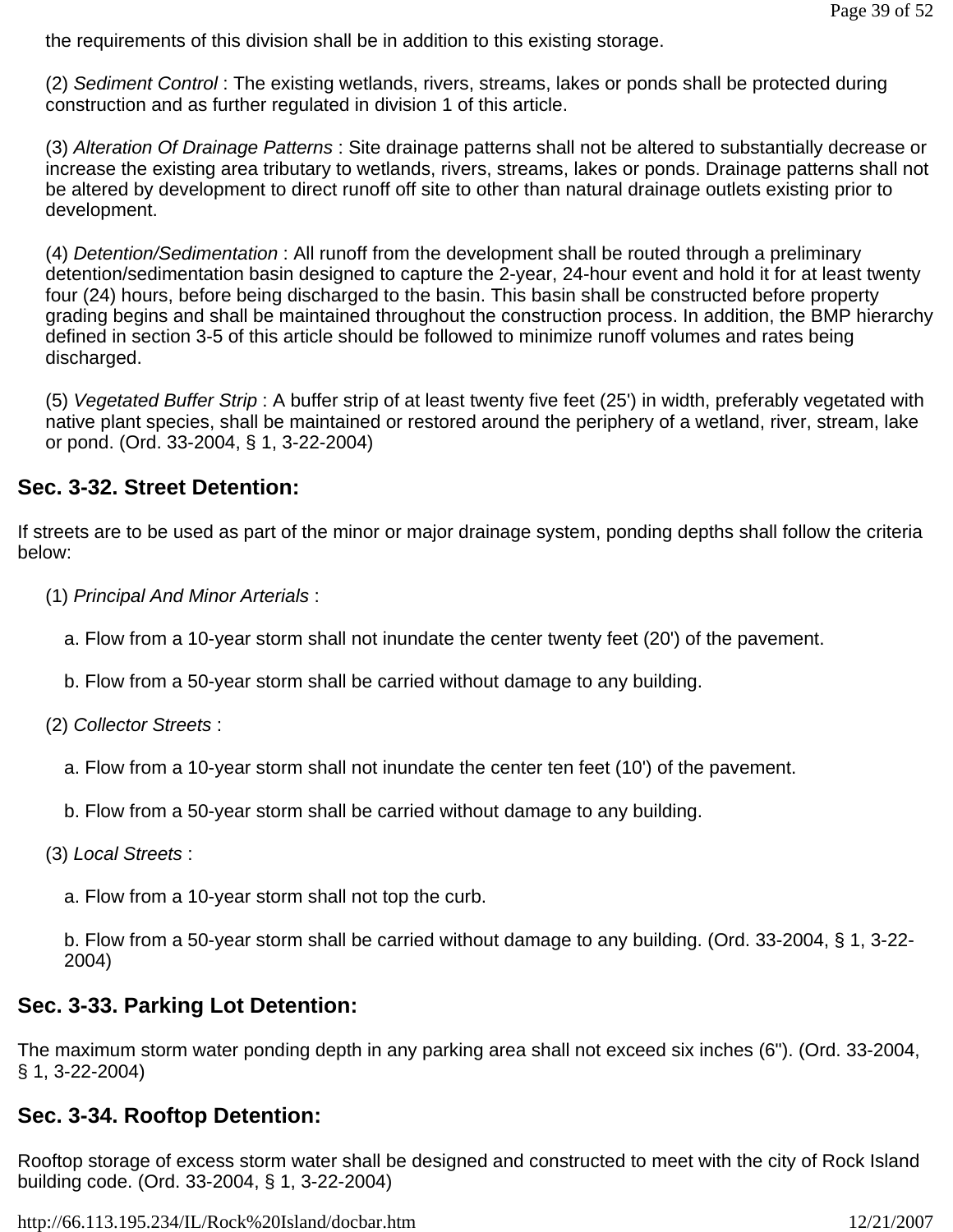the requirements of this division shall be in addition to this existing storage.

(2) *Sediment Control* : The existing wetlands, rivers, streams, lakes or ponds shall be protected during construction and as further regulated in division 1 of this article.

(3) *Alteration Of Drainage Patterns* : Site drainage patterns shall not be altered to substantially decrease or increase the existing area tributary to wetlands, rivers, streams, lakes or ponds. Drainage patterns shall not be altered by development to direct runoff off site to other than natural drainage outlets existing prior to development.

(4) *Detention/Sedimentation* : All runoff from the development shall be routed through a preliminary detention/sedimentation basin designed to capture the 2-year, 24-hour event and hold it for at least twenty four (24) hours, before being discharged to the basin. This basin shall be constructed before property grading begins and shall be maintained throughout the construction process. In addition, the BMP hierarchy defined in section 3-5 of this article should be followed to minimize runoff volumes and rates being discharged.

(5) *Vegetated Buffer Strip* : A buffer strip of at least twenty five feet (25') in width, preferably vegetated with native plant species, shall be maintained or restored around the periphery of a wetland, river, stream, lake or pond. (Ord. 33-2004, § 1, 3-22-2004)

## **Sec. 3-32. Street Detention:**

If streets are to be used as part of the minor or major drainage system, ponding depths shall follow the criteria below:

- (1) *Principal And Minor Arterials* :
	- a. Flow from a 10-year storm shall not inundate the center twenty feet (20') of the pavement.
	- b. Flow from a 50-year storm shall be carried without damage to any building.
- (2) *Collector Streets* :
	- a. Flow from a 10-year storm shall not inundate the center ten feet (10') of the pavement.
	- b. Flow from a 50-year storm shall be carried without damage to any building.
- (3) *Local Streets* :
	- a. Flow from a 10-year storm shall not top the curb.

b. Flow from a 50-year storm shall be carried without damage to any building. (Ord. 33-2004, § 1, 3-22- 2004)

# **Sec. 3-33. Parking Lot Detention:**

The maximum storm water ponding depth in any parking area shall not exceed six inches (6"). (Ord. 33-2004, § 1, 3-22-2004)

### **Sec. 3-34. Rooftop Detention:**

Rooftop storage of excess storm water shall be designed and constructed to meet with the city of Rock Island building code. (Ord. 33-2004, § 1, 3-22-2004)

http://66.113.195.234/IL/Rock%20Island/docbar.htm 12/21/2007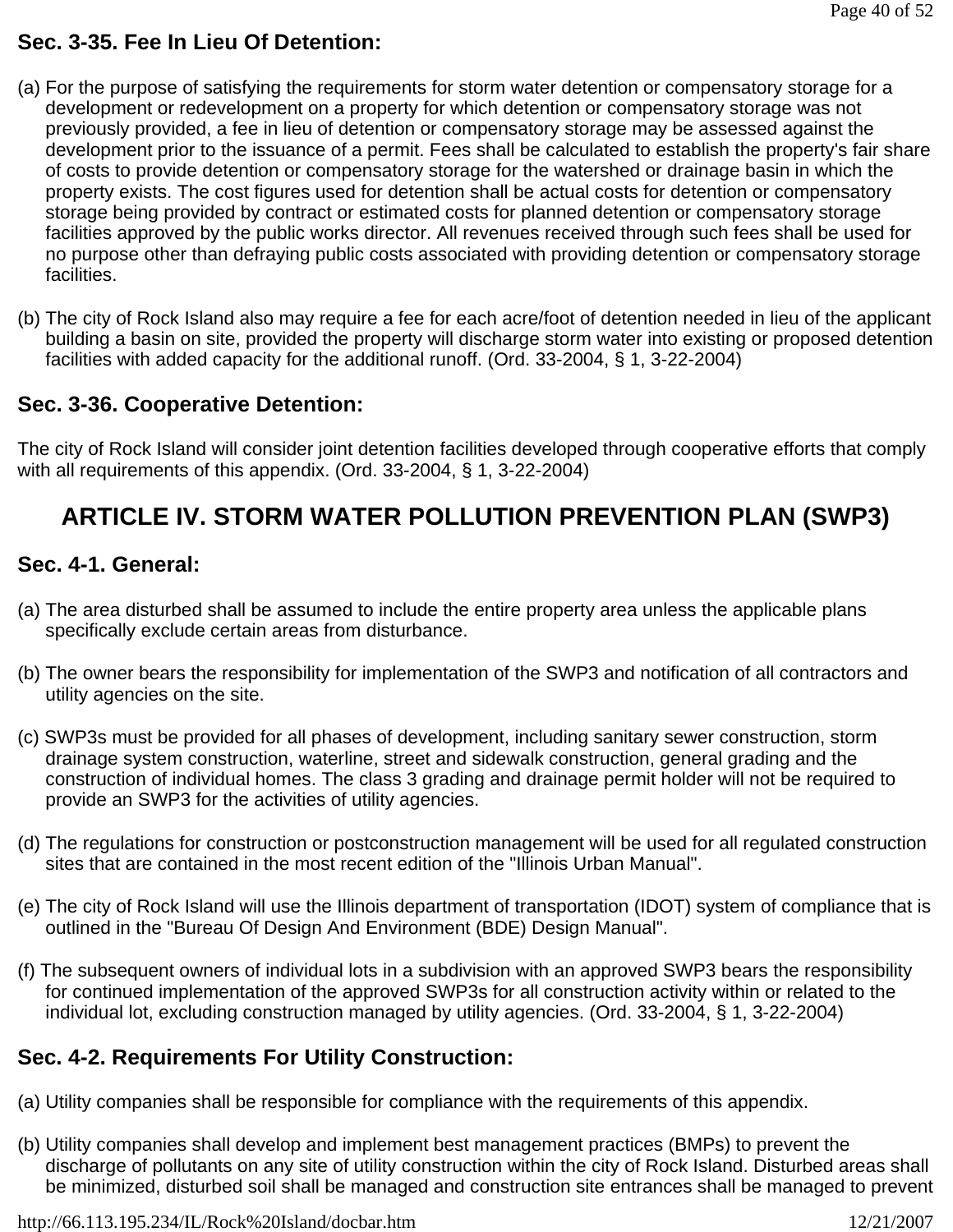# **Sec. 3-35. Fee In Lieu Of Detention:**

- (a) For the purpose of satisfying the requirements for storm water detention or compensatory storage for a development or redevelopment on a property for which detention or compensatory storage was not previously provided, a fee in lieu of detention or compensatory storage may be assessed against the development prior to the issuance of a permit. Fees shall be calculated to establish the property's fair share of costs to provide detention or compensatory storage for the watershed or drainage basin in which the property exists. The cost figures used for detention shall be actual costs for detention or compensatory storage being provided by contract or estimated costs for planned detention or compensatory storage facilities approved by the public works director. All revenues received through such fees shall be used for no purpose other than defraying public costs associated with providing detention or compensatory storage facilities.
- (b) The city of Rock Island also may require a fee for each acre/foot of detention needed in lieu of the applicant building a basin on site, provided the property will discharge storm water into existing or proposed detention facilities with added capacity for the additional runoff. (Ord. 33-2004, § 1, 3-22-2004)

# **Sec. 3-36. Cooperative Detention:**

The city of Rock Island will consider joint detention facilities developed through cooperative efforts that comply with all requirements of this appendix. (Ord. 33-2004, § 1, 3-22-2004)

# **ARTICLE IV. STORM WATER POLLUTION PREVENTION PLAN (SWP3)**

### **Sec. 4-1. General:**

- (a) The area disturbed shall be assumed to include the entire property area unless the applicable plans specifically exclude certain areas from disturbance.
- (b) The owner bears the responsibility for implementation of the SWP3 and notification of all contractors and utility agencies on the site.
- (c) SWP3s must be provided for all phases of development, including sanitary sewer construction, storm drainage system construction, waterline, street and sidewalk construction, general grading and the construction of individual homes. The class 3 grading and drainage permit holder will not be required to provide an SWP3 for the activities of utility agencies.
- (d) The regulations for construction or postconstruction management will be used for all regulated construction sites that are contained in the most recent edition of the "Illinois Urban Manual".
- (e) The city of Rock Island will use the Illinois department of transportation (IDOT) system of compliance that is outlined in the "Bureau Of Design And Environment (BDE) Design Manual".
- (f) The subsequent owners of individual lots in a subdivision with an approved SWP3 bears the responsibility for continued implementation of the approved SWP3s for all construction activity within or related to the individual lot, excluding construction managed by utility agencies. (Ord. 33-2004, § 1, 3-22-2004)

# **Sec. 4-2. Requirements For Utility Construction:**

- (a) Utility companies shall be responsible for compliance with the requirements of this appendix.
- (b) Utility companies shall develop and implement best management practices (BMPs) to prevent the discharge of pollutants on any site of utility construction within the city of Rock Island. Disturbed areas shall be minimized, disturbed soil shall be managed and construction site entrances shall be managed to prevent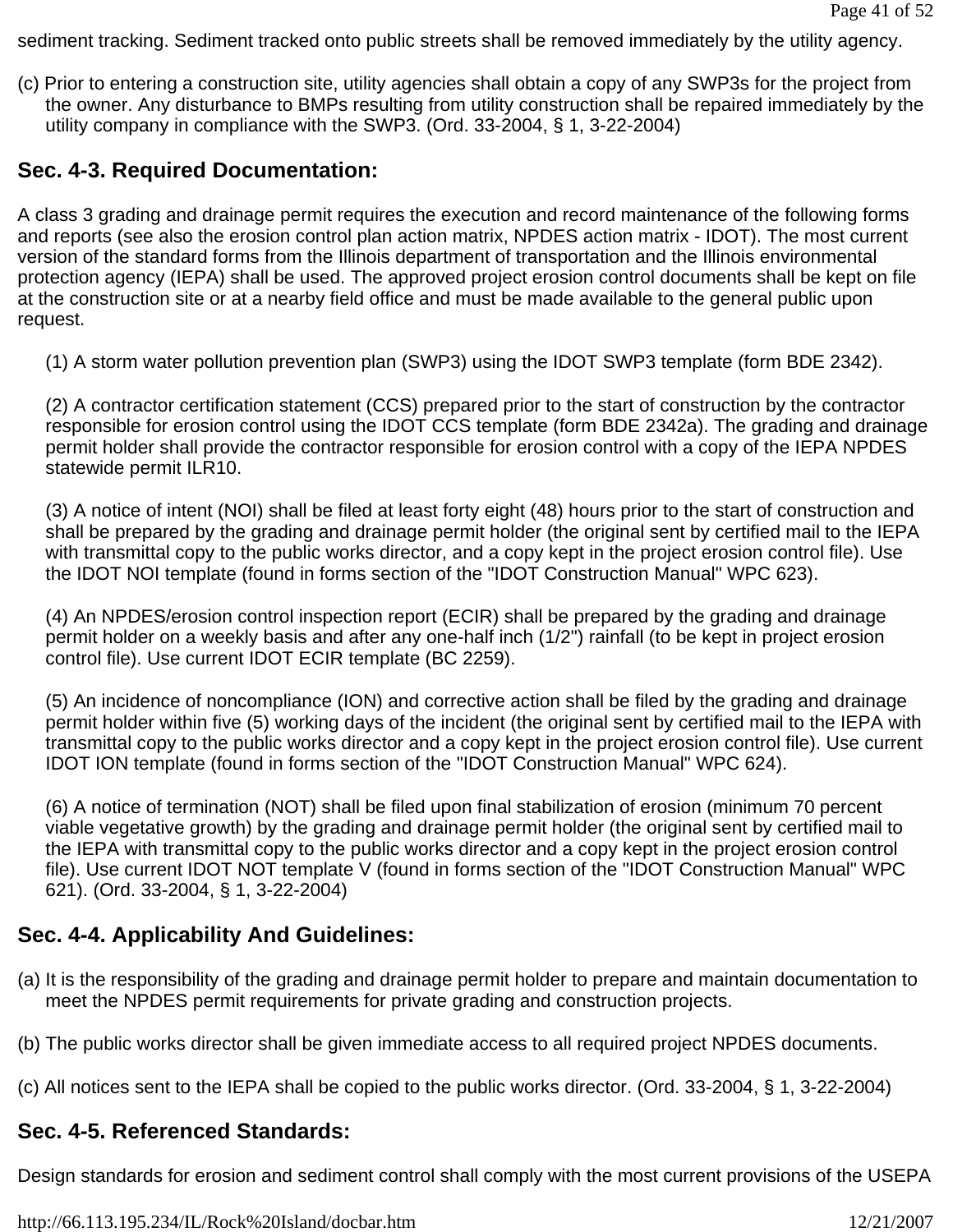sediment tracking. Sediment tracked onto public streets shall be removed immediately by the utility agency.

(c) Prior to entering a construction site, utility agencies shall obtain a copy of any SWP3s for the project from the owner. Any disturbance to BMPs resulting from utility construction shall be repaired immediately by the utility company in compliance with the SWP3. (Ord. 33-2004, § 1, 3-22-2004)

# **Sec. 4-3. Required Documentation:**

A class 3 grading and drainage permit requires the execution and record maintenance of the following forms and reports (see also the erosion control plan action matrix, NPDES action matrix - IDOT). The most current version of the standard forms from the Illinois department of transportation and the Illinois environmental protection agency (IEPA) shall be used. The approved project erosion control documents shall be kept on file at the construction site or at a nearby field office and must be made available to the general public upon request.

(1) A storm water pollution prevention plan (SWP3) using the IDOT SWP3 template (form BDE 2342).

(2) A contractor certification statement (CCS) prepared prior to the start of construction by the contractor responsible for erosion control using the IDOT CCS template (form BDE 2342a). The grading and drainage permit holder shall provide the contractor responsible for erosion control with a copy of the IEPA NPDES statewide permit ILR10.

(3) A notice of intent (NOI) shall be filed at least forty eight (48) hours prior to the start of construction and shall be prepared by the grading and drainage permit holder (the original sent by certified mail to the IEPA with transmittal copy to the public works director, and a copy kept in the project erosion control file). Use the IDOT NOI template (found in forms section of the "IDOT Construction Manual" WPC 623).

(4) An NPDES/erosion control inspection report (ECIR) shall be prepared by the grading and drainage permit holder on a weekly basis and after any one-half inch (1/2") rainfall (to be kept in project erosion control file). Use current IDOT ECIR template (BC 2259).

(5) An incidence of noncompliance (ION) and corrective action shall be filed by the grading and drainage permit holder within five (5) working days of the incident (the original sent by certified mail to the IEPA with transmittal copy to the public works director and a copy kept in the project erosion control file). Use current IDOT ION template (found in forms section of the "IDOT Construction Manual" WPC 624).

(6) A notice of termination (NOT) shall be filed upon final stabilization of erosion (minimum 70 percent viable vegetative growth) by the grading and drainage permit holder (the original sent by certified mail to the IEPA with transmittal copy to the public works director and a copy kept in the project erosion control file). Use current IDOT NOT template V (found in forms section of the "IDOT Construction Manual" WPC 621). (Ord. 33-2004, § 1, 3-22-2004)

# **Sec. 4-4. Applicability And Guidelines:**

- (a) It is the responsibility of the grading and drainage permit holder to prepare and maintain documentation to meet the NPDES permit requirements for private grading and construction projects.
- (b) The public works director shall be given immediate access to all required project NPDES documents.
- (c) All notices sent to the IEPA shall be copied to the public works director. (Ord. 33-2004, § 1, 3-22-2004)

# **Sec. 4-5. Referenced Standards:**

Design standards for erosion and sediment control shall comply with the most current provisions of the USEPA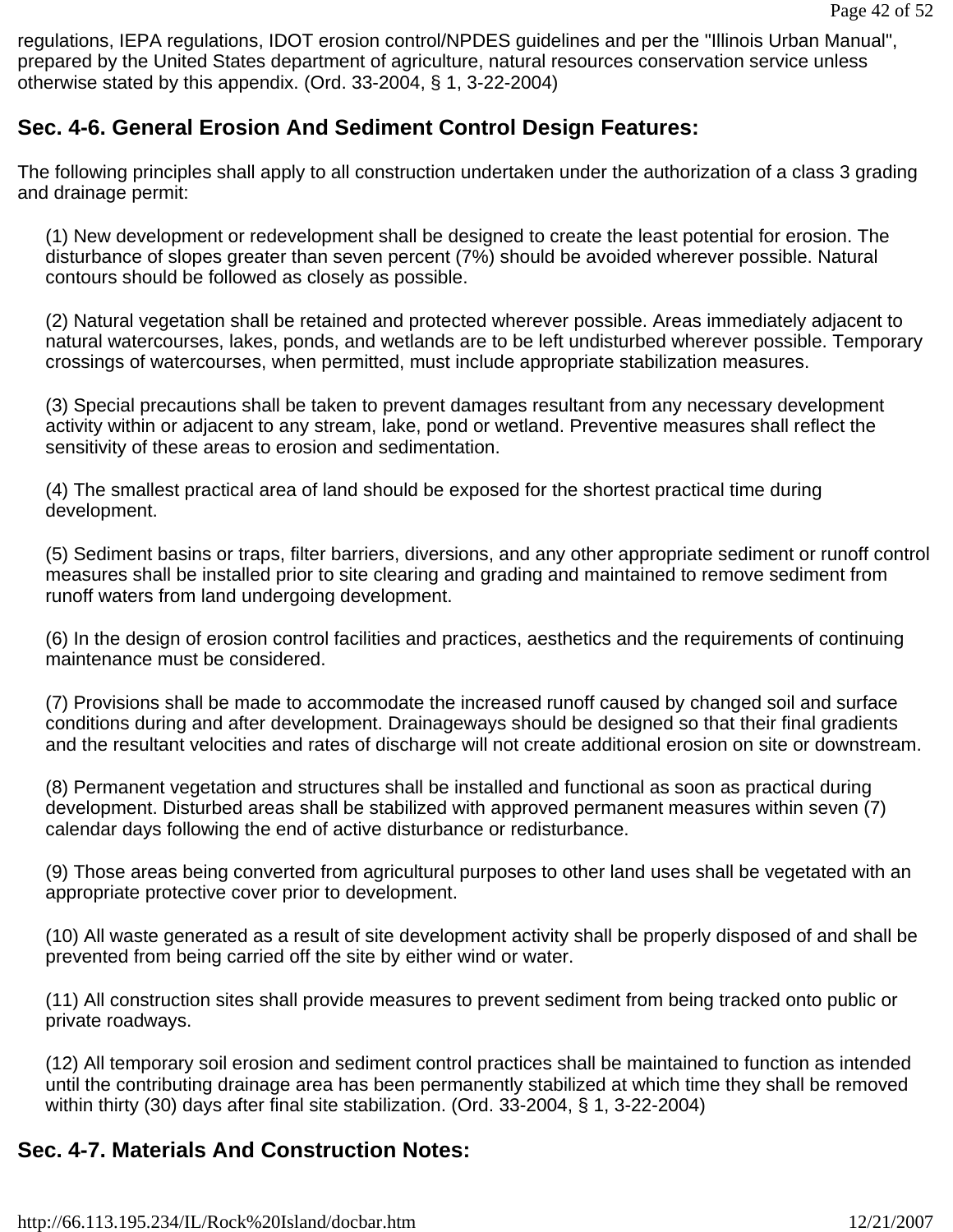regulations, IEPA regulations, IDOT erosion control/NPDES guidelines and per the "Illinois Urban Manual", prepared by the United States department of agriculture, natural resources conservation service unless otherwise stated by this appendix. (Ord. 33-2004, § 1, 3-22-2004)

# **Sec. 4-6. General Erosion And Sediment Control Design Features:**

The following principles shall apply to all construction undertaken under the authorization of a class 3 grading and drainage permit:

(1) New development or redevelopment shall be designed to create the least potential for erosion. The disturbance of slopes greater than seven percent (7%) should be avoided wherever possible. Natural contours should be followed as closely as possible.

(2) Natural vegetation shall be retained and protected wherever possible. Areas immediately adjacent to natural watercourses, lakes, ponds, and wetlands are to be left undisturbed wherever possible. Temporary crossings of watercourses, when permitted, must include appropriate stabilization measures.

(3) Special precautions shall be taken to prevent damages resultant from any necessary development activity within or adjacent to any stream, lake, pond or wetland. Preventive measures shall reflect the sensitivity of these areas to erosion and sedimentation.

(4) The smallest practical area of land should be exposed for the shortest practical time during development.

(5) Sediment basins or traps, filter barriers, diversions, and any other appropriate sediment or runoff control measures shall be installed prior to site clearing and grading and maintained to remove sediment from runoff waters from land undergoing development.

(6) In the design of erosion control facilities and practices, aesthetics and the requirements of continuing maintenance must be considered.

(7) Provisions shall be made to accommodate the increased runoff caused by changed soil and surface conditions during and after development. Drainageways should be designed so that their final gradients and the resultant velocities and rates of discharge will not create additional erosion on site or downstream.

(8) Permanent vegetation and structures shall be installed and functional as soon as practical during development. Disturbed areas shall be stabilized with approved permanent measures within seven (7) calendar days following the end of active disturbance or redisturbance.

(9) Those areas being converted from agricultural purposes to other land uses shall be vegetated with an appropriate protective cover prior to development.

(10) All waste generated as a result of site development activity shall be properly disposed of and shall be prevented from being carried off the site by either wind or water.

(11) All construction sites shall provide measures to prevent sediment from being tracked onto public or private roadways.

(12) All temporary soil erosion and sediment control practices shall be maintained to function as intended until the contributing drainage area has been permanently stabilized at which time they shall be removed within thirty (30) days after final site stabilization. (Ord. 33-2004, § 1, 3-22-2004)

# **Sec. 4-7. Materials And Construction Notes:**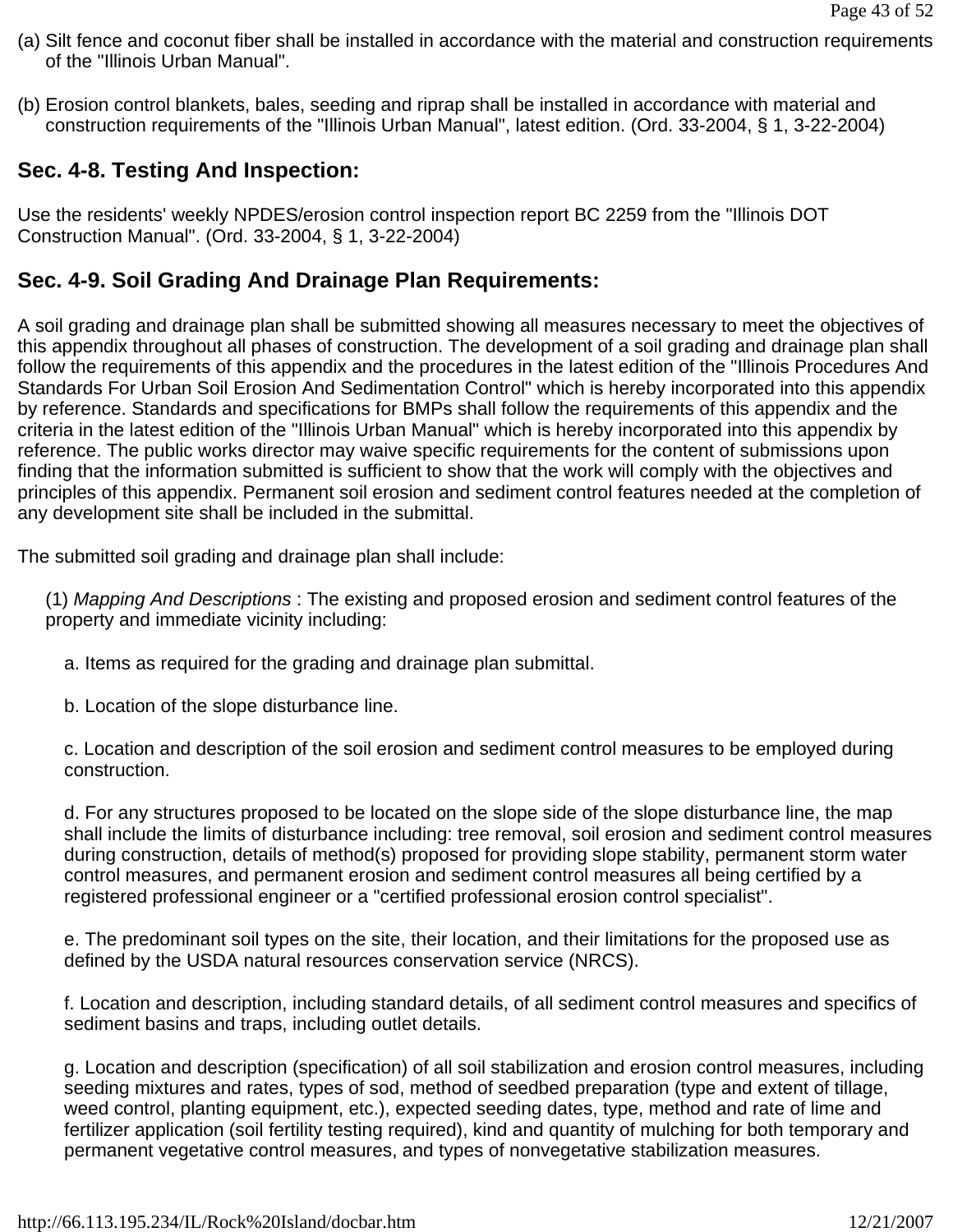- (a) Silt fence and coconut fiber shall be installed in accordance with the material and construction requirements of the "Illinois Urban Manual".
- (b) Erosion control blankets, bales, seeding and riprap shall be installed in accordance with material and construction requirements of the "Illinois Urban Manual", latest edition. (Ord. 33-2004, § 1, 3-22-2004)

# **Sec. 4-8. Testing And Inspection:**

Use the residents' weekly NPDES/erosion control inspection report BC 2259 from the "Illinois DOT Construction Manual". (Ord. 33-2004, § 1, 3-22-2004)

## **Sec. 4-9. Soil Grading And Drainage Plan Requirements:**

A soil grading and drainage plan shall be submitted showing all measures necessary to meet the objectives of this appendix throughout all phases of construction. The development of a soil grading and drainage plan shall follow the requirements of this appendix and the procedures in the latest edition of the "Illinois Procedures And Standards For Urban Soil Erosion And Sedimentation Control" which is hereby incorporated into this appendix by reference. Standards and specifications for BMPs shall follow the requirements of this appendix and the criteria in the latest edition of the "Illinois Urban Manual" which is hereby incorporated into this appendix by reference. The public works director may waive specific requirements for the content of submissions upon finding that the information submitted is sufficient to show that the work will comply with the objectives and principles of this appendix. Permanent soil erosion and sediment control features needed at the completion of any development site shall be included in the submittal.

The submitted soil grading and drainage plan shall include:

(1) *Mapping And Descriptions* : The existing and proposed erosion and sediment control features of the property and immediate vicinity including:

- a. Items as required for the grading and drainage plan submittal.
- b. Location of the slope disturbance line.

c. Location and description of the soil erosion and sediment control measures to be employed during construction.

d. For any structures proposed to be located on the slope side of the slope disturbance line, the map shall include the limits of disturbance including: tree removal, soil erosion and sediment control measures during construction, details of method(s) proposed for providing slope stability, permanent storm water control measures, and permanent erosion and sediment control measures all being certified by a registered professional engineer or a "certified professional erosion control specialist".

e. The predominant soil types on the site, their location, and their limitations for the proposed use as defined by the USDA natural resources conservation service (NRCS).

f. Location and description, including standard details, of all sediment control measures and specifics of sediment basins and traps, including outlet details.

g. Location and description (specification) of all soil stabilization and erosion control measures, including seeding mixtures and rates, types of sod, method of seedbed preparation (type and extent of tillage, weed control, planting equipment, etc.), expected seeding dates, type, method and rate of lime and fertilizer application (soil fertility testing required), kind and quantity of mulching for both temporary and permanent vegetative control measures, and types of nonvegetative stabilization measures.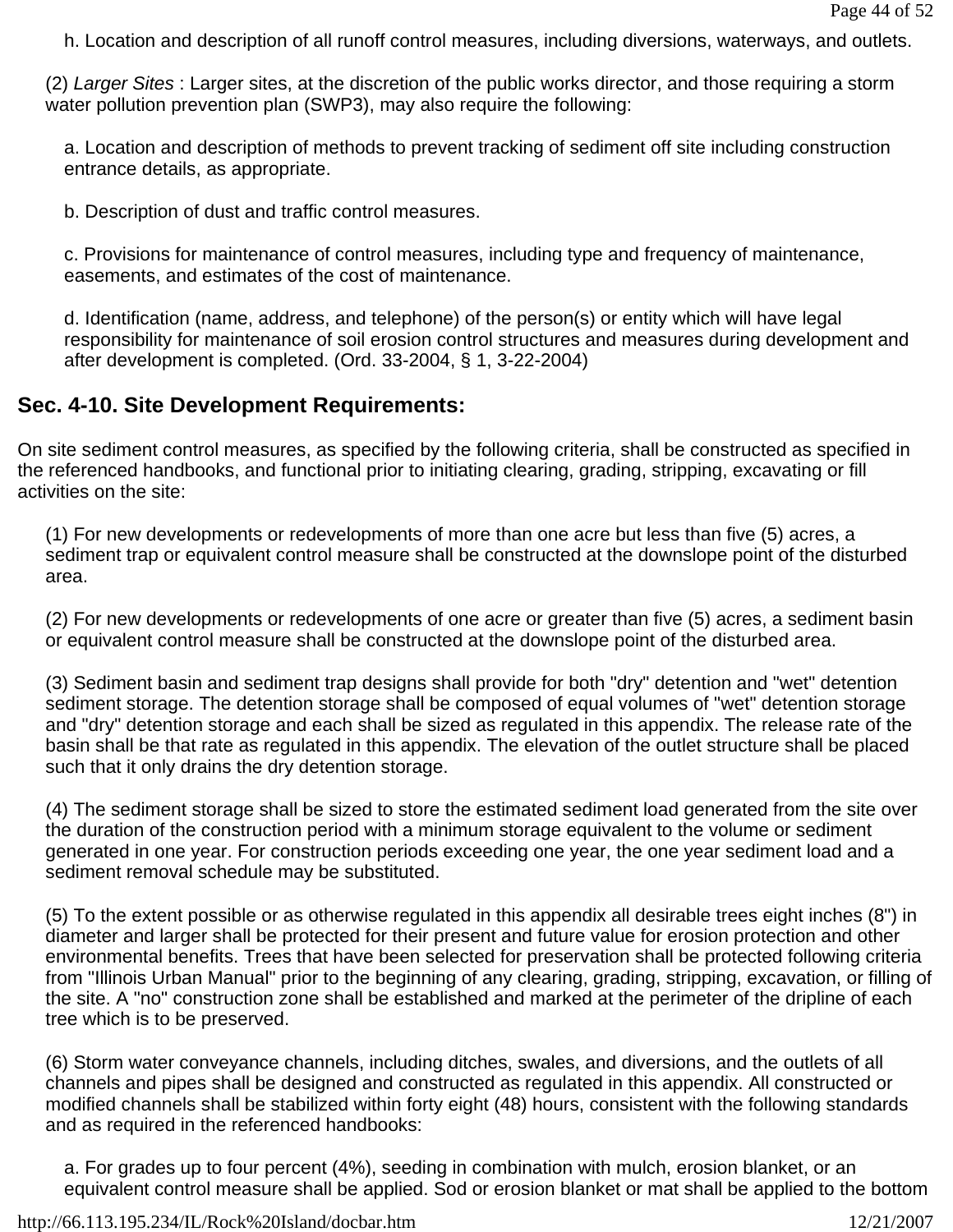h. Location and description of all runoff control measures, including diversions, waterways, and outlets.

(2) *Larger Sites* : Larger sites, at the discretion of the public works director, and those requiring a storm water pollution prevention plan (SWP3), may also require the following:

a. Location and description of methods to prevent tracking of sediment off site including construction entrance details, as appropriate.

b. Description of dust and traffic control measures.

c. Provisions for maintenance of control measures, including type and frequency of maintenance, easements, and estimates of the cost of maintenance.

d. Identification (name, address, and telephone) of the person(s) or entity which will have legal responsibility for maintenance of soil erosion control structures and measures during development and after development is completed. (Ord. 33-2004, § 1, 3-22-2004)

# **Sec. 4-10. Site Development Requirements:**

On site sediment control measures, as specified by the following criteria, shall be constructed as specified in the referenced handbooks, and functional prior to initiating clearing, grading, stripping, excavating or fill activities on the site:

(1) For new developments or redevelopments of more than one acre but less than five (5) acres, a sediment trap or equivalent control measure shall be constructed at the downslope point of the disturbed area.

(2) For new developments or redevelopments of one acre or greater than five (5) acres, a sediment basin or equivalent control measure shall be constructed at the downslope point of the disturbed area.

(3) Sediment basin and sediment trap designs shall provide for both "dry" detention and "wet" detention sediment storage. The detention storage shall be composed of equal volumes of "wet" detention storage and "dry" detention storage and each shall be sized as regulated in this appendix. The release rate of the basin shall be that rate as regulated in this appendix. The elevation of the outlet structure shall be placed such that it only drains the dry detention storage.

(4) The sediment storage shall be sized to store the estimated sediment load generated from the site over the duration of the construction period with a minimum storage equivalent to the volume or sediment generated in one year. For construction periods exceeding one year, the one year sediment load and a sediment removal schedule may be substituted.

(5) To the extent possible or as otherwise regulated in this appendix all desirable trees eight inches (8") in diameter and larger shall be protected for their present and future value for erosion protection and other environmental benefits. Trees that have been selected for preservation shall be protected following criteria from "Illinois Urban Manual" prior to the beginning of any clearing, grading, stripping, excavation, or filling of the site. A "no" construction zone shall be established and marked at the perimeter of the dripline of each tree which is to be preserved.

(6) Storm water conveyance channels, including ditches, swales, and diversions, and the outlets of all channels and pipes shall be designed and constructed as regulated in this appendix. All constructed or modified channels shall be stabilized within forty eight (48) hours, consistent with the following standards and as required in the referenced handbooks:

a. For grades up to four percent (4%), seeding in combination with mulch, erosion blanket, or an equivalent control measure shall be applied. Sod or erosion blanket or mat shall be applied to the bottom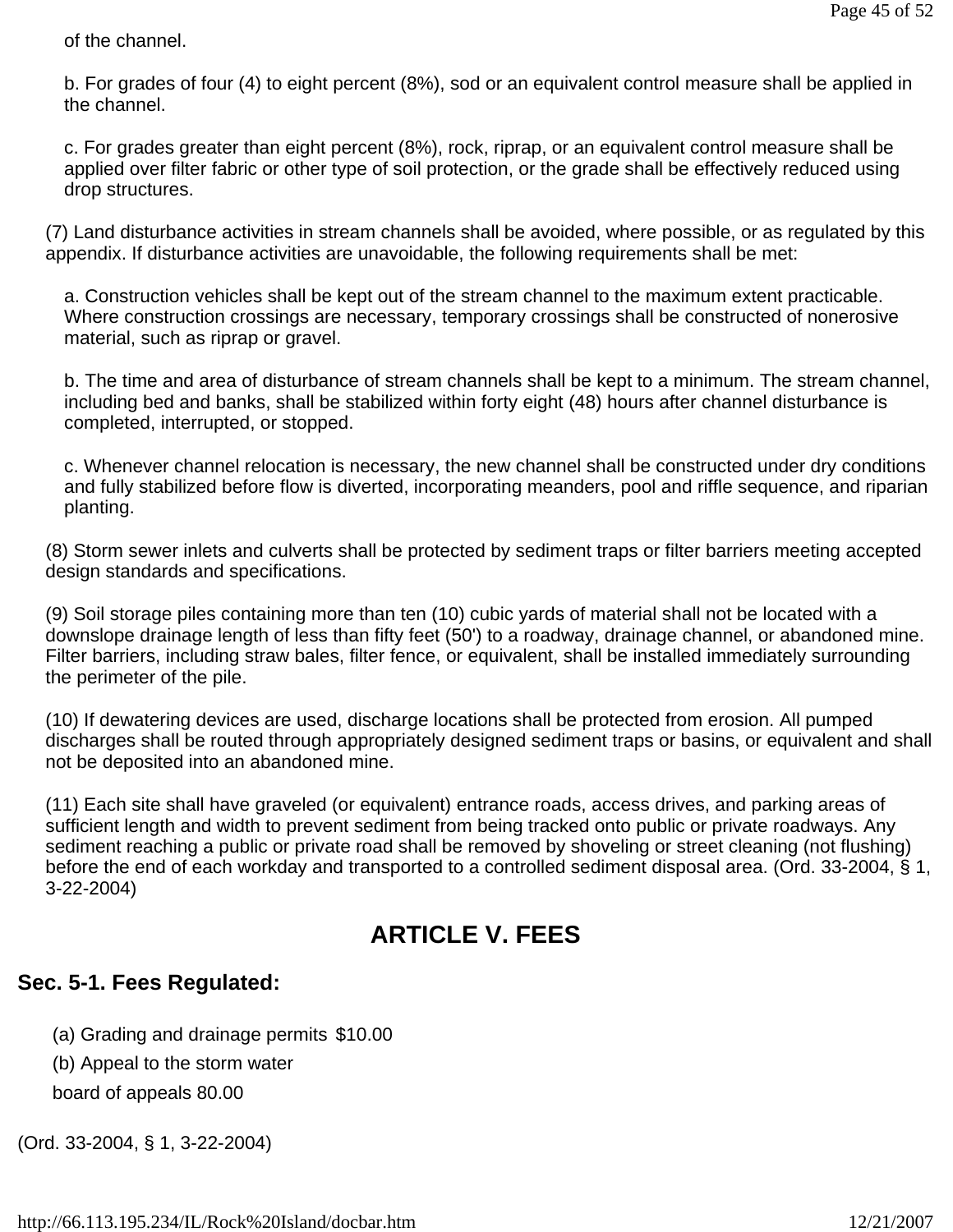of the channel.

b. For grades of four (4) to eight percent (8%), sod or an equivalent control measure shall be applied in the channel.

c. For grades greater than eight percent (8%), rock, riprap, or an equivalent control measure shall be applied over filter fabric or other type of soil protection, or the grade shall be effectively reduced using drop structures.

(7) Land disturbance activities in stream channels shall be avoided, where possible, or as regulated by this appendix. If disturbance activities are unavoidable, the following requirements shall be met:

a. Construction vehicles shall be kept out of the stream channel to the maximum extent practicable. Where construction crossings are necessary, temporary crossings shall be constructed of nonerosive material, such as riprap or gravel.

b. The time and area of disturbance of stream channels shall be kept to a minimum. The stream channel, including bed and banks, shall be stabilized within forty eight (48) hours after channel disturbance is completed, interrupted, or stopped.

c. Whenever channel relocation is necessary, the new channel shall be constructed under dry conditions and fully stabilized before flow is diverted, incorporating meanders, pool and riffle sequence, and riparian planting.

(8) Storm sewer inlets and culverts shall be protected by sediment traps or filter barriers meeting accepted design standards and specifications.

(9) Soil storage piles containing more than ten (10) cubic yards of material shall not be located with a downslope drainage length of less than fifty feet (50') to a roadway, drainage channel, or abandoned mine. Filter barriers, including straw bales, filter fence, or equivalent, shall be installed immediately surrounding the perimeter of the pile.

(10) If dewatering devices are used, discharge locations shall be protected from erosion. All pumped discharges shall be routed through appropriately designed sediment traps or basins, or equivalent and shall not be deposited into an abandoned mine.

(11) Each site shall have graveled (or equivalent) entrance roads, access drives, and parking areas of sufficient length and width to prevent sediment from being tracked onto public or private roadways. Any sediment reaching a public or private road shall be removed by shoveling or street cleaning (not flushing) before the end of each workday and transported to a controlled sediment disposal area. (Ord. 33-2004, § 1, 3-22-2004)

# **ARTICLE V. FEES**

# **Sec. 5-1. Fees Regulated:**

(a) Grading and drainage permits \$10.00

(b) Appeal to the storm water

board of appeals 80.00

(Ord. 33-2004, § 1, 3-22-2004)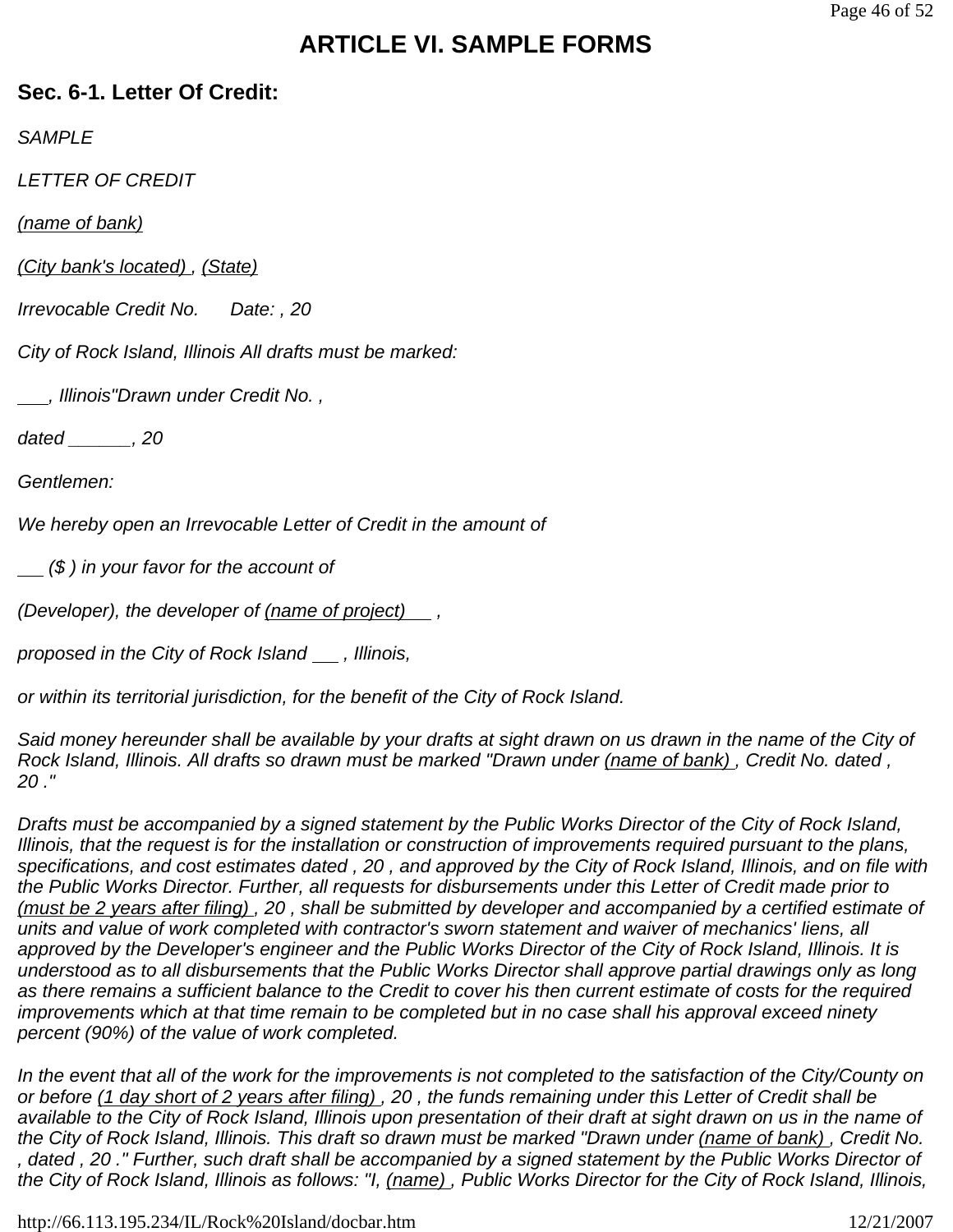# **ARTICLE VI. SAMPLE FORMS**

## **Sec. 6-1. Letter Of Credit:**

*SAMPLE*

*LETTER OF CREDIT*

*(name of bank)* 

*(City bank's located) , (State)* 

*Irrevocable Credit No. Date: , 20* 

*City of Rock Island, Illinois All drafts must be marked:*

 *, Illinois"Drawn under Credit No. ,*

*dated \_\_\_\_\_\_, 20* 

*Gentlemen:*

*We hereby open an Irrevocable Letter of Credit in the amount of* 

 *(\$ ) in your favor for the account of* 

*(Developer), the developer of (name of project) ,*

*proposed in the City of Rock Island <sub>,</sub> Illinois,* 

*or within its territorial jurisdiction, for the benefit of the City of Rock Island.*

*Said money hereunder shall be available by your drafts at sight drawn on us drawn in the name of the City of Rock Island, Illinois. All drafts so drawn must be marked "Drawn under (name of bank) , Credit No. dated , 20 ."*

*Drafts must be accompanied by a signed statement by the Public Works Director of the City of Rock Island, Illinois, that the request is for the installation or construction of improvements required pursuant to the plans, specifications, and cost estimates dated , 20 , and approved by the City of Rock Island, Illinois, and on file with the Public Works Director. Further, all requests for disbursements under this Letter of Credit made prior to (must be 2 years after filing) , 20 , shall be submitted by developer and accompanied by a certified estimate of units and value of work completed with contractor's sworn statement and waiver of mechanics' liens, all approved by the Developer's engineer and the Public Works Director of the City of Rock Island, Illinois. It is understood as to all disbursements that the Public Works Director shall approve partial drawings only as long as there remains a sufficient balance to the Credit to cover his then current estimate of costs for the required improvements which at that time remain to be completed but in no case shall his approval exceed ninety percent (90%) of the value of work completed.*

In the event that all of the work for the improvements is not completed to the satisfaction of the City/County on *or before (1 day short of 2 years after filing) , 20 , the funds remaining under this Letter of Credit shall be available to the City of Rock Island, Illinois upon presentation of their draft at sight drawn on us in the name of the City of Rock Island, Illinois. This draft so drawn must be marked "Drawn under (name of bank) , Credit No. , dated , 20 ." Further, such draft shall be accompanied by a signed statement by the Public Works Director of the City of Rock Island, Illinois as follows: "I, (name) , Public Works Director for the City of Rock Island, Illinois,*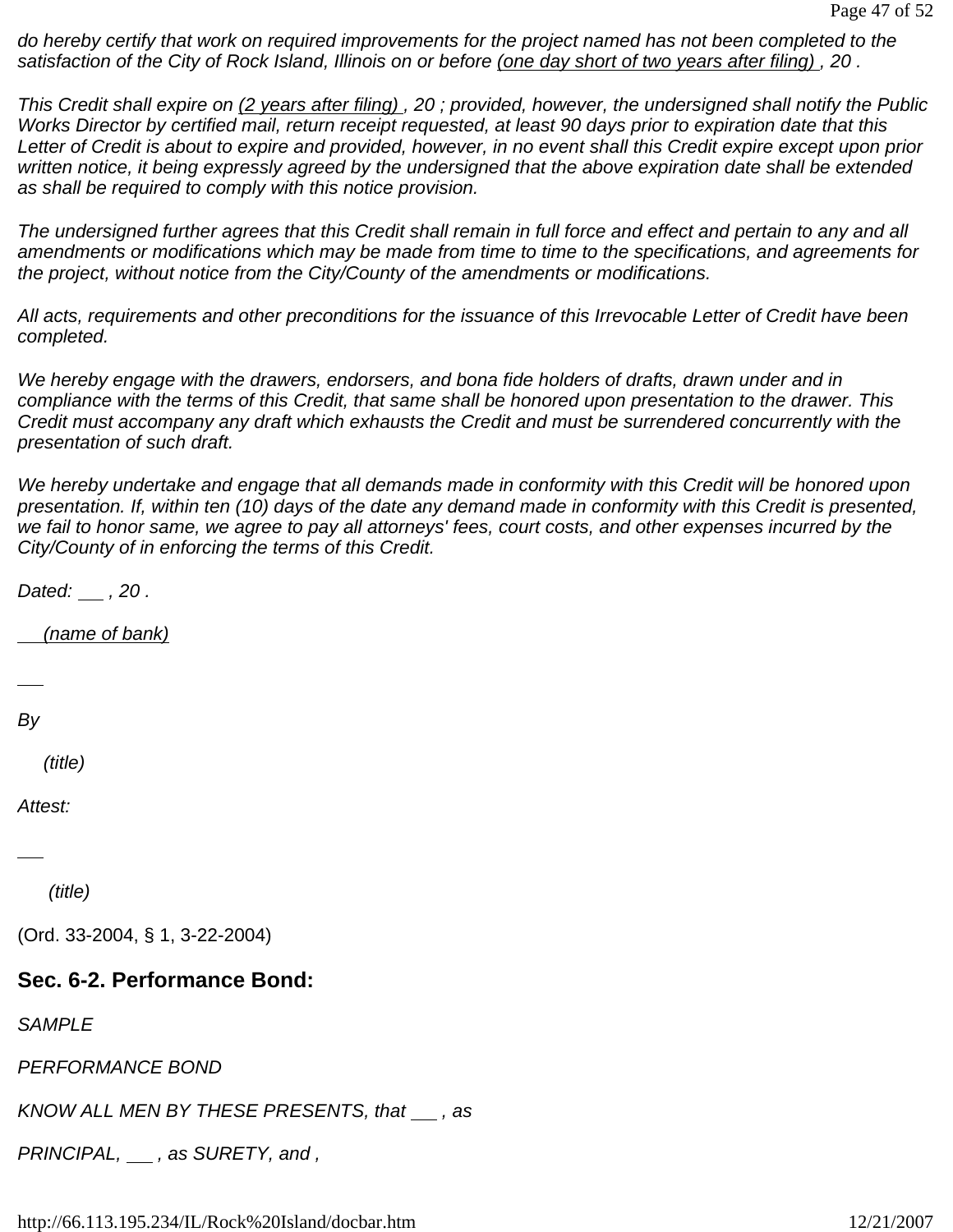*do hereby certify that work on required improvements for the project named has not been completed to the satisfaction of the City of Rock Island, Illinois on or before (one day short of two years after filing) , 20 .*

*This Credit shall expire on (2 years after filing) , 20 ; provided, however, the undersigned shall notify the Public Works Director by certified mail, return receipt requested, at least 90 days prior to expiration date that this Letter of Credit is about to expire and provided, however, in no event shall this Credit expire except upon prior written notice, it being expressly agreed by the undersigned that the above expiration date shall be extended as shall be required to comply with this notice provision.*

*The undersigned further agrees that this Credit shall remain in full force and effect and pertain to any and all amendments or modifications which may be made from time to time to the specifications, and agreements for the project, without notice from the City/County of the amendments or modifications.*

*All acts, requirements and other preconditions for the issuance of this Irrevocable Letter of Credit have been completed.*

*We hereby engage with the drawers, endorsers, and bona fide holders of drafts, drawn under and in compliance with the terms of this Credit, that same shall be honored upon presentation to the drawer. This Credit must accompany any draft which exhausts the Credit and must be surrendered concurrently with the presentation of such draft.*

*We hereby undertake and engage that all demands made in conformity with this Credit will be honored upon presentation. If, within ten (10) days of the date any demand made in conformity with this Credit is presented, we fail to honor same, we agree to pay all attorneys' fees, court costs, and other expenses incurred by the City/County of in enforcing the terms of this Credit.*

*Dated: , 20 .*

 *(name of bank)*

*By* 

 *(title)*

*Attest:*

 *(title)*

(Ord. 33-2004, § 1, 3-22-2004)

### **Sec. 6-2. Performance Bond:**

*SAMPLE*

*PERFORMANCE BOND*

*KNOW ALL MEN BY THESE PRESENTS, that <sub>1</sub>, as* 

*PRINCIPAL, \_\_, as SURETY, and,*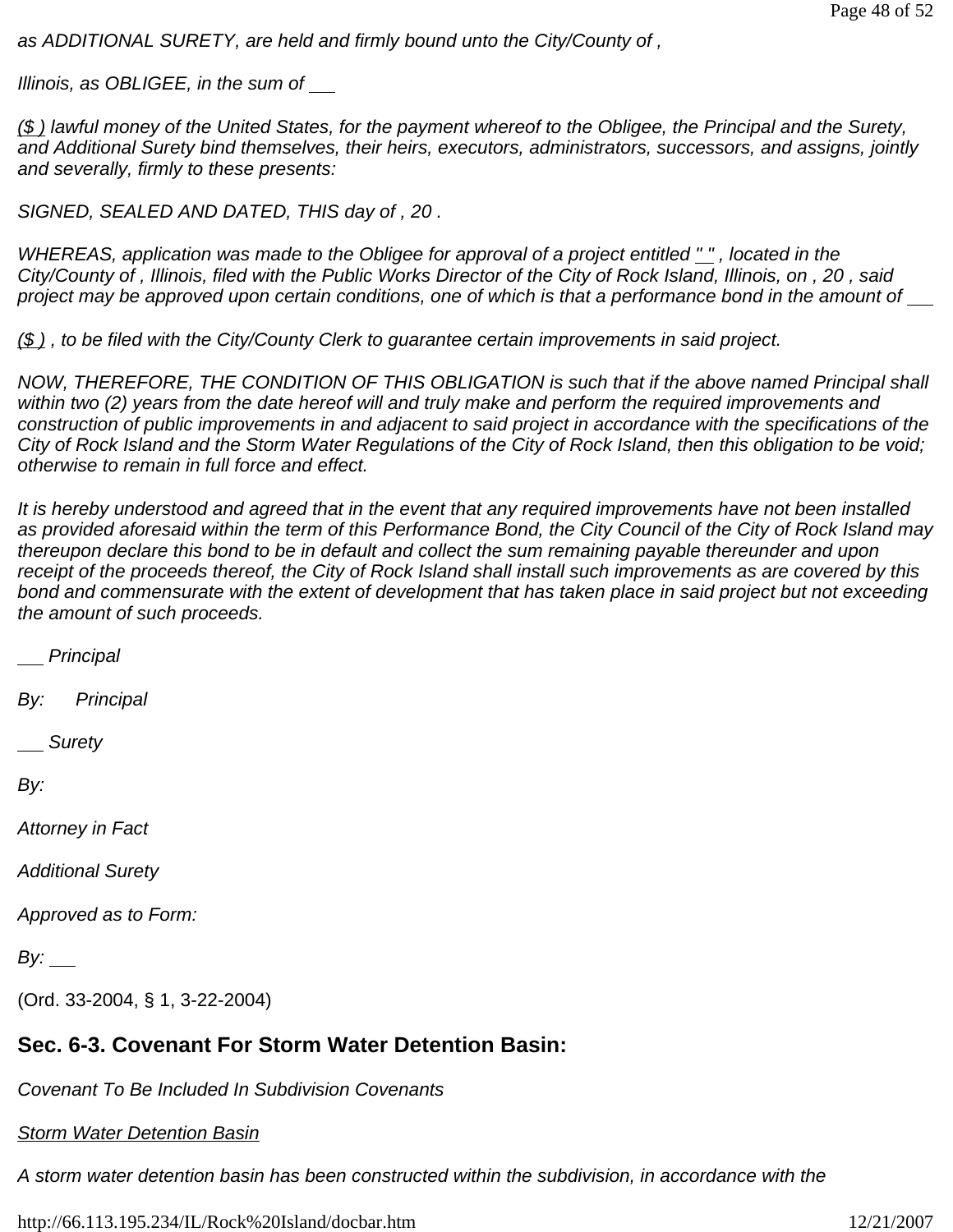*as ADDITIONAL SURETY, are held and firmly bound unto the City/County of ,*

*Illinois, as OBLIGEE, in the sum of* 

*(\$ ) lawful money of the United States, for the payment whereof to the Obligee, the Principal and the Surety, and Additional Surety bind themselves, their heirs, executors, administrators, successors, and assigns, jointly and severally, firmly to these presents:*

*SIGNED, SEALED AND DATED, THIS day of , 20 .*

*WHEREAS, application was made to the Obligee for approval of a project entitled " " , located in the City/County of , Illinois, filed with the Public Works Director of the City of Rock Island, Illinois, on , 20 , said*  project may be approved upon certain conditions, one of which is that a performance bond in the amount of  $\equiv$ 

*(\$ ) , to be filed with the City/County Clerk to guarantee certain improvements in said project.*

*NOW, THEREFORE, THE CONDITION OF THIS OBLIGATION is such that if the above named Principal shall within two (2) years from the date hereof will and truly make and perform the required improvements and construction of public improvements in and adjacent to said project in accordance with the specifications of the City of Rock Island and the Storm Water Regulations of the City of Rock Island, then this obligation to be void; otherwise to remain in full force and effect.*

*It is hereby understood and agreed that in the event that any required improvements have not been installed as provided aforesaid within the term of this Performance Bond, the City Council of the City of Rock Island may thereupon declare this bond to be in default and collect the sum remaining payable thereunder and upon receipt of the proceeds thereof, the City of Rock Island shall install such improvements as are covered by this bond and commensurate with the extent of development that has taken place in said project but not exceeding the amount of such proceeds.*

 *Principal*

*By: Principal*

 *Surety* 

*By:* 

*Attorney in Fact*

*Additional Surety*

*Approved as to Form:* 

*By:* \_\_\_

(Ord. 33-2004, § 1, 3-22-2004)

# **Sec. 6-3. Covenant For Storm Water Detention Basin:**

*Covenant To Be Included In Subdivision Covenants*

*Storm Water Detention Basin*

*A storm water detention basin has been constructed within the subdivision, in accordance with the*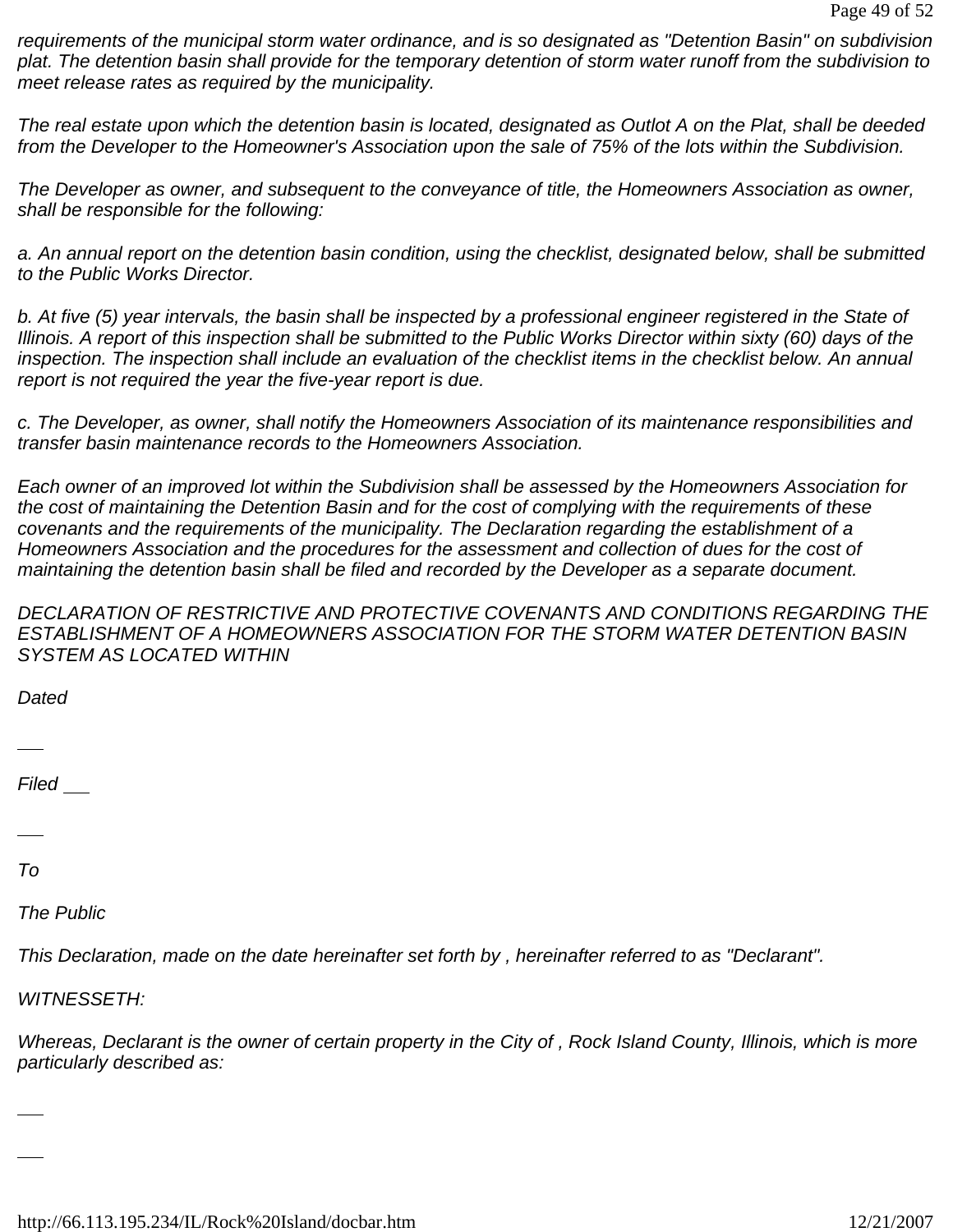*requirements of the municipal storm water ordinance, and is so designated as "Detention Basin" on subdivision plat. The detention basin shall provide for the temporary detention of storm water runoff from the subdivision to meet release rates as required by the municipality.*

*The real estate upon which the detention basin is located, designated as Outlot A on the Plat, shall be deeded from the Developer to the Homeowner's Association upon the sale of 75% of the lots within the Subdivision.*

*The Developer as owner, and subsequent to the conveyance of title, the Homeowners Association as owner, shall be responsible for the following:*

*a. An annual report on the detention basin condition, using the checklist, designated below, shall be submitted to the Public Works Director.*

*b. At five (5) year intervals, the basin shall be inspected by a professional engineer registered in the State of Illinois. A report of this inspection shall be submitted to the Public Works Director within sixty (60) days of the inspection. The inspection shall include an evaluation of the checklist items in the checklist below. An annual report is not required the year the five-year report is due.*

*c. The Developer, as owner, shall notify the Homeowners Association of its maintenance responsibilities and transfer basin maintenance records to the Homeowners Association.*

*Each owner of an improved lot within the Subdivision shall be assessed by the Homeowners Association for the cost of maintaining the Detention Basin and for the cost of complying with the requirements of these covenants and the requirements of the municipality. The Declaration regarding the establishment of a Homeowners Association and the procedures for the assessment and collection of dues for the cost of maintaining the detention basin shall be filed and recorded by the Developer as a separate document.*

*DECLARATION OF RESTRICTIVE AND PROTECTIVE COVENANTS AND CONDITIONS REGARDING THE ESTABLISHMENT OF A HOMEOWNERS ASSOCIATION FOR THE STORM WATER DETENTION BASIN SYSTEM AS LOCATED WITHIN* 

*Dated* 

*Filed* 

*To*

*The Public*

*This Declaration, made on the date hereinafter set forth by , hereinafter referred to as "Declarant".*

*WITNESSETH:*

*Whereas, Declarant is the owner of certain property in the City of , Rock Island County, Illinois, which is more particularly described as:*

http://66.113.195.234/IL/Rock%20Island/docbar.htm 12/21/2007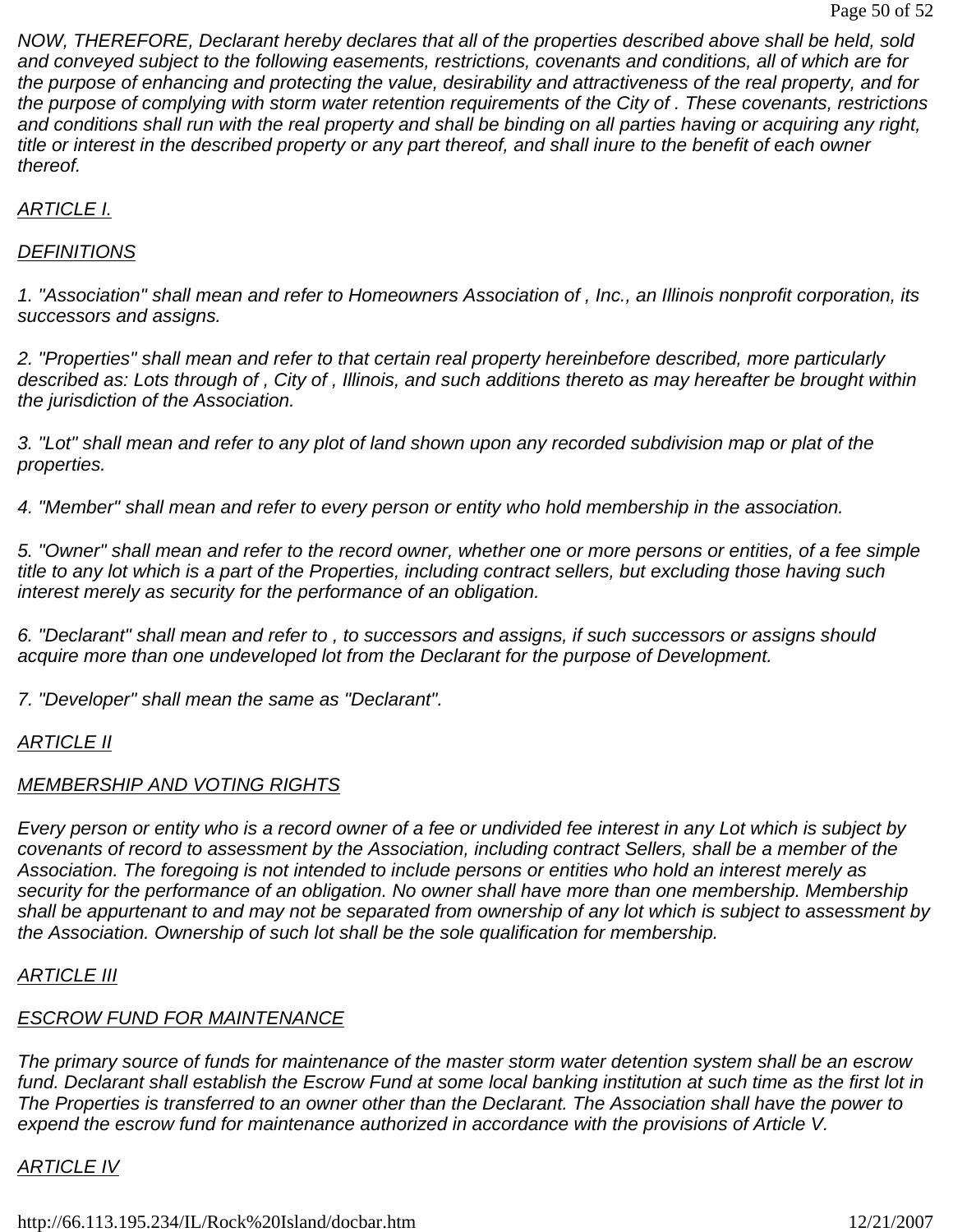*NOW, THEREFORE, Declarant hereby declares that all of the properties described above shall be held, sold and conveyed subject to the following easements, restrictions, covenants and conditions, all of which are for the purpose of enhancing and protecting the value, desirability and attractiveness of the real property, and for the purpose of complying with storm water retention requirements of the City of . These covenants, restrictions and conditions shall run with the real property and shall be binding on all parties having or acquiring any right, title or interest in the described property or any part thereof, and shall inure to the benefit of each owner thereof.*

#### *ARTICLE I.*

#### *DEFINITIONS*

*1. "Association" shall mean and refer to Homeowners Association of , Inc., an Illinois nonprofit corporation, its successors and assigns.*

*2. "Properties" shall mean and refer to that certain real property hereinbefore described, more particularly described as: Lots through of , City of , Illinois, and such additions thereto as may hereafter be brought within the jurisdiction of the Association.*

*3. "Lot" shall mean and refer to any plot of land shown upon any recorded subdivision map or plat of the properties.*

*4. "Member" shall mean and refer to every person or entity who hold membership in the association.*

*5. "Owner" shall mean and refer to the record owner, whether one or more persons or entities, of a fee simple title to any lot which is a part of the Properties, including contract sellers, but excluding those having such interest merely as security for the performance of an obligation.*

*6. "Declarant" shall mean and refer to , to successors and assigns, if such successors or assigns should acquire more than one undeveloped lot from the Declarant for the purpose of Development.*

*7. "Developer" shall mean the same as "Declarant".*

#### *ARTICLE II*

### *MEMBERSHIP AND VOTING RIGHTS*

*Every person or entity who is a record owner of a fee or undivided fee interest in any Lot which is subject by covenants of record to assessment by the Association, including contract Sellers, shall be a member of the Association. The foregoing is not intended to include persons or entities who hold an interest merely as security for the performance of an obligation. No owner shall have more than one membership. Membership shall be appurtenant to and may not be separated from ownership of any lot which is subject to assessment by the Association. Ownership of such lot shall be the sole qualification for membership.*

#### *ARTICLE III*

# *ESCROW FUND FOR MAINTENANCE*

*The primary source of funds for maintenance of the master storm water detention system shall be an escrow fund. Declarant shall establish the Escrow Fund at some local banking institution at such time as the first lot in The Properties is transferred to an owner other than the Declarant. The Association shall have the power to expend the escrow fund for maintenance authorized in accordance with the provisions of Article V.*

#### *ARTICLE IV*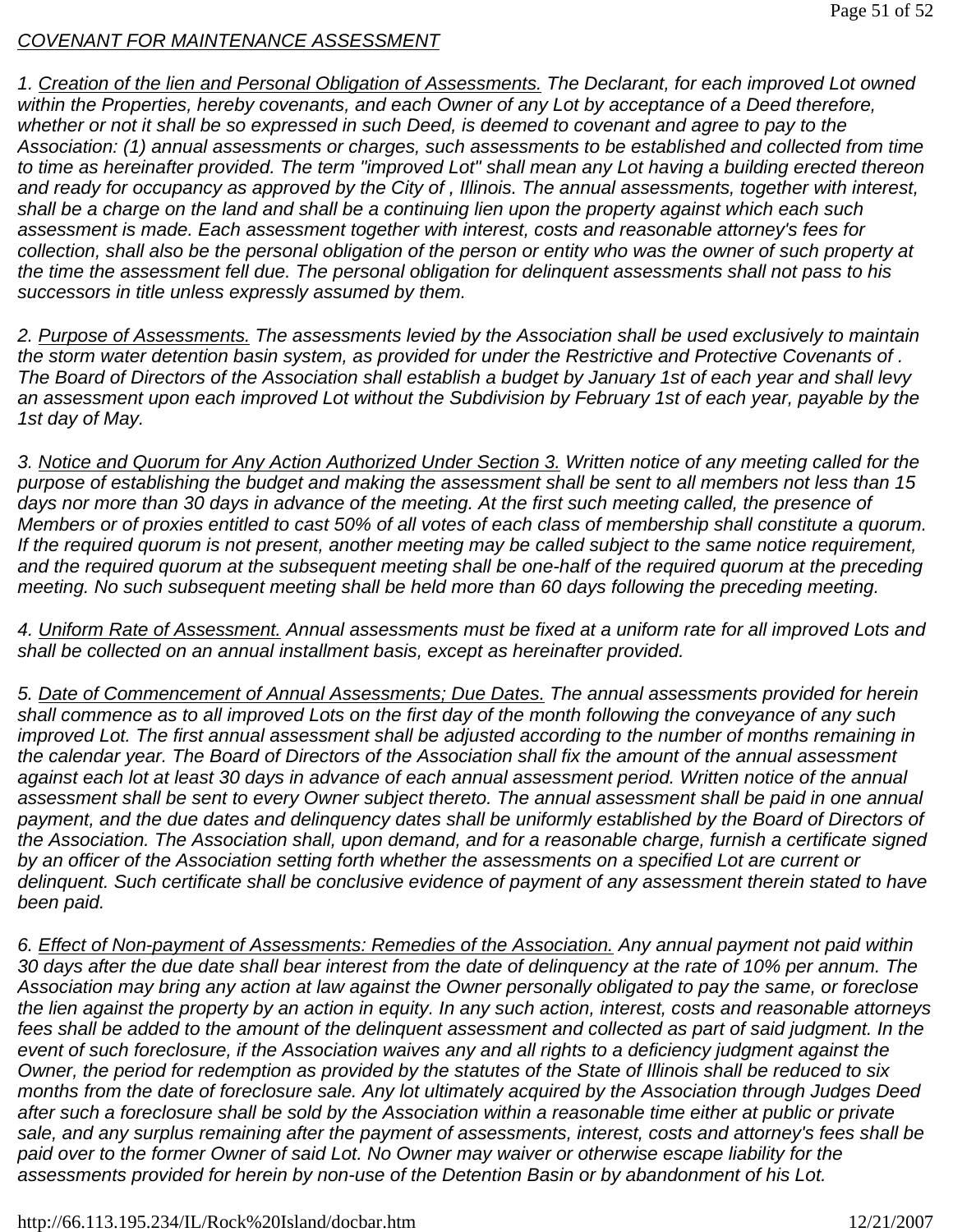#### *COVENANT FOR MAINTENANCE ASSESSMENT*

*1. Creation of the lien and Personal Obligation of Assessments. The Declarant, for each improved Lot owned within the Properties, hereby covenants, and each Owner of any Lot by acceptance of a Deed therefore,*  whether or not it shall be so expressed in such Deed, is deemed to covenant and agree to pay to the *Association: (1) annual assessments or charges, such assessments to be established and collected from time to time as hereinafter provided. The term "improved Lot" shall mean any Lot having a building erected thereon and ready for occupancy as approved by the City of , Illinois. The annual assessments, together with interest, shall be a charge on the land and shall be a continuing lien upon the property against which each such assessment is made. Each assessment together with interest, costs and reasonable attorney's fees for*  collection, shall also be the personal obligation of the person or entity who was the owner of such property at *the time the assessment fell due. The personal obligation for delinquent assessments shall not pass to his successors in title unless expressly assumed by them.*

*2. Purpose of Assessments. The assessments levied by the Association shall be used exclusively to maintain the storm water detention basin system, as provided for under the Restrictive and Protective Covenants of . The Board of Directors of the Association shall establish a budget by January 1st of each year and shall levy an assessment upon each improved Lot without the Subdivision by February 1st of each year, payable by the 1st day of May.*

*3. Notice and Quorum for Any Action Authorized Under Section 3. Written notice of any meeting called for the purpose of establishing the budget and making the assessment shall be sent to all members not less than 15*  days nor more than 30 days in advance of the meeting. At the first such meeting called, the presence of *Members or of proxies entitled to cast 50% of all votes of each class of membership shall constitute a quorum. If the required quorum is not present, another meeting may be called subject to the same notice requirement,*  and the required quorum at the subsequent meeting shall be one-half of the required quorum at the preceding *meeting. No such subsequent meeting shall be held more than 60 days following the preceding meeting.*

*4. Uniform Rate of Assessment. Annual assessments must be fixed at a uniform rate for all improved Lots and shall be collected on an annual installment basis, except as hereinafter provided.*

*5. Date of Commencement of Annual Assessments; Due Dates. The annual assessments provided for herein shall commence as to all improved Lots on the first day of the month following the conveyance of any such improved Lot. The first annual assessment shall be adjusted according to the number of months remaining in the calendar year. The Board of Directors of the Association shall fix the amount of the annual assessment against each lot at least 30 days in advance of each annual assessment period. Written notice of the annual assessment shall be sent to every Owner subject thereto. The annual assessment shall be paid in one annual*  payment, and the due dates and delinguency dates shall be uniformly established by the Board of Directors of *the Association. The Association shall, upon demand, and for a reasonable charge, furnish a certificate signed by an officer of the Association setting forth whether the assessments on a specified Lot are current or delinquent. Such certificate shall be conclusive evidence of payment of any assessment therein stated to have been paid.*

*6. Effect of Non-payment of Assessments: Remedies of the Association. Any annual payment not paid within 30 days after the due date shall bear interest from the date of delinquency at the rate of 10% per annum. The Association may bring any action at law against the Owner personally obligated to pay the same, or foreclose the lien against the property by an action in equity. In any such action, interest, costs and reasonable attorneys fees shall be added to the amount of the delinquent assessment and collected as part of said judgment. In the event of such foreclosure, if the Association waives any and all rights to a deficiency judgment against the Owner, the period for redemption as provided by the statutes of the State of Illinois shall be reduced to six months from the date of foreclosure sale. Any lot ultimately acquired by the Association through Judges Deed after such a foreclosure shall be sold by the Association within a reasonable time either at public or private sale, and any surplus remaining after the payment of assessments, interest, costs and attorney's fees shall be paid over to the former Owner of said Lot. No Owner may waiver or otherwise escape liability for the assessments provided for herein by non-use of the Detention Basin or by abandonment of his Lot.*